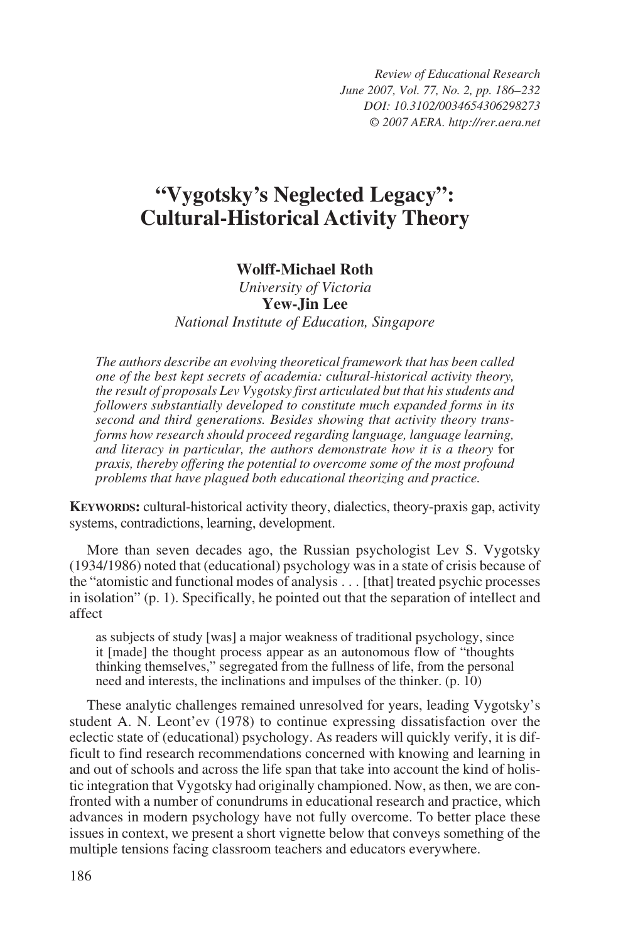*Review of Educational Research June 2007, Vol. 77, No. 2, pp. 186–232 DOI: 10.3102/0034654306298273 © 2007 AERA. http://rer.aera.net*

# **"Vygotsky's Neglected Legacy": Cultural-Historical Activity Theory**

# **Wolff-Michael Roth**

*University of Victoria* **Yew-Jin Lee** *National Institute of Education, Singapore*

*The authors describe an evolving theoretical framework that has been called one of the best kept secrets of academia: cultural-historical activity theory, the result of proposals Lev Vygotsky first articulated but that his students and followers substantially developed to constitute much expanded forms in its second and third generations. Besides showing that activity theory transforms how research should proceed regarding language, language learning, and literacy in particular, the authors demonstrate how it is a theory* for *praxis, thereby offering the potential to overcome some of the most profound problems that have plagued both educational theorizing and practice.*

**KEYWORDS:** cultural-historical activity theory, dialectics, theory-praxis gap, activity systems, contradictions, learning, development.

More than seven decades ago, the Russian psychologist Lev S. Vygotsky (1934/1986) noted that (educational) psychology was in a state of crisis because of the "atomistic and functional modes of analysis . . . [that] treated psychic processes in isolation" (p. 1). Specifically, he pointed out that the separation of intellect and affect

as subjects of study [was] a major weakness of traditional psychology, since it [made] the thought process appear as an autonomous flow of "thoughts thinking themselves," segregated from the fullness of life, from the personal need and interests, the inclinations and impulses of the thinker. (p. 10)

These analytic challenges remained unresolved for years, leading Vygotsky's student A. N. Leont'ev (1978) to continue expressing dissatisfaction over the eclectic state of (educational) psychology. As readers will quickly verify, it is difficult to find research recommendations concerned with knowing and learning in and out of schools and across the life span that take into account the kind of holistic integration that Vygotsky had originally championed. Now, as then, we are confronted with a number of conundrums in educational research and practice, which advances in modern psychology have not fully overcome. To better place these issues in context, we present a short vignette below that conveys something of the multiple tensions facing classroom teachers and educators everywhere.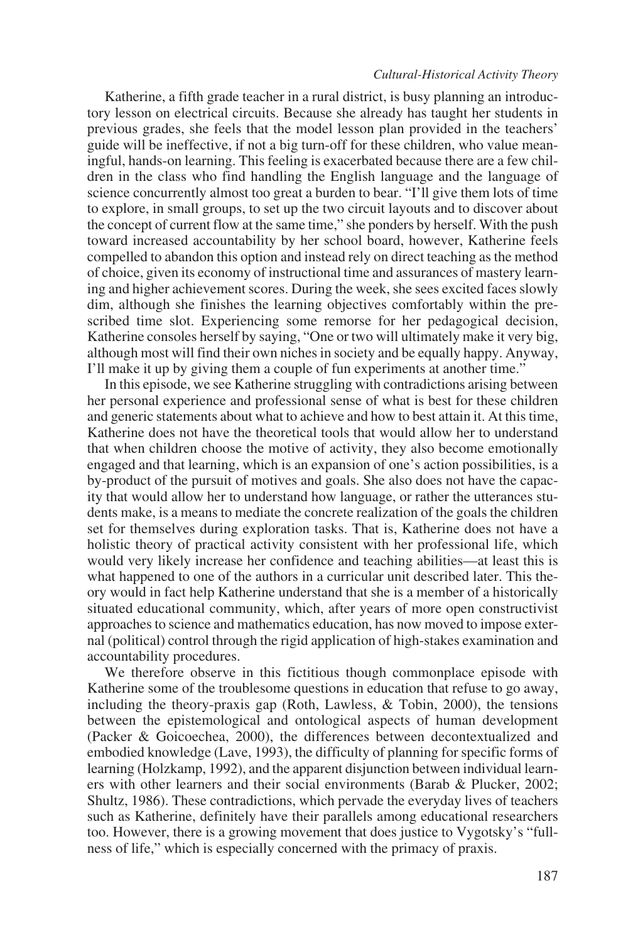#### *Cultural-Historical Activity Theory*

Katherine, a fifth grade teacher in a rural district, is busy planning an introductory lesson on electrical circuits. Because she already has taught her students in previous grades, she feels that the model lesson plan provided in the teachers' guide will be ineffective, if not a big turn-off for these children, who value meaningful, hands-on learning. This feeling is exacerbated because there are a few children in the class who find handling the English language and the language of science concurrently almost too great a burden to bear. "I'll give them lots of time to explore, in small groups, to set up the two circuit layouts and to discover about the concept of current flow at the same time," she ponders by herself. With the push toward increased accountability by her school board, however, Katherine feels compelled to abandon this option and instead rely on direct teaching as the method of choice, given its economy of instructional time and assurances of mastery learning and higher achievement scores. During the week, she sees excited faces slowly dim, although she finishes the learning objectives comfortably within the prescribed time slot. Experiencing some remorse for her pedagogical decision, Katherine consoles herself by saying, "One or two will ultimately make it very big, although most will find their own niches in society and be equally happy. Anyway, I'll make it up by giving them a couple of fun experiments at another time."

In this episode, we see Katherine struggling with contradictions arising between her personal experience and professional sense of what is best for these children and generic statements about what to achieve and how to best attain it. At this time, Katherine does not have the theoretical tools that would allow her to understand that when children choose the motive of activity, they also become emotionally engaged and that learning, which is an expansion of one's action possibilities, is a by-product of the pursuit of motives and goals. She also does not have the capacity that would allow her to understand how language, or rather the utterances students make, is a means to mediate the concrete realization of the goals the children set for themselves during exploration tasks. That is, Katherine does not have a holistic theory of practical activity consistent with her professional life, which would very likely increase her confidence and teaching abilities—at least this is what happened to one of the authors in a curricular unit described later. This theory would in fact help Katherine understand that she is a member of a historically situated educational community, which, after years of more open constructivist approaches to science and mathematics education, has now moved to impose external (political) control through the rigid application of high-stakes examination and accountability procedures.

We therefore observe in this fictitious though commonplace episode with Katherine some of the troublesome questions in education that refuse to go away, including the theory-praxis gap (Roth, Lawless, & Tobin, 2000), the tensions between the epistemological and ontological aspects of human development (Packer & Goicoechea, 2000), the differences between decontextualized and embodied knowledge (Lave, 1993), the difficulty of planning for specific forms of learning (Holzkamp, 1992), and the apparent disjunction between individual learners with other learners and their social environments (Barab & Plucker, 2002; Shultz, 1986). These contradictions, which pervade the everyday lives of teachers such as Katherine, definitely have their parallels among educational researchers too. However, there is a growing movement that does justice to Vygotsky's "fullness of life," which is especially concerned with the primacy of praxis.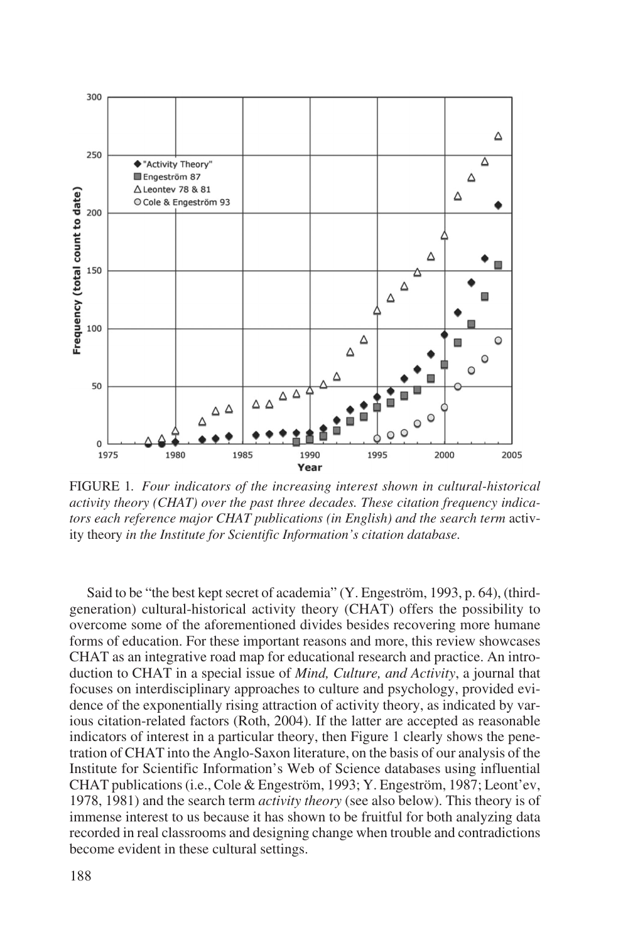

FIGURE 1*. Four indicators of the increasing interest shown in cultural-historical activity theory (CHAT) over the past three decades. These citation frequency indicators each reference major CHAT publications (in English) and the search term activ*ity theory *in the Institute for Scientific Information's citation database.*

Said to be "the best kept secret of academia" (Y. Engeström, 1993, p. 64), (thirdgeneration) cultural-historical activity theory (CHAT) offers the possibility to overcome some of the aforementioned divides besides recovering more humane forms of education. For these important reasons and more, this review showcases CHAT as an integrative road map for educational research and practice. An introduction to CHAT in a special issue of *Mind, Culture, and Activity*, a journal that focuses on interdisciplinary approaches to culture and psychology, provided evidence of the exponentially rising attraction of activity theory, as indicated by various citation-related factors (Roth, 2004). If the latter are accepted as reasonable indicators of interest in a particular theory, then Figure 1 clearly shows the penetration of CHAT into the Anglo-Saxon literature, on the basis of our analysis of the Institute for Scientific Information's Web of Science databases using influential CHAT publications (i.e., Cole & Engeström, 1993; Y. Engeström, 1987; Leont'ev, 1978, 1981) and the search term *activity theory* (see also below). This theory is of immense interest to us because it has shown to be fruitful for both analyzing data recorded in real classrooms and designing change when trouble and contradictions become evident in these cultural settings.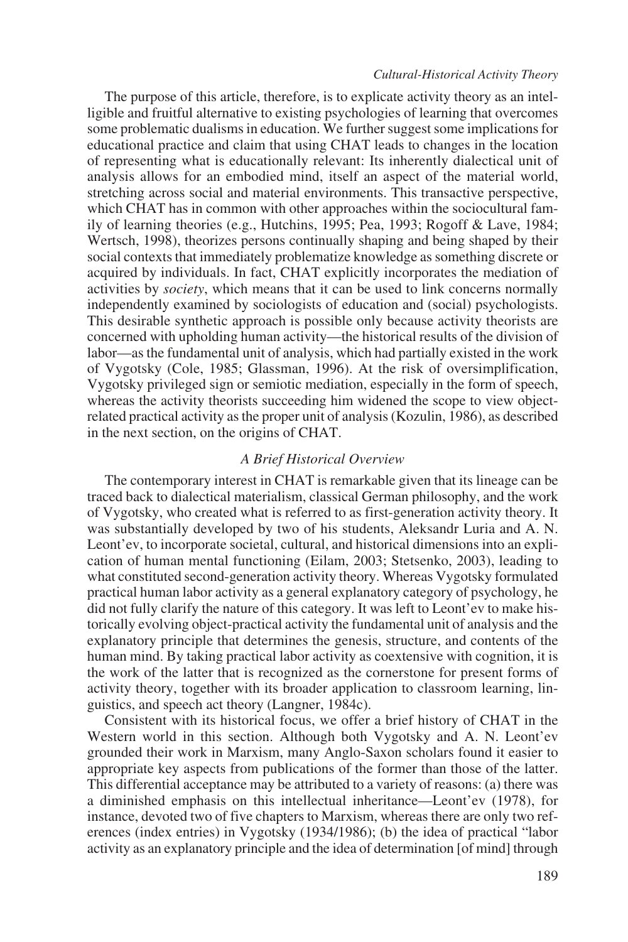#### *Cultural-Historical Activity Theory*

The purpose of this article, therefore, is to explicate activity theory as an intelligible and fruitful alternative to existing psychologies of learning that overcomes some problematic dualisms in education. We further suggest some implications for educational practice and claim that using CHAT leads to changes in the location of representing what is educationally relevant: Its inherently dialectical unit of analysis allows for an embodied mind, itself an aspect of the material world, stretching across social and material environments. This transactive perspective, which CHAT has in common with other approaches within the sociocultural family of learning theories (e.g., Hutchins, 1995; Pea, 1993; Rogoff & Lave, 1984; Wertsch, 1998), theorizes persons continually shaping and being shaped by their social contexts that immediately problematize knowledge as something discrete or acquired by individuals. In fact, CHAT explicitly incorporates the mediation of activities by *society*, which means that it can be used to link concerns normally independently examined by sociologists of education and (social) psychologists. This desirable synthetic approach is possible only because activity theorists are concerned with upholding human activity—the historical results of the division of labor—as the fundamental unit of analysis, which had partially existed in the work of Vygotsky (Cole, 1985; Glassman, 1996). At the risk of oversimplification, Vygotsky privileged sign or semiotic mediation, especially in the form of speech, whereas the activity theorists succeeding him widened the scope to view objectrelated practical activity as the proper unit of analysis (Kozulin, 1986), as described in the next section, on the origins of CHAT.

## *A Brief Historical Overview*

The contemporary interest in CHAT is remarkable given that its lineage can be traced back to dialectical materialism, classical German philosophy, and the work of Vygotsky, who created what is referred to as first-generation activity theory. It was substantially developed by two of his students, Aleksandr Luria and A. N. Leont'ev, to incorporate societal, cultural, and historical dimensions into an explication of human mental functioning (Eilam, 2003; Stetsenko, 2003), leading to what constituted second-generation activity theory. Whereas Vygotsky formulated practical human labor activity as a general explanatory category of psychology, he did not fully clarify the nature of this category. It was left to Leont'ev to make historically evolving object-practical activity the fundamental unit of analysis and the explanatory principle that determines the genesis, structure, and contents of the human mind. By taking practical labor activity as coextensive with cognition, it is the work of the latter that is recognized as the cornerstone for present forms of activity theory, together with its broader application to classroom learning, linguistics, and speech act theory (Langner, 1984c).

Consistent with its historical focus, we offer a brief history of CHAT in the Western world in this section. Although both Vygotsky and A. N. Leont'ev grounded their work in Marxism, many Anglo-Saxon scholars found it easier to appropriate key aspects from publications of the former than those of the latter. This differential acceptance may be attributed to a variety of reasons: (a) there was a diminished emphasis on this intellectual inheritance—Leont'ev (1978), for instance, devoted two of five chapters to Marxism, whereas there are only two references (index entries) in Vygotsky (1934/1986); (b) the idea of practical "labor activity as an explanatory principle and the idea of determination [of mind] through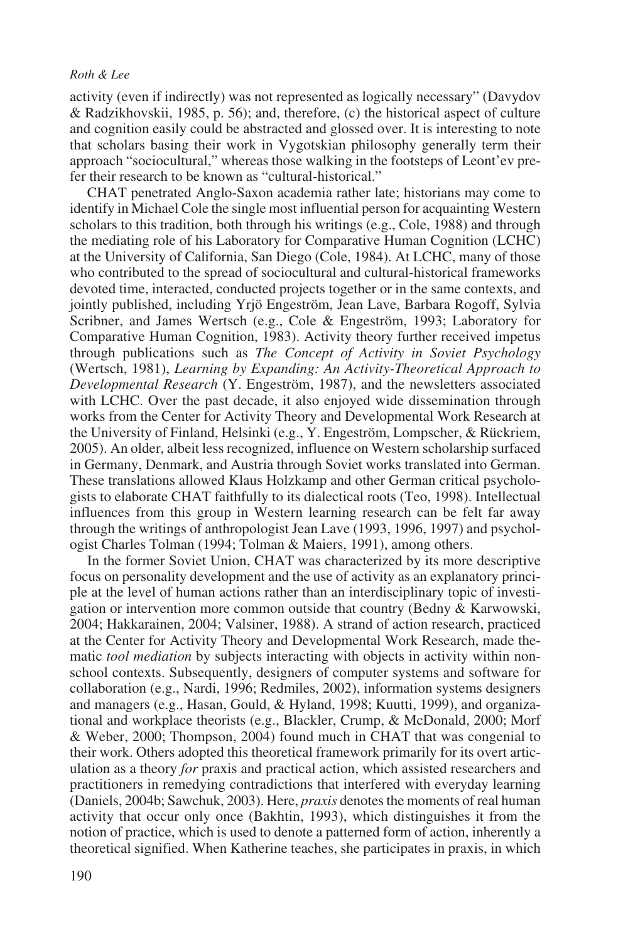activity (even if indirectly) was not represented as logically necessary" (Davydov & Radzikhovskii, 1985, p. 56); and, therefore, (c) the historical aspect of culture and cognition easily could be abstracted and glossed over. It is interesting to note that scholars basing their work in Vygotskian philosophy generally term their approach "sociocultural," whereas those walking in the footsteps of Leont'ev prefer their research to be known as "cultural-historical."

CHAT penetrated Anglo-Saxon academia rather late; historians may come to identify in Michael Cole the single most influential person for acquainting Western scholars to this tradition, both through his writings (e.g., Cole, 1988) and through the mediating role of his Laboratory for Comparative Human Cognition (LCHC) at the University of California, San Diego (Cole, 1984). At LCHC, many of those who contributed to the spread of sociocultural and cultural-historical frameworks devoted time, interacted, conducted projects together or in the same contexts, and jointly published, including Yrjö Engeström, Jean Lave, Barbara Rogoff, Sylvia Scribner, and James Wertsch (e.g., Cole & Engeström, 1993; Laboratory for Comparative Human Cognition, 1983). Activity theory further received impetus through publications such as *The Concept of Activity in Soviet Psychology* (Wertsch, 1981), *Learning by Expanding: An Activity-Theoretical Approach to Developmental Research* (Y. Engeström, 1987), and the newsletters associated with LCHC. Over the past decade, it also enjoyed wide dissemination through works from the Center for Activity Theory and Developmental Work Research at the University of Finland, Helsinki (e.g., Y. Engeström, Lompscher, & Rückriem, 2005). An older, albeit less recognized, influence on Western scholarship surfaced in Germany, Denmark, and Austria through Soviet works translated into German. These translations allowed Klaus Holzkamp and other German critical psychologists to elaborate CHAT faithfully to its dialectical roots (Teo, 1998). Intellectual influences from this group in Western learning research can be felt far away through the writings of anthropologist Jean Lave (1993, 1996, 1997) and psychologist Charles Tolman (1994; Tolman & Maiers, 1991), among others.

In the former Soviet Union, CHAT was characterized by its more descriptive focus on personality development and the use of activity as an explanatory principle at the level of human actions rather than an interdisciplinary topic of investigation or intervention more common outside that country (Bedny & Karwowski, 2004; Hakkarainen, 2004; Valsiner, 1988). A strand of action research, practiced at the Center for Activity Theory and Developmental Work Research, made thematic *tool mediation* by subjects interacting with objects in activity within nonschool contexts. Subsequently, designers of computer systems and software for collaboration (e.g., Nardi, 1996; Redmiles, 2002), information systems designers and managers (e.g., Hasan, Gould, & Hyland, 1998; Kuutti, 1999), and organizational and workplace theorists (e.g., Blackler, Crump, & McDonald, 2000; Morf & Weber, 2000; Thompson, 2004) found much in CHAT that was congenial to their work. Others adopted this theoretical framework primarily for its overt articulation as a theory *for* praxis and practical action, which assisted researchers and practitioners in remedying contradictions that interfered with everyday learning (Daniels, 2004b; Sawchuk, 2003). Here, *praxis* denotes the moments of real human activity that occur only once (Bakhtin, 1993), which distinguishes it from the notion of practice, which is used to denote a patterned form of action, inherently a theoretical signified. When Katherine teaches, she participates in praxis, in which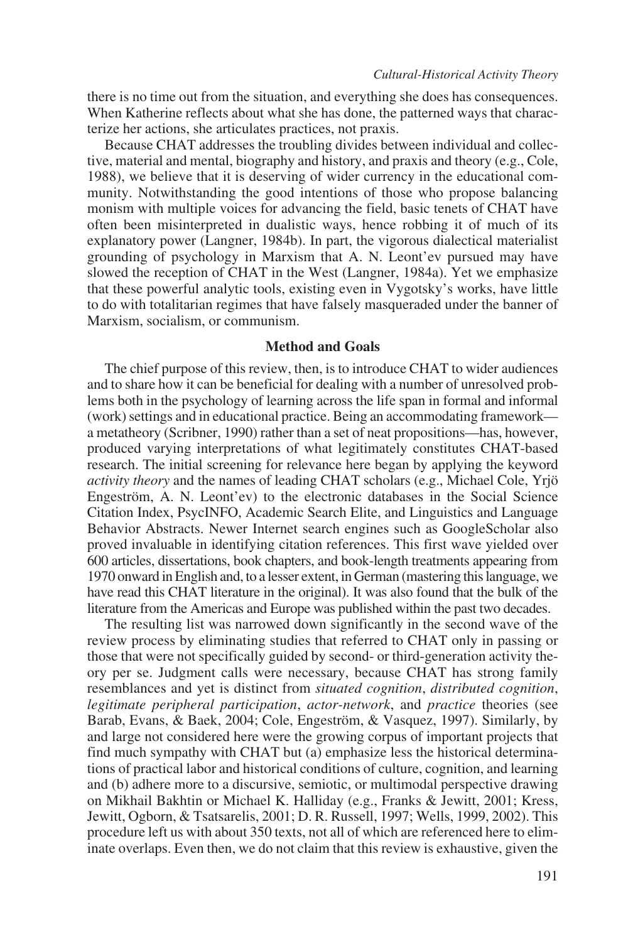there is no time out from the situation, and everything she does has consequences. When Katherine reflects about what she has done, the patterned ways that characterize her actions, she articulates practices, not praxis.

Because CHAT addresses the troubling divides between individual and collective, material and mental, biography and history, and praxis and theory (e.g., Cole, 1988), we believe that it is deserving of wider currency in the educational community. Notwithstanding the good intentions of those who propose balancing monism with multiple voices for advancing the field, basic tenets of CHAT have often been misinterpreted in dualistic ways, hence robbing it of much of its explanatory power (Langner, 1984b). In part, the vigorous dialectical materialist grounding of psychology in Marxism that A. N. Leont'ev pursued may have slowed the reception of CHAT in the West (Langner, 1984a). Yet we emphasize that these powerful analytic tools, existing even in Vygotsky's works, have little to do with totalitarian regimes that have falsely masqueraded under the banner of Marxism, socialism, or communism.

## **Method and Goals**

The chief purpose of this review, then, is to introduce CHAT to wider audiences and to share how it can be beneficial for dealing with a number of unresolved problems both in the psychology of learning across the life span in formal and informal (work) settings and in educational practice. Being an accommodating framework a metatheory (Scribner, 1990) rather than a set of neat propositions—has, however, produced varying interpretations of what legitimately constitutes CHAT-based research. The initial screening for relevance here began by applying the keyword *activity theory* and the names of leading CHAT scholars (e.g., Michael Cole, Yrjö Engeström, A. N. Leont'ev) to the electronic databases in the Social Science Citation Index, PsycINFO, Academic Search Elite, and Linguistics and Language Behavior Abstracts. Newer Internet search engines such as GoogleScholar also proved invaluable in identifying citation references. This first wave yielded over 600 articles, dissertations, book chapters, and book-length treatments appearing from 1970 onward in English and, to a lesser extent, in German (mastering this language, we have read this CHAT literature in the original). It was also found that the bulk of the literature from the Americas and Europe was published within the past two decades.

The resulting list was narrowed down significantly in the second wave of the review process by eliminating studies that referred to CHAT only in passing or those that were not specifically guided by second- or third-generation activity theory per se. Judgment calls were necessary, because CHAT has strong family resemblances and yet is distinct from *situated cognition*, *distributed cognition*, *legitimate peripheral participation*, *actor-network*, and *practice* theories (see Barab, Evans, & Baek, 2004; Cole, Engeström, & Vasquez, 1997). Similarly, by and large not considered here were the growing corpus of important projects that find much sympathy with CHAT but (a) emphasize less the historical determinations of practical labor and historical conditions of culture, cognition, and learning and (b) adhere more to a discursive, semiotic, or multimodal perspective drawing on Mikhail Bakhtin or Michael K. Halliday (e.g., Franks & Jewitt, 2001; Kress, Jewitt, Ogborn, & Tsatsarelis, 2001; D. R. Russell, 1997; Wells, 1999, 2002). This procedure left us with about 350 texts, not all of which are referenced here to eliminate overlaps. Even then, we do not claim that this review is exhaustive, given the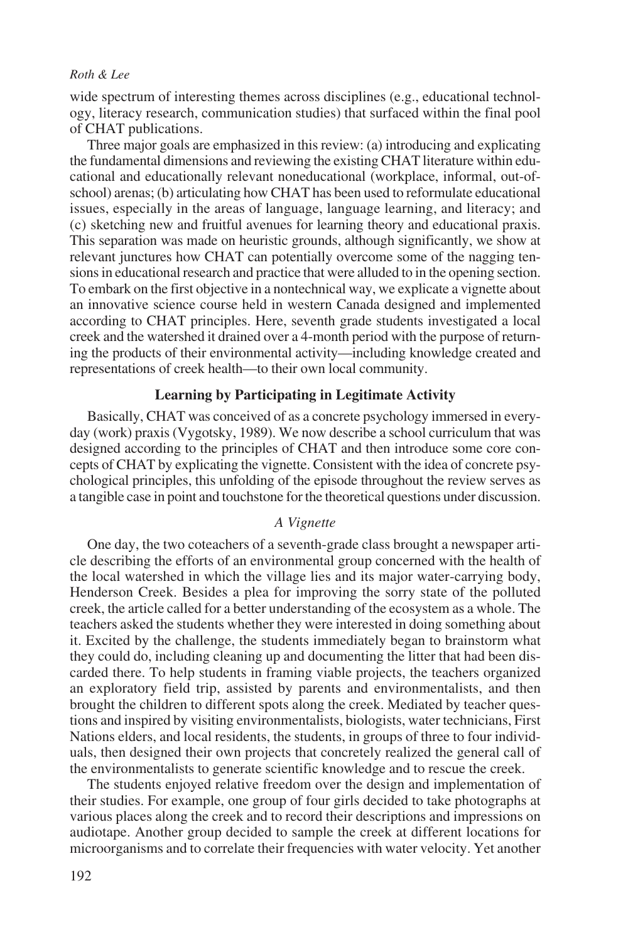wide spectrum of interesting themes across disciplines (e.g., educational technology, literacy research, communication studies) that surfaced within the final pool of CHAT publications.

Three major goals are emphasized in this review: (a) introducing and explicating the fundamental dimensions and reviewing the existing CHAT literature within educational and educationally relevant noneducational (workplace, informal, out-ofschool) arenas; (b) articulating how CHAT has been used to reformulate educational issues, especially in the areas of language, language learning, and literacy; and (c) sketching new and fruitful avenues for learning theory and educational praxis. This separation was made on heuristic grounds, although significantly, we show at relevant junctures how CHAT can potentially overcome some of the nagging tensions in educational research and practice that were alluded to in the opening section. To embark on the first objective in a nontechnical way, we explicate a vignette about an innovative science course held in western Canada designed and implemented according to CHAT principles. Here, seventh grade students investigated a local creek and the watershed it drained over a 4-month period with the purpose of returning the products of their environmental activity—including knowledge created and representations of creek health—to their own local community.

# **Learning by Participating in Legitimate Activity**

Basically, CHAT was conceived of as a concrete psychology immersed in everyday (work) praxis (Vygotsky, 1989). We now describe a school curriculum that was designed according to the principles of CHAT and then introduce some core concepts of CHAT by explicating the vignette. Consistent with the idea of concrete psychological principles, this unfolding of the episode throughout the review serves as a tangible case in point and touchstone for the theoretical questions under discussion.

## *A Vignette*

One day, the two coteachers of a seventh-grade class brought a newspaper article describing the efforts of an environmental group concerned with the health of the local watershed in which the village lies and its major water-carrying body, Henderson Creek. Besides a plea for improving the sorry state of the polluted creek, the article called for a better understanding of the ecosystem as a whole. The teachers asked the students whether they were interested in doing something about it. Excited by the challenge, the students immediately began to brainstorm what they could do, including cleaning up and documenting the litter that had been discarded there. To help students in framing viable projects, the teachers organized an exploratory field trip, assisted by parents and environmentalists, and then brought the children to different spots along the creek. Mediated by teacher questions and inspired by visiting environmentalists, biologists, water technicians, First Nations elders, and local residents, the students, in groups of three to four individuals, then designed their own projects that concretely realized the general call of the environmentalists to generate scientific knowledge and to rescue the creek.

The students enjoyed relative freedom over the design and implementation of their studies. For example, one group of four girls decided to take photographs at various places along the creek and to record their descriptions and impressions on audiotape. Another group decided to sample the creek at different locations for microorganisms and to correlate their frequencies with water velocity. Yet another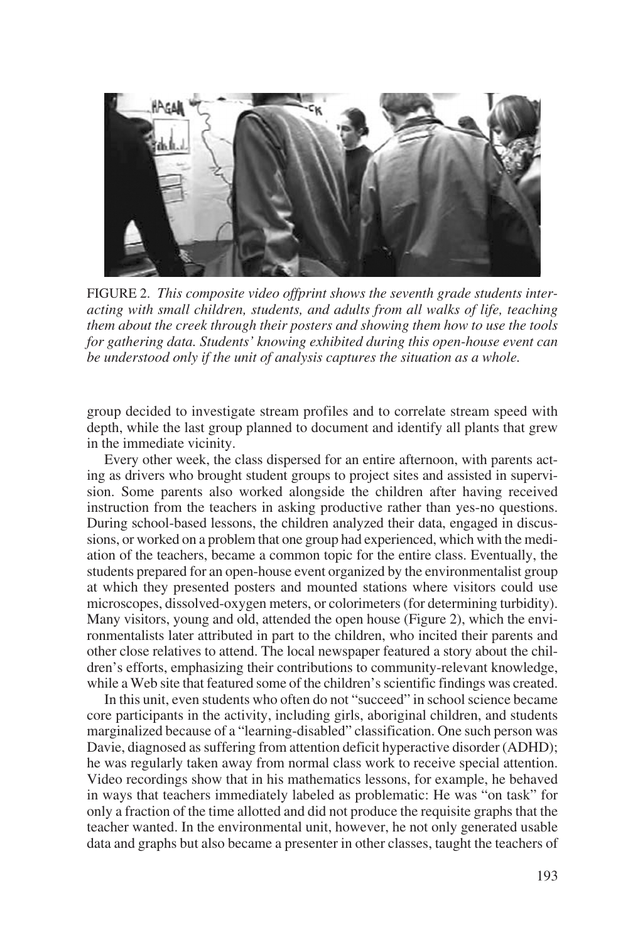

FIGURE 2. *This composite video offprint shows the seventh grade students interacting with small children, students, and adults from all walks of life, teaching them about the creek through their posters and showing them how to use the tools for gathering data. Students' knowing exhibited during this open-house event can be understood only if the unit of analysis captures the situation as a whole.*

group decided to investigate stream profiles and to correlate stream speed with depth, while the last group planned to document and identify all plants that grew in the immediate vicinity.

Every other week, the class dispersed for an entire afternoon, with parents acting as drivers who brought student groups to project sites and assisted in supervision. Some parents also worked alongside the children after having received instruction from the teachers in asking productive rather than yes-no questions. During school-based lessons, the children analyzed their data, engaged in discussions, or worked on a problem that one group had experienced, which with the mediation of the teachers, became a common topic for the entire class. Eventually, the students prepared for an open-house event organized by the environmentalist group at which they presented posters and mounted stations where visitors could use microscopes, dissolved-oxygen meters, or colorimeters (for determining turbidity). Many visitors, young and old, attended the open house (Figure 2), which the environmentalists later attributed in part to the children, who incited their parents and other close relatives to attend. The local newspaper featured a story about the children's efforts, emphasizing their contributions to community-relevant knowledge, while a Web site that featured some of the children's scientific findings was created.

In this unit, even students who often do not "succeed" in school science became core participants in the activity, including girls, aboriginal children, and students marginalized because of a "learning-disabled" classification. One such person was Davie, diagnosed as suffering from attention deficit hyperactive disorder (ADHD); he was regularly taken away from normal class work to receive special attention. Video recordings show that in his mathematics lessons, for example, he behaved in ways that teachers immediately labeled as problematic: He was "on task" for only a fraction of the time allotted and did not produce the requisite graphs that the teacher wanted. In the environmental unit, however, he not only generated usable data and graphs but also became a presenter in other classes, taught the teachers of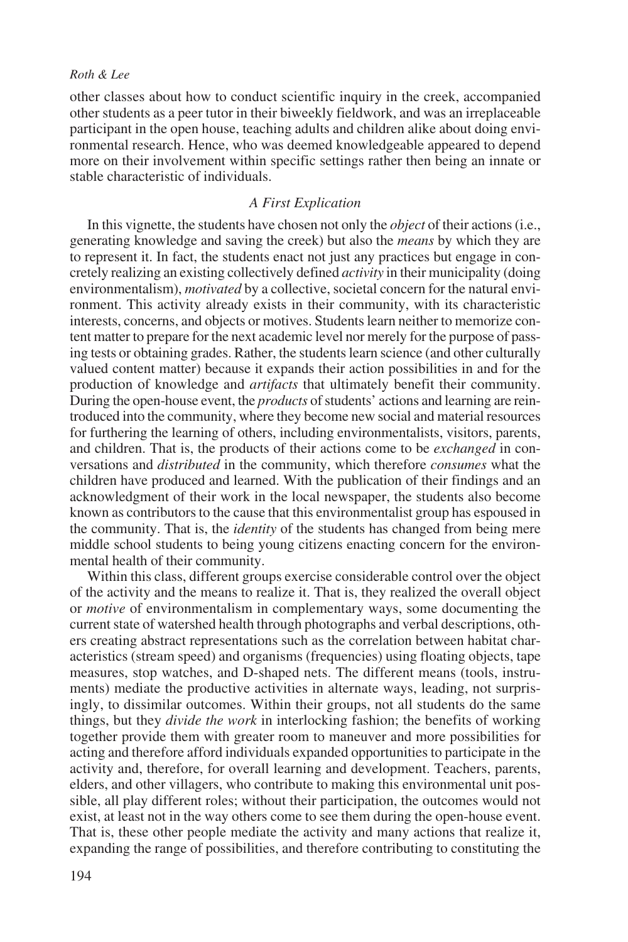other classes about how to conduct scientific inquiry in the creek, accompanied other students as a peer tutor in their biweekly fieldwork, and was an irreplaceable participant in the open house, teaching adults and children alike about doing environmental research. Hence, who was deemed knowledgeable appeared to depend more on their involvement within specific settings rather then being an innate or stable characteristic of individuals.

# *A First Explication*

In this vignette, the students have chosen not only the *object* of their actions (i.e., generating knowledge and saving the creek) but also the *means* by which they are to represent it. In fact, the students enact not just any practices but engage in concretely realizing an existing collectively defined *activity* in their municipality (doing environmentalism), *motivated* by a collective, societal concern for the natural environment. This activity already exists in their community, with its characteristic interests, concerns, and objects or motives. Students learn neither to memorize content matter to prepare for the next academic level nor merely for the purpose of passing tests or obtaining grades. Rather, the students learn science (and other culturally valued content matter) because it expands their action possibilities in and for the production of knowledge and *artifacts* that ultimately benefit their community. During the open-house event, the *products* of students' actions and learning are reintroduced into the community, where they become new social and material resources for furthering the learning of others, including environmentalists, visitors, parents, and children. That is, the products of their actions come to be *exchanged* in conversations and *distributed* in the community, which therefore *consumes* what the children have produced and learned. With the publication of their findings and an acknowledgment of their work in the local newspaper, the students also become known as contributors to the cause that this environmentalist group has espoused in the community. That is, the *identity* of the students has changed from being mere middle school students to being young citizens enacting concern for the environmental health of their community.

Within this class, different groups exercise considerable control over the object of the activity and the means to realize it. That is, they realized the overall object or *motive* of environmentalism in complementary ways, some documenting the current state of watershed health through photographs and verbal descriptions, others creating abstract representations such as the correlation between habitat characteristics (stream speed) and organisms (frequencies) using floating objects, tape measures, stop watches, and D-shaped nets. The different means (tools, instruments) mediate the productive activities in alternate ways, leading, not surprisingly, to dissimilar outcomes. Within their groups, not all students do the same things, but they *divide the work* in interlocking fashion; the benefits of working together provide them with greater room to maneuver and more possibilities for acting and therefore afford individuals expanded opportunities to participate in the activity and, therefore, for overall learning and development. Teachers, parents, elders, and other villagers, who contribute to making this environmental unit possible, all play different roles; without their participation, the outcomes would not exist, at least not in the way others come to see them during the open-house event. That is, these other people mediate the activity and many actions that realize it, expanding the range of possibilities, and therefore contributing to constituting the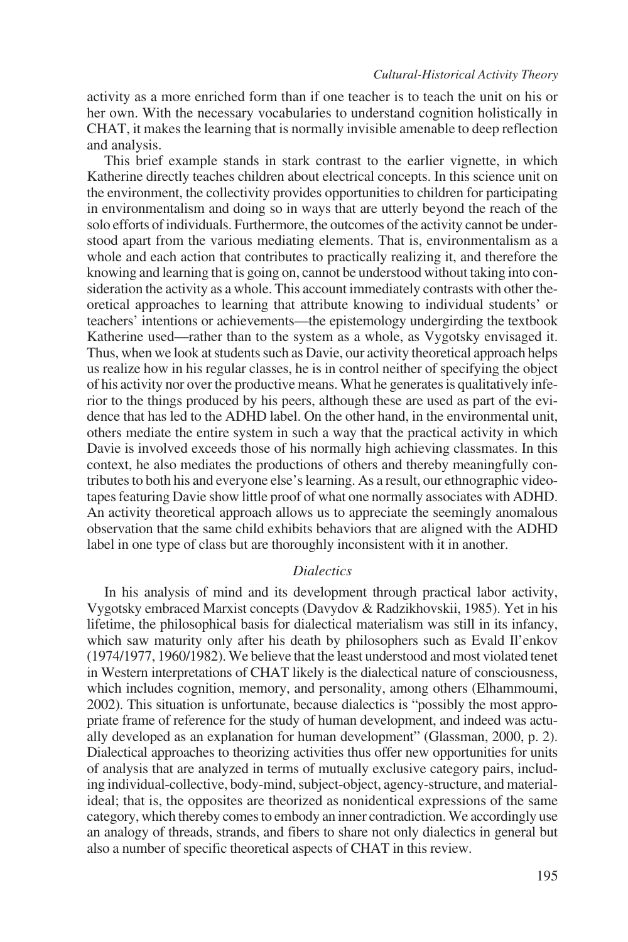activity as a more enriched form than if one teacher is to teach the unit on his or her own. With the necessary vocabularies to understand cognition holistically in CHAT, it makes the learning that is normally invisible amenable to deep reflection and analysis.

This brief example stands in stark contrast to the earlier vignette, in which Katherine directly teaches children about electrical concepts. In this science unit on the environment, the collectivity provides opportunities to children for participating in environmentalism and doing so in ways that are utterly beyond the reach of the solo efforts of individuals. Furthermore, the outcomes of the activity cannot be understood apart from the various mediating elements. That is, environmentalism as a whole and each action that contributes to practically realizing it, and therefore the knowing and learning that is going on, cannot be understood without taking into consideration the activity as a whole. This account immediately contrasts with other theoretical approaches to learning that attribute knowing to individual students' or teachers' intentions or achievements—the epistemology undergirding the textbook Katherine used—rather than to the system as a whole, as Vygotsky envisaged it. Thus, when we look at students such as Davie, our activity theoretical approach helps us realize how in his regular classes, he is in control neither of specifying the object of his activity nor over the productive means. What he generates is qualitatively inferior to the things produced by his peers, although these are used as part of the evidence that has led to the ADHD label. On the other hand, in the environmental unit, others mediate the entire system in such a way that the practical activity in which Davie is involved exceeds those of his normally high achieving classmates. In this context, he also mediates the productions of others and thereby meaningfully contributes to both his and everyone else's learning. As a result, our ethnographic videotapes featuring Davie show little proof of what one normally associates with ADHD. An activity theoretical approach allows us to appreciate the seemingly anomalous observation that the same child exhibits behaviors that are aligned with the ADHD label in one type of class but are thoroughly inconsistent with it in another.

## *Dialectics*

In his analysis of mind and its development through practical labor activity, Vygotsky embraced Marxist concepts (Davydov & Radzikhovskii, 1985). Yet in his lifetime, the philosophical basis for dialectical materialism was still in its infancy, which saw maturity only after his death by philosophers such as Evald Il'enkov (1974/1977, 1960/1982). We believe that the least understood and most violated tenet in Western interpretations of CHAT likely is the dialectical nature of consciousness, which includes cognition, memory, and personality, among others (Elhammoumi, 2002). This situation is unfortunate, because dialectics is "possibly the most appropriate frame of reference for the study of human development, and indeed was actually developed as an explanation for human development" (Glassman, 2000, p. 2). Dialectical approaches to theorizing activities thus offer new opportunities for units of analysis that are analyzed in terms of mutually exclusive category pairs, including individual-collective, body-mind, subject-object, agency-structure, and materialideal; that is, the opposites are theorized as nonidentical expressions of the same category, which thereby comes to embody an inner contradiction. We accordingly use an analogy of threads, strands, and fibers to share not only dialectics in general but also a number of specific theoretical aspects of CHAT in this review.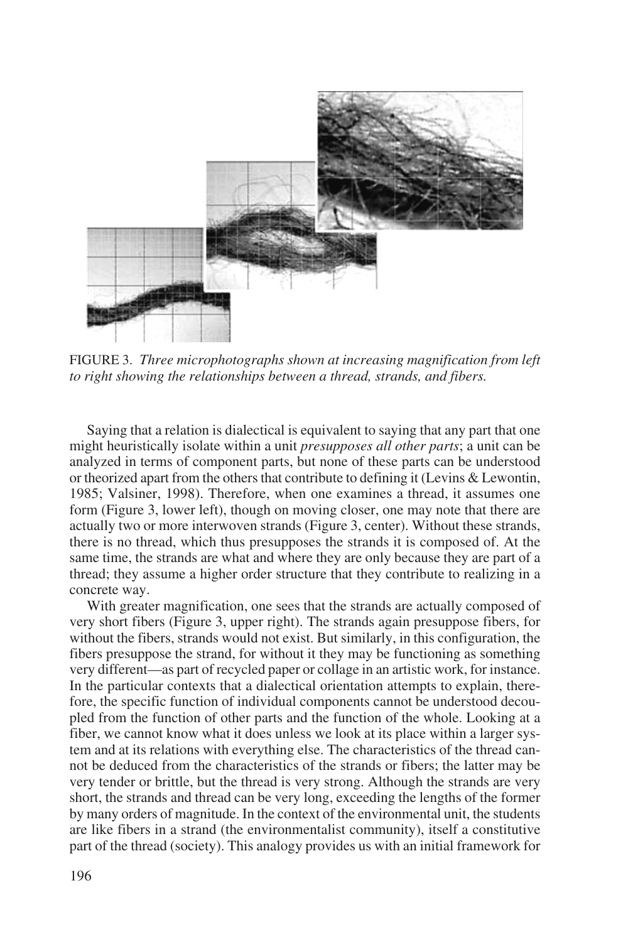

FIGURE 3. *Three microphotographs shown at increasing magnification from left to right showing the relationships between a thread, strands, and fibers.*

Saying that a relation is dialectical is equivalent to saying that any part that one might heuristically isolate within a unit *presupposes all other parts*; a unit can be analyzed in terms of component parts, but none of these parts can be understood or theorized apart from the others that contribute to defining it (Levins & Lewontin, 1985; Valsiner, 1998). Therefore, when one examines a thread, it assumes one form (Figure 3, lower left), though on moving closer, one may note that there are actually two or more interwoven strands (Figure 3, center). Without these strands, there is no thread, which thus presupposes the strands it is composed of. At the same time, the strands are what and where they are only because they are part of a thread; they assume a higher order structure that they contribute to realizing in a concrete way.

With greater magnification, one sees that the strands are actually composed of very short fibers (Figure 3, upper right). The strands again presuppose fibers, for without the fibers, strands would not exist. But similarly, in this configuration, the fibers presuppose the strand, for without it they may be functioning as something very different—as part of recycled paper or collage in an artistic work, for instance. In the particular contexts that a dialectical orientation attempts to explain, therefore, the specific function of individual components cannot be understood decoupled from the function of other parts and the function of the whole. Looking at a fiber, we cannot know what it does unless we look at its place within a larger system and at its relations with everything else. The characteristics of the thread cannot be deduced from the characteristics of the strands or fibers; the latter may be very tender or brittle, but the thread is very strong. Although the strands are very short, the strands and thread can be very long, exceeding the lengths of the former by many orders of magnitude. In the context of the environmental unit, the students are like fibers in a strand (the environmentalist community), itself a constitutive part of the thread (society). This analogy provides us with an initial framework for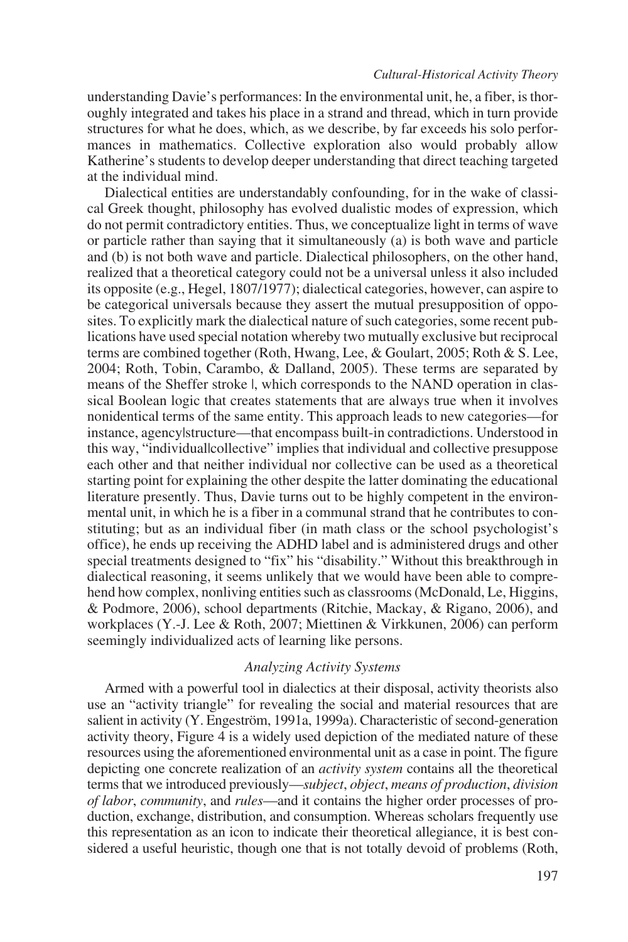understanding Davie's performances: In the environmental unit, he, a fiber, is thoroughly integrated and takes his place in a strand and thread, which in turn provide structures for what he does, which, as we describe, by far exceeds his solo performances in mathematics. Collective exploration also would probably allow Katherine's students to develop deeper understanding that direct teaching targeted at the individual mind.

Dialectical entities are understandably confounding, for in the wake of classical Greek thought, philosophy has evolved dualistic modes of expression, which do not permit contradictory entities. Thus, we conceptualize light in terms of wave or particle rather than saying that it simultaneously (a) is both wave and particle and (b) is not both wave and particle. Dialectical philosophers, on the other hand, realized that a theoretical category could not be a universal unless it also included its opposite (e.g., Hegel, 1807/1977); dialectical categories, however, can aspire to be categorical universals because they assert the mutual presupposition of opposites. To explicitly mark the dialectical nature of such categories, some recent publications have used special notation whereby two mutually exclusive but reciprocal terms are combined together (Roth, Hwang, Lee, & Goulart, 2005; Roth & S. Lee, 2004; Roth, Tobin, Carambo, & Dalland, 2005). These terms are separated by means of the Sheffer stroke |, which corresponds to the NAND operation in classical Boolean logic that creates statements that are always true when it involves nonidentical terms of the same entity. This approach leads to new categories—for instance, agency|structure—that encompass built-in contradictions. Understood in this way, "individual|collective" implies that individual and collective presuppose each other and that neither individual nor collective can be used as a theoretical starting point for explaining the other despite the latter dominating the educational literature presently. Thus, Davie turns out to be highly competent in the environmental unit, in which he is a fiber in a communal strand that he contributes to constituting; but as an individual fiber (in math class or the school psychologist's office), he ends up receiving the ADHD label and is administered drugs and other special treatments designed to "fix" his "disability." Without this breakthrough in dialectical reasoning, it seems unlikely that we would have been able to comprehend how complex, nonliving entities such as classrooms (McDonald, Le, Higgins, & Podmore, 2006), school departments (Ritchie, Mackay, & Rigano, 2006), and workplaces (Y.-J. Lee & Roth, 2007; Miettinen & Virkkunen, 2006) can perform seemingly individualized acts of learning like persons.

## *Analyzing Activity Systems*

Armed with a powerful tool in dialectics at their disposal, activity theorists also use an "activity triangle" for revealing the social and material resources that are salient in activity (Y. Engeström, 1991a, 1999a). Characteristic of second-generation activity theory, Figure 4 is a widely used depiction of the mediated nature of these resources using the aforementioned environmental unit as a case in point. The figure depicting one concrete realization of an *activity system* contains all the theoretical terms that we introduced previously—*subject*, *object*, *means of production*, *division of labor*, *community*, and *rules*—and it contains the higher order processes of production, exchange, distribution, and consumption. Whereas scholars frequently use this representation as an icon to indicate their theoretical allegiance, it is best considered a useful heuristic, though one that is not totally devoid of problems (Roth,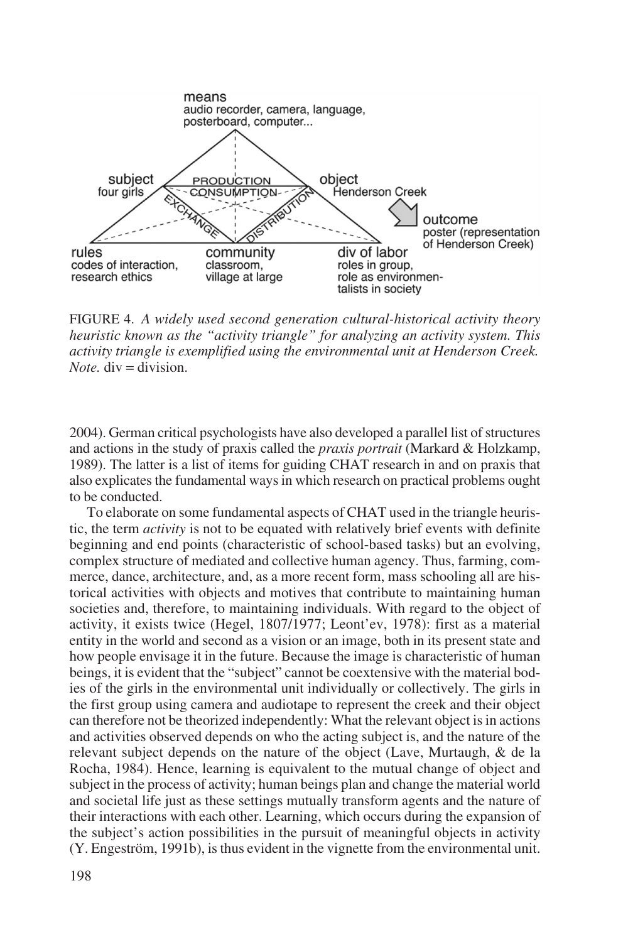

FIGURE 4. *A widely used second generation cultural-historical activity theory heuristic known as the "activity triangle" for analyzing an activity system. This activity triangle is exemplified using the environmental unit at Henderson Creek.*  $Note. div = division.$ 

2004). German critical psychologists have also developed a parallel list of structures and actions in the study of praxis called the *praxis portrait* (Markard & Holzkamp, 1989). The latter is a list of items for guiding CHAT research in and on praxis that also explicates the fundamental ways in which research on practical problems ought to be conducted.

To elaborate on some fundamental aspects of CHAT used in the triangle heuristic, the term *activity* is not to be equated with relatively brief events with definite beginning and end points (characteristic of school-based tasks) but an evolving, complex structure of mediated and collective human agency. Thus, farming, commerce, dance, architecture, and, as a more recent form, mass schooling all are historical activities with objects and motives that contribute to maintaining human societies and, therefore, to maintaining individuals. With regard to the object of activity, it exists twice (Hegel, 1807/1977; Leont'ev, 1978): first as a material entity in the world and second as a vision or an image, both in its present state and how people envisage it in the future. Because the image is characteristic of human beings, it is evident that the "subject" cannot be coextensive with the material bodies of the girls in the environmental unit individually or collectively. The girls in the first group using camera and audiotape to represent the creek and their object can therefore not be theorized independently: What the relevant object is in actions and activities observed depends on who the acting subject is, and the nature of the relevant subject depends on the nature of the object (Lave, Murtaugh, & de la Rocha, 1984). Hence, learning is equivalent to the mutual change of object and subject in the process of activity; human beings plan and change the material world and societal life just as these settings mutually transform agents and the nature of their interactions with each other. Learning, which occurs during the expansion of the subject's action possibilities in the pursuit of meaningful objects in activity (Y. Engeström, 1991b), is thus evident in the vignette from the environmental unit.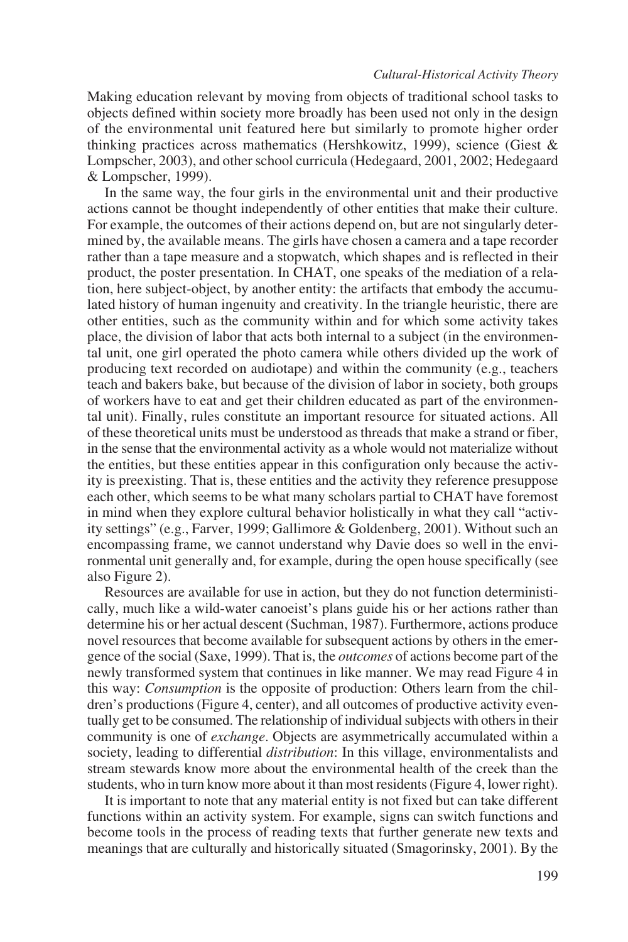Making education relevant by moving from objects of traditional school tasks to objects defined within society more broadly has been used not only in the design of the environmental unit featured here but similarly to promote higher order thinking practices across mathematics (Hershkowitz, 1999), science (Giest & Lompscher, 2003), and other school curricula (Hedegaard, 2001, 2002; Hedegaard & Lompscher, 1999).

In the same way, the four girls in the environmental unit and their productive actions cannot be thought independently of other entities that make their culture. For example, the outcomes of their actions depend on, but are not singularly determined by, the available means. The girls have chosen a camera and a tape recorder rather than a tape measure and a stopwatch, which shapes and is reflected in their product, the poster presentation. In CHAT, one speaks of the mediation of a relation, here subject-object, by another entity: the artifacts that embody the accumulated history of human ingenuity and creativity. In the triangle heuristic, there are other entities, such as the community within and for which some activity takes place, the division of labor that acts both internal to a subject (in the environmental unit, one girl operated the photo camera while others divided up the work of producing text recorded on audiotape) and within the community (e.g., teachers teach and bakers bake, but because of the division of labor in society, both groups of workers have to eat and get their children educated as part of the environmental unit). Finally, rules constitute an important resource for situated actions. All of these theoretical units must be understood as threads that make a strand or fiber, in the sense that the environmental activity as a whole would not materialize without the entities, but these entities appear in this configuration only because the activity is preexisting. That is, these entities and the activity they reference presuppose each other, which seems to be what many scholars partial to CHAT have foremost in mind when they explore cultural behavior holistically in what they call "activity settings" (e.g., Farver, 1999; Gallimore & Goldenberg, 2001). Without such an encompassing frame, we cannot understand why Davie does so well in the environmental unit generally and, for example, during the open house specifically (see also Figure 2).

Resources are available for use in action, but they do not function deterministically, much like a wild-water canoeist's plans guide his or her actions rather than determine his or her actual descent (Suchman, 1987). Furthermore, actions produce novel resources that become available for subsequent actions by others in the emergence of the social (Saxe, 1999). That is, the *outcomes* of actions become part of the newly transformed system that continues in like manner. We may read Figure 4 in this way: *Consumption* is the opposite of production: Others learn from the children's productions (Figure 4, center), and all outcomes of productive activity eventually get to be consumed. The relationship of individual subjects with others in their community is one of *exchange*. Objects are asymmetrically accumulated within a society, leading to differential *distribution*: In this village, environmentalists and stream stewards know more about the environmental health of the creek than the students, who in turn know more about it than most residents (Figure 4, lower right).

It is important to note that any material entity is not fixed but can take different functions within an activity system. For example, signs can switch functions and become tools in the process of reading texts that further generate new texts and meanings that are culturally and historically situated (Smagorinsky, 2001). By the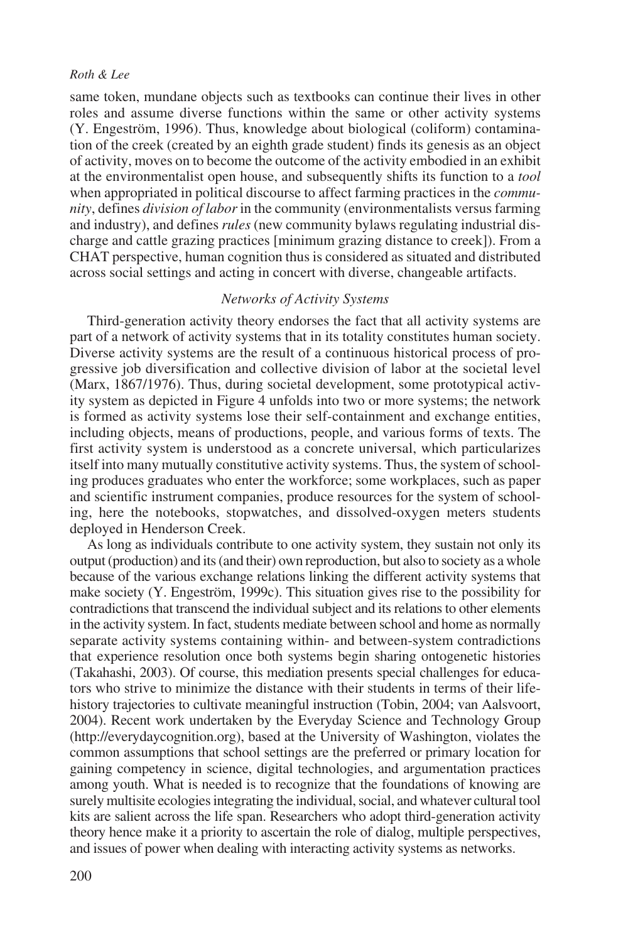same token, mundane objects such as textbooks can continue their lives in other roles and assume diverse functions within the same or other activity systems (Y. Engeström, 1996). Thus, knowledge about biological (coliform) contamination of the creek (created by an eighth grade student) finds its genesis as an object of activity, moves on to become the outcome of the activity embodied in an exhibit at the environmentalist open house, and subsequently shifts its function to a *tool* when appropriated in political discourse to affect farming practices in the *community*, defines *division of labor*in the community (environmentalists versus farming and industry), and defines *rules* (new community bylaws regulating industrial discharge and cattle grazing practices [minimum grazing distance to creek]). From a CHAT perspective, human cognition thus is considered as situated and distributed across social settings and acting in concert with diverse, changeable artifacts.

## *Networks of Activity Systems*

Third-generation activity theory endorses the fact that all activity systems are part of a network of activity systems that in its totality constitutes human society. Diverse activity systems are the result of a continuous historical process of progressive job diversification and collective division of labor at the societal level (Marx, 1867/1976). Thus, during societal development, some prototypical activity system as depicted in Figure 4 unfolds into two or more systems; the network is formed as activity systems lose their self-containment and exchange entities, including objects, means of productions, people, and various forms of texts. The first activity system is understood as a concrete universal, which particularizes itself into many mutually constitutive activity systems. Thus, the system of schooling produces graduates who enter the workforce; some workplaces, such as paper and scientific instrument companies, produce resources for the system of schooling, here the notebooks, stopwatches, and dissolved-oxygen meters students deployed in Henderson Creek.

As long as individuals contribute to one activity system, they sustain not only its output (production) and its (and their) own reproduction, but also to society as a whole because of the various exchange relations linking the different activity systems that make society (Y. Engeström, 1999c). This situation gives rise to the possibility for contradictions that transcend the individual subject and its relations to other elements in the activity system. In fact, students mediate between school and home as normally separate activity systems containing within- and between-system contradictions that experience resolution once both systems begin sharing ontogenetic histories (Takahashi, 2003). Of course, this mediation presents special challenges for educators who strive to minimize the distance with their students in terms of their lifehistory trajectories to cultivate meaningful instruction (Tobin, 2004; van Aalsvoort, 2004). Recent work undertaken by the Everyday Science and Technology Group (http://everydaycognition.org), based at the University of Washington, violates the common assumptions that school settings are the preferred or primary location for gaining competency in science, digital technologies, and argumentation practices among youth. What is needed is to recognize that the foundations of knowing are surely multisite ecologies integrating the individual, social, and whatever cultural tool kits are salient across the life span. Researchers who adopt third-generation activity theory hence make it a priority to ascertain the role of dialog, multiple perspectives, and issues of power when dealing with interacting activity systems as networks.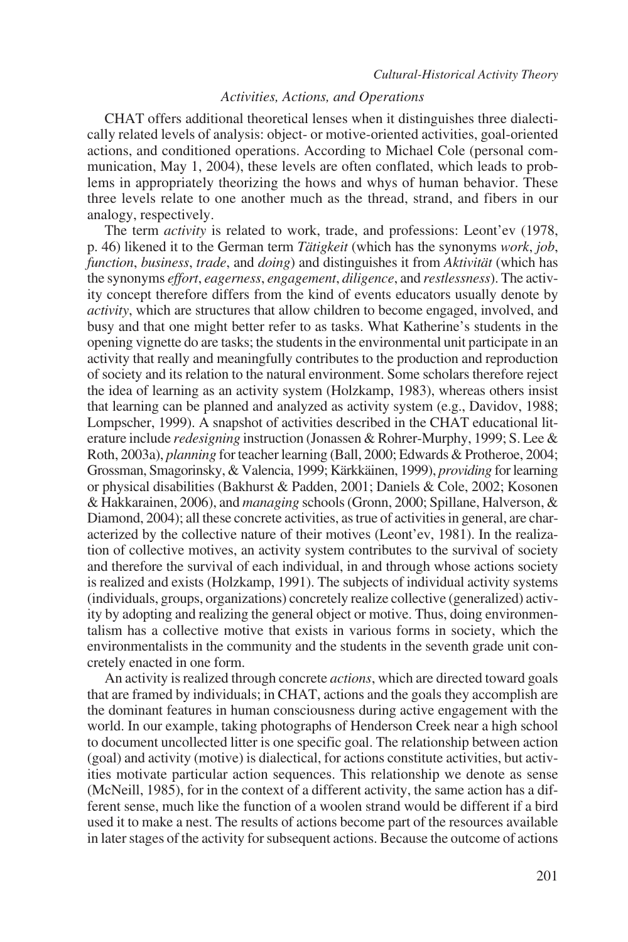## *Activities, Actions, and Operations*

CHAT offers additional theoretical lenses when it distinguishes three dialectically related levels of analysis: object- or motive-oriented activities, goal-oriented actions, and conditioned operations. According to Michael Cole (personal communication, May 1, 2004), these levels are often conflated, which leads to problems in appropriately theorizing the hows and whys of human behavior. These three levels relate to one another much as the thread, strand, and fibers in our analogy, respectively.

The term *activity* is related to work, trade, and professions: Leont'ev (1978, p. 46) likened it to the German term *Tätigkeit* (which has the synonyms *work*, *job*, *function*, *business*, *trade*, and *doing*) and distinguishes it from *Aktivität* (which has the synonyms *effort*, *eagerness*, *engagement*, *diligence*, and *restlessness*). The activity concept therefore differs from the kind of events educators usually denote by *activity*, which are structures that allow children to become engaged, involved, and busy and that one might better refer to as tasks. What Katherine's students in the opening vignette do are tasks; the students in the environmental unit participate in an activity that really and meaningfully contributes to the production and reproduction of society and its relation to the natural environment. Some scholars therefore reject the idea of learning as an activity system (Holzkamp, 1983), whereas others insist that learning can be planned and analyzed as activity system (e.g., Davidov, 1988; Lompscher, 1999). A snapshot of activities described in the CHAT educational literature include *redesigning* instruction (Jonassen & Rohrer-Murphy, 1999; S. Lee & Roth, 2003a), *planning* for teacher learning (Ball, 2000; Edwards & Protheroe, 2004; Grossman, Smagorinsky, & Valencia, 1999; Kärkkäinen, 1999), *providing* for learning or physical disabilities (Bakhurst & Padden, 2001; Daniels & Cole, 2002; Kosonen & Hakkarainen, 2006), and *managing* schools (Gronn, 2000; Spillane, Halverson, & Diamond, 2004); all these concrete activities, as true of activities in general, are characterized by the collective nature of their motives (Leont'ev, 1981). In the realization of collective motives, an activity system contributes to the survival of society and therefore the survival of each individual, in and through whose actions society is realized and exists (Holzkamp, 1991). The subjects of individual activity systems (individuals, groups, organizations) concretely realize collective (generalized) activity by adopting and realizing the general object or motive. Thus, doing environmentalism has a collective motive that exists in various forms in society, which the environmentalists in the community and the students in the seventh grade unit concretely enacted in one form.

An activity is realized through concrete *actions*, which are directed toward goals that are framed by individuals; in CHAT, actions and the goals they accomplish are the dominant features in human consciousness during active engagement with the world. In our example, taking photographs of Henderson Creek near a high school to document uncollected litter is one specific goal. The relationship between action (goal) and activity (motive) is dialectical, for actions constitute activities, but activities motivate particular action sequences. This relationship we denote as sense (McNeill, 1985), for in the context of a different activity, the same action has a different sense, much like the function of a woolen strand would be different if a bird used it to make a nest. The results of actions become part of the resources available in later stages of the activity for subsequent actions. Because the outcome of actions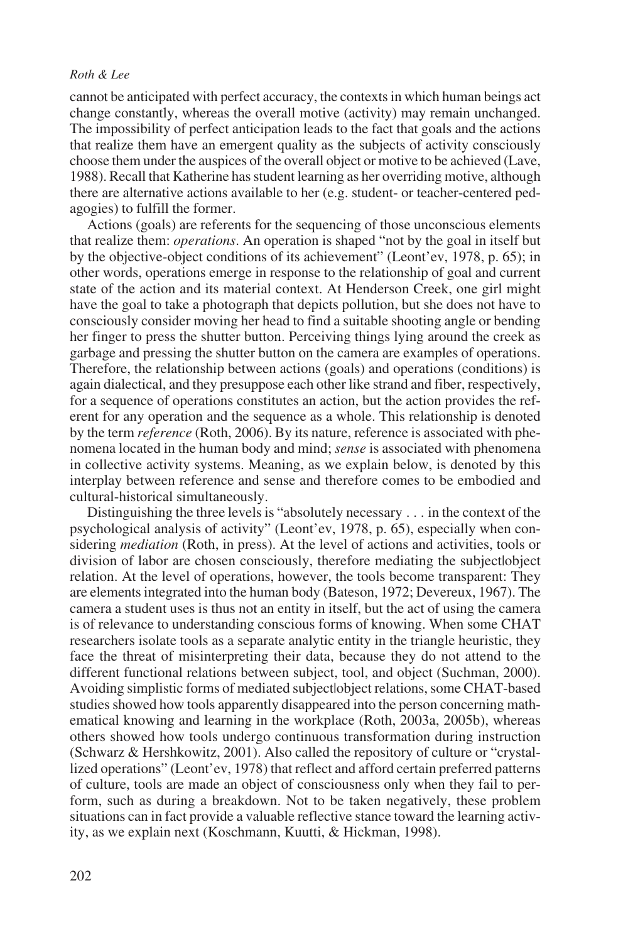cannot be anticipated with perfect accuracy, the contexts in which human beings act change constantly, whereas the overall motive (activity) may remain unchanged. The impossibility of perfect anticipation leads to the fact that goals and the actions that realize them have an emergent quality as the subjects of activity consciously choose them under the auspices of the overall object or motive to be achieved (Lave, 1988). Recall that Katherine has student learning as her overriding motive, although there are alternative actions available to her (e.g. student- or teacher-centered pedagogies) to fulfill the former.

Actions (goals) are referents for the sequencing of those unconscious elements that realize them: *operations*. An operation is shaped "not by the goal in itself but by the objective-object conditions of its achievement" (Leont'ev, 1978, p. 65); in other words, operations emerge in response to the relationship of goal and current state of the action and its material context. At Henderson Creek, one girl might have the goal to take a photograph that depicts pollution, but she does not have to consciously consider moving her head to find a suitable shooting angle or bending her finger to press the shutter button. Perceiving things lying around the creek as garbage and pressing the shutter button on the camera are examples of operations. Therefore, the relationship between actions (goals) and operations (conditions) is again dialectical, and they presuppose each other like strand and fiber, respectively, for a sequence of operations constitutes an action, but the action provides the referent for any operation and the sequence as a whole. This relationship is denoted by the term *reference* (Roth, 2006). By its nature, reference is associated with phenomena located in the human body and mind; *sense* is associated with phenomena in collective activity systems. Meaning, as we explain below, is denoted by this interplay between reference and sense and therefore comes to be embodied and cultural-historical simultaneously.

Distinguishing the three levels is "absolutely necessary . . . in the context of the psychological analysis of activity" (Leont'ev, 1978, p. 65), especially when considering *mediation* (Roth, in press). At the level of actions and activities, tools or division of labor are chosen consciously, therefore mediating the subject object relation. At the level of operations, however, the tools become transparent: They are elements integrated into the human body (Bateson, 1972; Devereux, 1967). The camera a student uses is thus not an entity in itself, but the act of using the camera is of relevance to understanding conscious forms of knowing. When some CHAT researchers isolate tools as a separate analytic entity in the triangle heuristic, they face the threat of misinterpreting their data, because they do not attend to the different functional relations between subject, tool, and object (Suchman, 2000). Avoiding simplistic forms of mediated subject|object relations, some CHAT-based studies showed how tools apparently disappeared into the person concerning mathematical knowing and learning in the workplace (Roth, 2003a, 2005b), whereas others showed how tools undergo continuous transformation during instruction (Schwarz & Hershkowitz, 2001). Also called the repository of culture or "crystallized operations" (Leont'ev, 1978) that reflect and afford certain preferred patterns of culture, tools are made an object of consciousness only when they fail to perform, such as during a breakdown. Not to be taken negatively, these problem situations can in fact provide a valuable reflective stance toward the learning activity, as we explain next (Koschmann, Kuutti, & Hickman, 1998).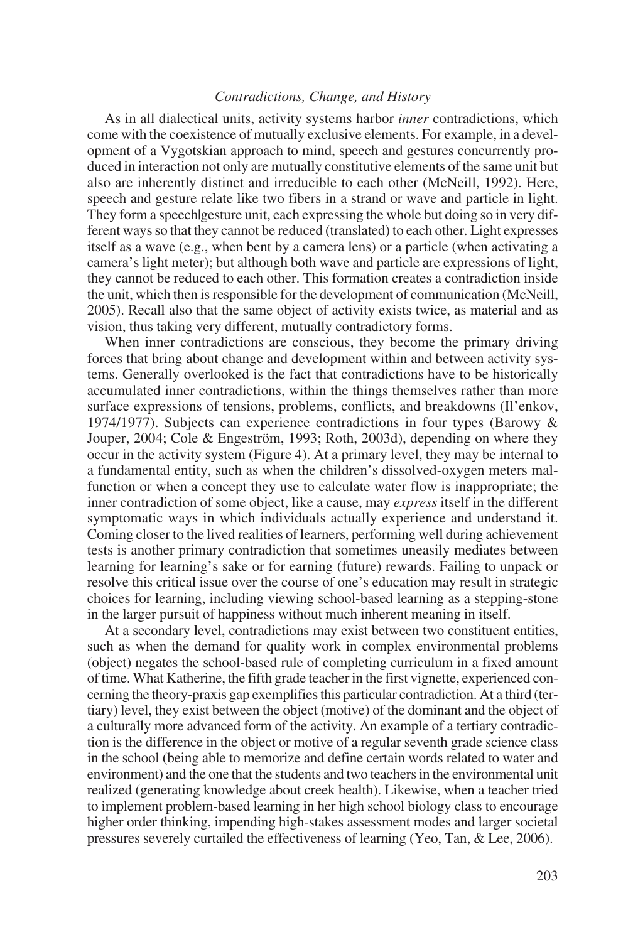## *Contradictions, Change, and History*

As in all dialectical units, activity systems harbor *inner* contradictions, which come with the coexistence of mutually exclusive elements. For example, in a development of a Vygotskian approach to mind, speech and gestures concurrently produced in interaction not only are mutually constitutive elements of the same unit but also are inherently distinct and irreducible to each other (McNeill, 1992). Here, speech and gesture relate like two fibers in a strand or wave and particle in light. They form a speechlgesture unit, each expressing the whole but doing so in very different ways so that they cannot be reduced (translated) to each other. Light expresses itself as a wave (e.g., when bent by a camera lens) or a particle (when activating a camera's light meter); but although both wave and particle are expressions of light, they cannot be reduced to each other. This formation creates a contradiction inside the unit, which then is responsible for the development of communication (McNeill, 2005). Recall also that the same object of activity exists twice, as material and as vision, thus taking very different, mutually contradictory forms.

When inner contradictions are conscious, they become the primary driving forces that bring about change and development within and between activity systems. Generally overlooked is the fact that contradictions have to be historically accumulated inner contradictions, within the things themselves rather than more surface expressions of tensions, problems, conflicts, and breakdowns (Il'enkov, 1974/1977). Subjects can experience contradictions in four types (Barowy & Jouper, 2004; Cole & Engeström, 1993; Roth, 2003d), depending on where they occur in the activity system (Figure 4). At a primary level, they may be internal to a fundamental entity, such as when the children's dissolved-oxygen meters malfunction or when a concept they use to calculate water flow is inappropriate; the inner contradiction of some object, like a cause, may *express* itself in the different symptomatic ways in which individuals actually experience and understand it. Coming closer to the lived realities of learners, performing well during achievement tests is another primary contradiction that sometimes uneasily mediates between learning for learning's sake or for earning (future) rewards. Failing to unpack or resolve this critical issue over the course of one's education may result in strategic choices for learning, including viewing school-based learning as a stepping-stone in the larger pursuit of happiness without much inherent meaning in itself.

At a secondary level, contradictions may exist between two constituent entities, such as when the demand for quality work in complex environmental problems (object) negates the school-based rule of completing curriculum in a fixed amount of time. What Katherine, the fifth grade teacher in the first vignette, experienced concerning the theory-praxis gap exemplifies this particular contradiction. At a third (tertiary) level, they exist between the object (motive) of the dominant and the object of a culturally more advanced form of the activity. An example of a tertiary contradiction is the difference in the object or motive of a regular seventh grade science class in the school (being able to memorize and define certain words related to water and environment) and the one that the students and two teachers in the environmental unit realized (generating knowledge about creek health). Likewise, when a teacher tried to implement problem-based learning in her high school biology class to encourage higher order thinking, impending high-stakes assessment modes and larger societal pressures severely curtailed the effectiveness of learning (Yeo, Tan, & Lee, 2006).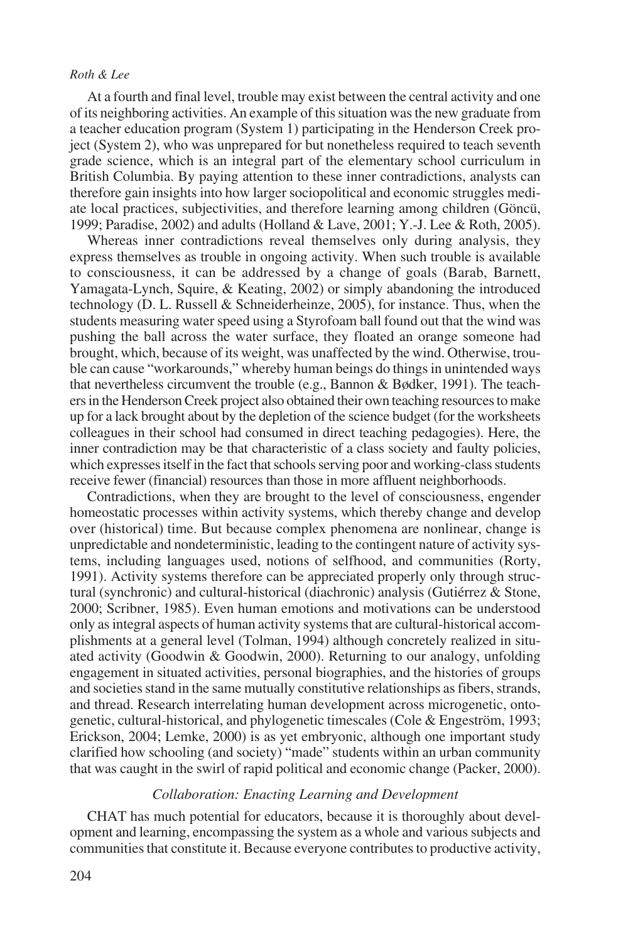At a fourth and final level, trouble may exist between the central activity and one of its neighboring activities. An example of this situation was the new graduate from a teacher education program (System 1) participating in the Henderson Creek project (System 2), who was unprepared for but nonetheless required to teach seventh grade science, which is an integral part of the elementary school curriculum in British Columbia. By paying attention to these inner contradictions, analysts can therefore gain insights into how larger sociopolitical and economic struggles mediate local practices, subjectivities, and therefore learning among children (Göncü, 1999; Paradise, 2002) and adults (Holland & Lave, 2001; Y.-J. Lee & Roth, 2005).

Whereas inner contradictions reveal themselves only during analysis, they express themselves as trouble in ongoing activity. When such trouble is available to consciousness, it can be addressed by a change of goals (Barab, Barnett, Yamagata-Lynch, Squire, & Keating, 2002) or simply abandoning the introduced technology (D. L. Russell & Schneiderheinze, 2005), for instance. Thus, when the students measuring water speed using a Styrofoam ball found out that the wind was pushing the ball across the water surface, they floated an orange someone had brought, which, because of its weight, was unaffected by the wind. Otherwise, trouble can cause "workarounds," whereby human beings do things in unintended ways that nevertheless circumvent the trouble (e.g., Bannon & Bødker, 1991). The teachers in the Henderson Creek project also obtained their own teaching resources to make up for a lack brought about by the depletion of the science budget (for the worksheets colleagues in their school had consumed in direct teaching pedagogies). Here, the inner contradiction may be that characteristic of a class society and faulty policies, which expresses itself in the fact that schools serving poor and working-class students receive fewer (financial) resources than those in more affluent neighborhoods.

Contradictions, when they are brought to the level of consciousness, engender homeostatic processes within activity systems, which thereby change and develop over (historical) time. But because complex phenomena are nonlinear, change is unpredictable and nondeterministic, leading to the contingent nature of activity systems, including languages used, notions of selfhood, and communities (Rorty, 1991). Activity systems therefore can be appreciated properly only through structural (synchronic) and cultural-historical (diachronic) analysis (Gutiérrez & Stone, 2000; Scribner, 1985). Even human emotions and motivations can be understood only as integral aspects of human activity systems that are cultural-historical accomplishments at a general level (Tolman, 1994) although concretely realized in situated activity (Goodwin & Goodwin, 2000). Returning to our analogy, unfolding engagement in situated activities, personal biographies, and the histories of groups and societies stand in the same mutually constitutive relationships as fibers, strands, and thread. Research interrelating human development across microgenetic, ontogenetic, cultural-historical, and phylogenetic timescales (Cole & Engeström, 1993; Erickson, 2004; Lemke, 2000) is as yet embryonic, although one important study clarified how schooling (and society) "made" students within an urban community that was caught in the swirl of rapid political and economic change (Packer, 2000).

## *Collaboration: Enacting Learning and Development*

CHAT has much potential for educators, because it is thoroughly about development and learning, encompassing the system as a whole and various subjects and communities that constitute it. Because everyone contributes to productive activity,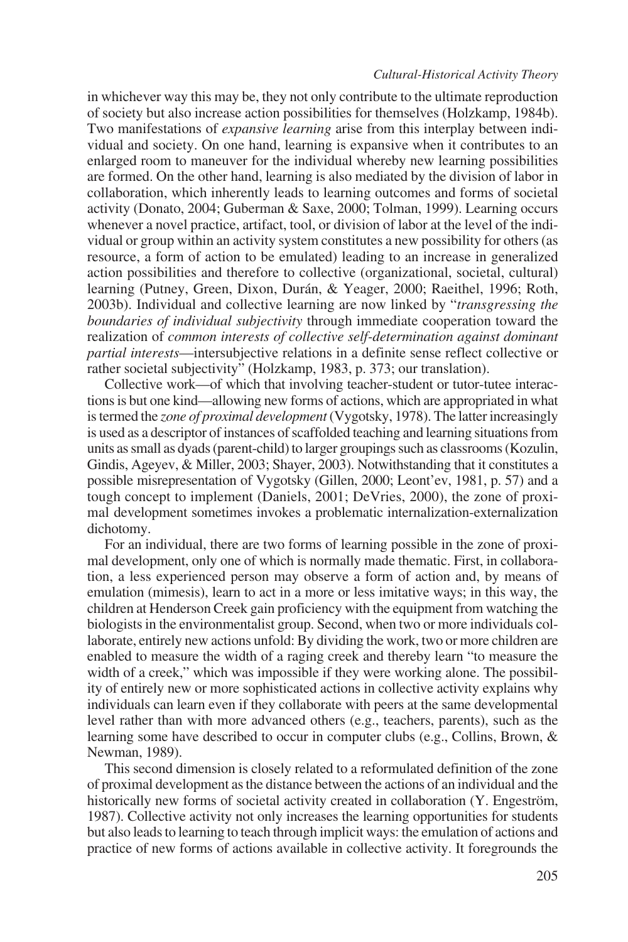#### *Cultural-Historical Activity Theory*

in whichever way this may be, they not only contribute to the ultimate reproduction of society but also increase action possibilities for themselves (Holzkamp, 1984b). Two manifestations of *expansive learning* arise from this interplay between individual and society. On one hand, learning is expansive when it contributes to an enlarged room to maneuver for the individual whereby new learning possibilities are formed. On the other hand, learning is also mediated by the division of labor in collaboration, which inherently leads to learning outcomes and forms of societal activity (Donato, 2004; Guberman & Saxe, 2000; Tolman, 1999). Learning occurs whenever a novel practice, artifact, tool, or division of labor at the level of the individual or group within an activity system constitutes a new possibility for others (as resource, a form of action to be emulated) leading to an increase in generalized action possibilities and therefore to collective (organizational, societal, cultural) learning (Putney, Green, Dixon, Durán, & Yeager, 2000; Raeithel, 1996; Roth, 2003b). Individual and collective learning are now linked by "*transgressing the boundaries of individual subjectivity* through immediate cooperation toward the realization of *common interests of collective self-determination against dominant partial interests*—intersubjective relations in a definite sense reflect collective or rather societal subjectivity" (Holzkamp, 1983, p. 373; our translation).

Collective work—of which that involving teacher-student or tutor-tutee interactions is but one kind—allowing new forms of actions, which are appropriated in what is termed the *zone of proximal development* (Vygotsky, 1978). The latter increasingly is used as a descriptor of instances of scaffolded teaching and learning situations from units as small as dyads (parent-child) to larger groupings such as classrooms (Kozulin, Gindis, Ageyev, & Miller, 2003; Shayer, 2003). Notwithstanding that it constitutes a possible misrepresentation of Vygotsky (Gillen, 2000; Leont'ev, 1981, p. 57) and a tough concept to implement (Daniels, 2001; DeVries, 2000), the zone of proximal development sometimes invokes a problematic internalization-externalization dichotomy.

For an individual, there are two forms of learning possible in the zone of proximal development, only one of which is normally made thematic. First, in collaboration, a less experienced person may observe a form of action and, by means of emulation (mimesis), learn to act in a more or less imitative ways; in this way, the children at Henderson Creek gain proficiency with the equipment from watching the biologists in the environmentalist group. Second, when two or more individuals collaborate, entirely new actions unfold: By dividing the work, two or more children are enabled to measure the width of a raging creek and thereby learn "to measure the width of a creek," which was impossible if they were working alone. The possibility of entirely new or more sophisticated actions in collective activity explains why individuals can learn even if they collaborate with peers at the same developmental level rather than with more advanced others (e.g., teachers, parents), such as the learning some have described to occur in computer clubs (e.g., Collins, Brown, & Newman, 1989).

This second dimension is closely related to a reformulated definition of the zone of proximal development as the distance between the actions of an individual and the historically new forms of societal activity created in collaboration (Y. Engeström, 1987). Collective activity not only increases the learning opportunities for students but also leads to learning to teach through implicit ways: the emulation of actions and practice of new forms of actions available in collective activity. It foregrounds the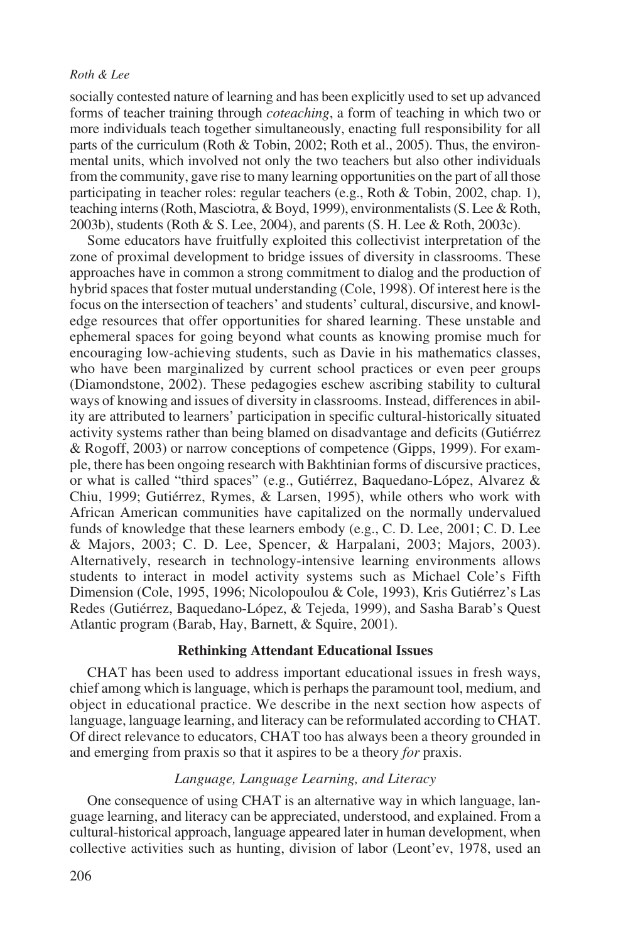socially contested nature of learning and has been explicitly used to set up advanced forms of teacher training through *coteaching*, a form of teaching in which two or more individuals teach together simultaneously, enacting full responsibility for all parts of the curriculum (Roth  $\&$  Tobin, 2002; Roth et al., 2005). Thus, the environmental units, which involved not only the two teachers but also other individuals from the community, gave rise to many learning opportunities on the part of all those participating in teacher roles: regular teachers (e.g., Roth & Tobin, 2002, chap. 1), teaching interns (Roth, Masciotra, & Boyd, 1999), environmentalists (S. Lee & Roth, 2003b), students (Roth & S. Lee, 2004), and parents (S. H. Lee & Roth, 2003c).

Some educators have fruitfully exploited this collectivist interpretation of the zone of proximal development to bridge issues of diversity in classrooms. These approaches have in common a strong commitment to dialog and the production of hybrid spaces that foster mutual understanding (Cole, 1998). Of interest here is the focus on the intersection of teachers' and students' cultural, discursive, and knowledge resources that offer opportunities for shared learning. These unstable and ephemeral spaces for going beyond what counts as knowing promise much for encouraging low-achieving students, such as Davie in his mathematics classes, who have been marginalized by current school practices or even peer groups (Diamondstone, 2002). These pedagogies eschew ascribing stability to cultural ways of knowing and issues of diversity in classrooms. Instead, differences in ability are attributed to learners' participation in specific cultural-historically situated activity systems rather than being blamed on disadvantage and deficits (Gutiérrez & Rogoff, 2003) or narrow conceptions of competence (Gipps, 1999). For example, there has been ongoing research with Bakhtinian forms of discursive practices, or what is called "third spaces" (e.g., Gutiérrez, Baquedano-López, Alvarez & Chiu, 1999; Gutiérrez, Rymes, & Larsen, 1995), while others who work with African American communities have capitalized on the normally undervalued funds of knowledge that these learners embody (e.g., C. D. Lee, 2001; C. D. Lee & Majors, 2003; C. D. Lee, Spencer, & Harpalani, 2003; Majors, 2003). Alternatively, research in technology-intensive learning environments allows students to interact in model activity systems such as Michael Cole's Fifth Dimension (Cole, 1995, 1996; Nicolopoulou & Cole, 1993), Kris Gutiérrez's Las Redes (Gutiérrez, Baquedano-López, & Tejeda, 1999), and Sasha Barab's Quest Atlantic program (Barab, Hay, Barnett, & Squire, 2001).

## **Rethinking Attendant Educational Issues**

CHAT has been used to address important educational issues in fresh ways, chief among which is language, which is perhaps the paramount tool, medium, and object in educational practice. We describe in the next section how aspects of language, language learning, and literacy can be reformulated according to CHAT. Of direct relevance to educators, CHAT too has always been a theory grounded in and emerging from praxis so that it aspires to be a theory *for* praxis.

# *Language, Language Learning, and Literacy*

One consequence of using CHAT is an alternative way in which language, language learning, and literacy can be appreciated, understood, and explained. From a cultural-historical approach, language appeared later in human development, when collective activities such as hunting, division of labor (Leont'ev, 1978, used an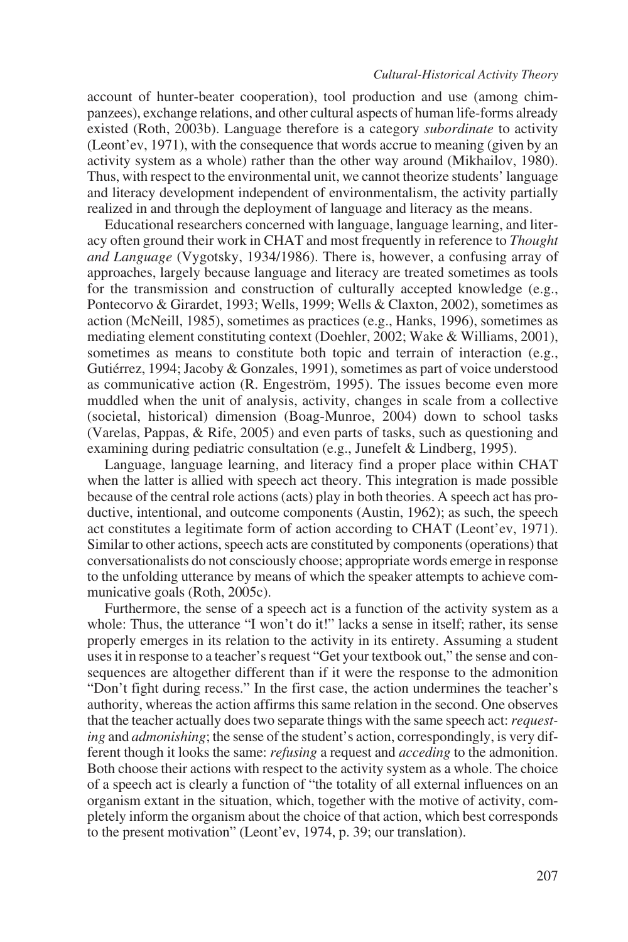account of hunter-beater cooperation), tool production and use (among chimpanzees), exchange relations, and other cultural aspects of human life-forms already existed (Roth, 2003b). Language therefore is a category *subordinate* to activity (Leont'ev, 1971), with the consequence that words accrue to meaning (given by an activity system as a whole) rather than the other way around (Mikhailov, 1980). Thus, with respect to the environmental unit, we cannot theorize students' language and literacy development independent of environmentalism, the activity partially realized in and through the deployment of language and literacy as the means.

Educational researchers concerned with language, language learning, and literacy often ground their work in CHAT and most frequently in reference to *Thought and Language* (Vygotsky, 1934/1986). There is, however, a confusing array of approaches, largely because language and literacy are treated sometimes as tools for the transmission and construction of culturally accepted knowledge (e.g., Pontecorvo & Girardet, 1993; Wells, 1999; Wells & Claxton, 2002), sometimes as action (McNeill, 1985), sometimes as practices (e.g., Hanks, 1996), sometimes as mediating element constituting context (Doehler, 2002; Wake & Williams, 2001), sometimes as means to constitute both topic and terrain of interaction (e.g., Gutiérrez, 1994; Jacoby & Gonzales, 1991), sometimes as part of voice understood as communicative action (R. Engeström, 1995). The issues become even more muddled when the unit of analysis, activity, changes in scale from a collective (societal, historical) dimension (Boag-Munroe, 2004) down to school tasks (Varelas, Pappas, & Rife, 2005) and even parts of tasks, such as questioning and examining during pediatric consultation (e.g., Junefelt & Lindberg, 1995).

Language, language learning, and literacy find a proper place within CHAT when the latter is allied with speech act theory. This integration is made possible because of the central role actions (acts) play in both theories. A speech act has productive, intentional, and outcome components (Austin, 1962); as such, the speech act constitutes a legitimate form of action according to CHAT (Leont'ev, 1971). Similar to other actions, speech acts are constituted by components (operations) that conversationalists do not consciously choose; appropriate words emerge in response to the unfolding utterance by means of which the speaker attempts to achieve communicative goals (Roth, 2005c).

Furthermore, the sense of a speech act is a function of the activity system as a whole: Thus, the utterance "I won't do it!" lacks a sense in itself; rather, its sense properly emerges in its relation to the activity in its entirety. Assuming a student uses it in response to a teacher's request "Get your textbook out," the sense and consequences are altogether different than if it were the response to the admonition "Don't fight during recess." In the first case, the action undermines the teacher's authority, whereas the action affirms this same relation in the second. One observes that the teacher actually does two separate things with the same speech act: *requesting* and *admonishing*; the sense of the student's action, correspondingly, is very different though it looks the same: *refusing* a request and *acceding* to the admonition. Both choose their actions with respect to the activity system as a whole. The choice of a speech act is clearly a function of "the totality of all external influences on an organism extant in the situation, which, together with the motive of activity, completely inform the organism about the choice of that action, which best corresponds to the present motivation" (Leont'ev, 1974, p. 39; our translation).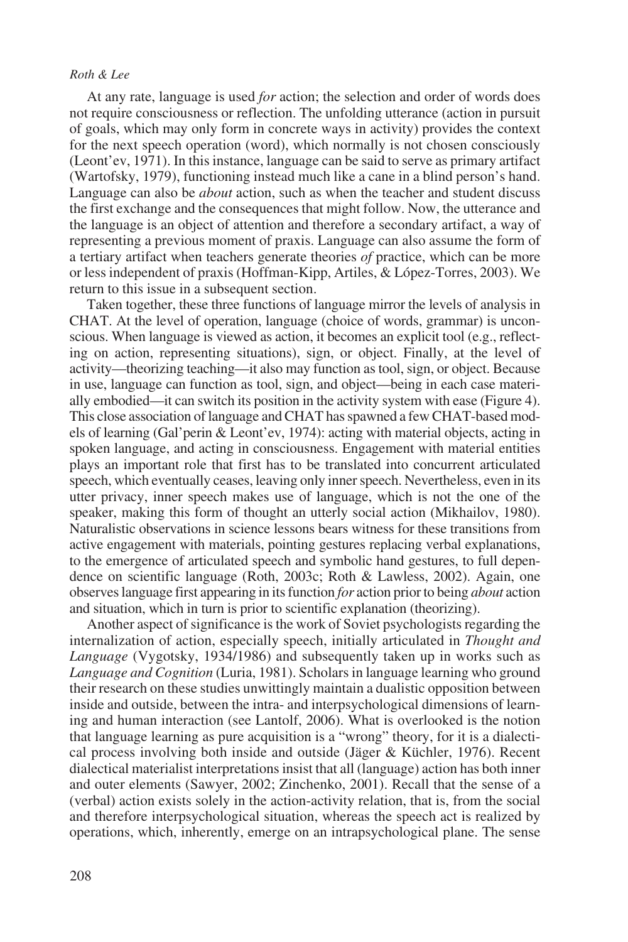At any rate, language is used *for* action; the selection and order of words does not require consciousness or reflection. The unfolding utterance (action in pursuit of goals, which may only form in concrete ways in activity) provides the context for the next speech operation (word), which normally is not chosen consciously (Leont'ev, 1971). In this instance, language can be said to serve as primary artifact (Wartofsky, 1979), functioning instead much like a cane in a blind person's hand. Language can also be *about* action, such as when the teacher and student discuss the first exchange and the consequences that might follow. Now, the utterance and the language is an object of attention and therefore a secondary artifact, a way of representing a previous moment of praxis. Language can also assume the form of a tertiary artifact when teachers generate theories *of* practice, which can be more or less independent of praxis (Hoffman-Kipp, Artiles, & López-Torres, 2003). We return to this issue in a subsequent section.

Taken together, these three functions of language mirror the levels of analysis in CHAT. At the level of operation, language (choice of words, grammar) is unconscious. When language is viewed as action, it becomes an explicit tool (e.g., reflecting on action, representing situations), sign, or object. Finally, at the level of activity—theorizing teaching—it also may function as tool, sign, or object. Because in use, language can function as tool, sign, and object—being in each case materially embodied—it can switch its position in the activity system with ease (Figure 4). This close association of language and CHAT has spawned a few CHAT-based models of learning (Gal'perin & Leont'ev, 1974): acting with material objects, acting in spoken language, and acting in consciousness. Engagement with material entities plays an important role that first has to be translated into concurrent articulated speech, which eventually ceases, leaving only inner speech. Nevertheless, even in its utter privacy, inner speech makes use of language, which is not the one of the speaker, making this form of thought an utterly social action (Mikhailov, 1980). Naturalistic observations in science lessons bears witness for these transitions from active engagement with materials, pointing gestures replacing verbal explanations, to the emergence of articulated speech and symbolic hand gestures, to full dependence on scientific language (Roth, 2003c; Roth & Lawless, 2002). Again, one observes language first appearing in its function *for* action prior to being *about* action and situation, which in turn is prior to scientific explanation (theorizing).

Another aspect of significance is the work of Soviet psychologists regarding the internalization of action, especially speech, initially articulated in *Thought and Language* (Vygotsky, 1934/1986) and subsequently taken up in works such as *Language and Cognition* (Luria, 1981). Scholars in language learning who ground their research on these studies unwittingly maintain a dualistic opposition between inside and outside, between the intra- and interpsychological dimensions of learning and human interaction (see Lantolf, 2006). What is overlooked is the notion that language learning as pure acquisition is a "wrong" theory, for it is a dialectical process involving both inside and outside (Jäger & Küchler, 1976). Recent dialectical materialist interpretations insist that all (language) action has both inner and outer elements (Sawyer, 2002; Zinchenko, 2001). Recall that the sense of a (verbal) action exists solely in the action-activity relation, that is, from the social and therefore interpsychological situation, whereas the speech act is realized by operations, which, inherently, emerge on an intrapsychological plane. The sense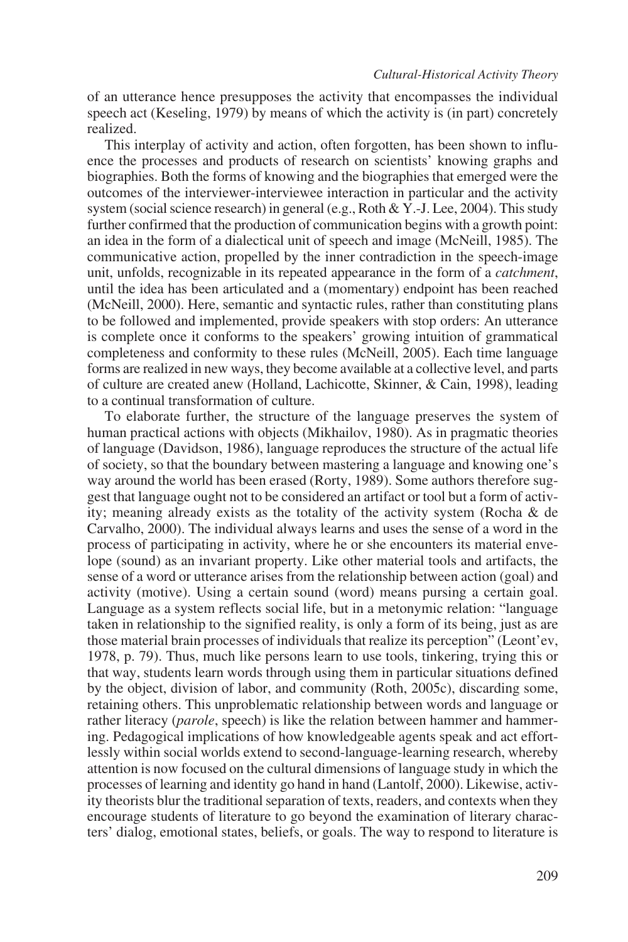of an utterance hence presupposes the activity that encompasses the individual speech act (Keseling, 1979) by means of which the activity is (in part) concretely realized.

This interplay of activity and action, often forgotten, has been shown to influence the processes and products of research on scientists' knowing graphs and biographies. Both the forms of knowing and the biographies that emerged were the outcomes of the interviewer-interviewee interaction in particular and the activity system (social science research) in general (e.g., Roth & Y.-J. Lee, 2004). This study further confirmed that the production of communication begins with a growth point: an idea in the form of a dialectical unit of speech and image (McNeill, 1985). The communicative action, propelled by the inner contradiction in the speech-image unit, unfolds, recognizable in its repeated appearance in the form of a *catchment*, until the idea has been articulated and a (momentary) endpoint has been reached (McNeill, 2000). Here, semantic and syntactic rules, rather than constituting plans to be followed and implemented, provide speakers with stop orders: An utterance is complete once it conforms to the speakers' growing intuition of grammatical completeness and conformity to these rules (McNeill, 2005). Each time language forms are realized in new ways, they become available at a collective level, and parts of culture are created anew (Holland, Lachicotte, Skinner, & Cain, 1998), leading to a continual transformation of culture.

To elaborate further, the structure of the language preserves the system of human practical actions with objects (Mikhailov, 1980). As in pragmatic theories of language (Davidson, 1986), language reproduces the structure of the actual life of society, so that the boundary between mastering a language and knowing one's way around the world has been erased (Rorty, 1989). Some authors therefore suggest that language ought not to be considered an artifact or tool but a form of activity; meaning already exists as the totality of the activity system (Rocha & de Carvalho, 2000). The individual always learns and uses the sense of a word in the process of participating in activity, where he or she encounters its material envelope (sound) as an invariant property. Like other material tools and artifacts, the sense of a word or utterance arises from the relationship between action (goal) and activity (motive). Using a certain sound (word) means pursing a certain goal. Language as a system reflects social life, but in a metonymic relation: "language taken in relationship to the signified reality, is only a form of its being, just as are those material brain processes of individuals that realize its perception" (Leont'ev, 1978, p. 79). Thus, much like persons learn to use tools, tinkering, trying this or that way, students learn words through using them in particular situations defined by the object, division of labor, and community (Roth, 2005c), discarding some, retaining others. This unproblematic relationship between words and language or rather literacy (*parole*, speech) is like the relation between hammering. Pedagogical implications of how knowledgeable agents speak and act effortlessly within social worlds extend to second-language-learning research, whereby attention is now focused on the cultural dimensions of language study in which the processes of learning and identity go hand in hand (Lantolf, 2000). Likewise, activity theorists blur the traditional separation of texts, readers, and contexts when they encourage students of literature to go beyond the examination of literary characters' dialog, emotional states, beliefs, or goals. The way to respond to literature is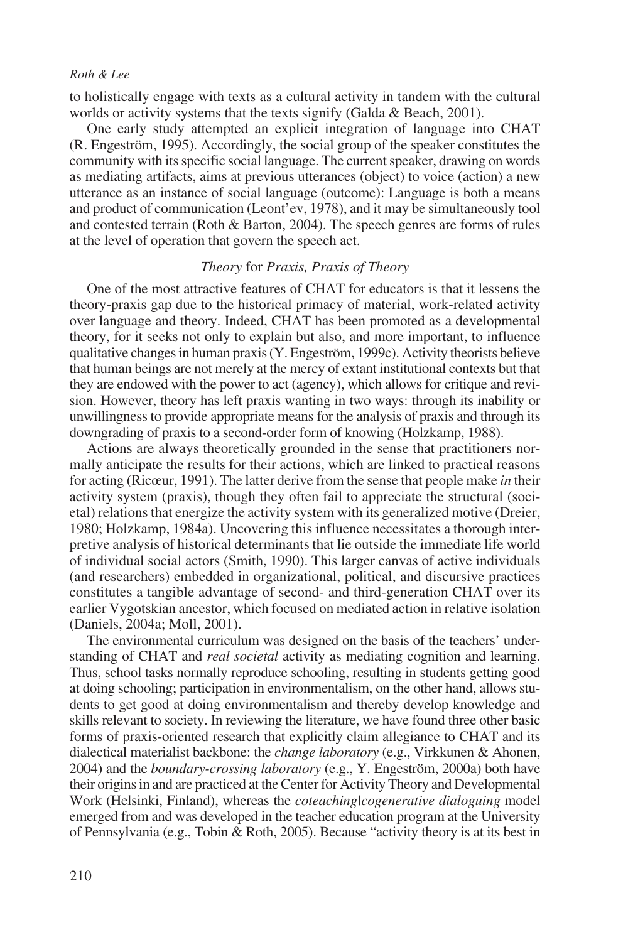to holistically engage with texts as a cultural activity in tandem with the cultural worlds or activity systems that the texts signify (Galda & Beach, 2001).

One early study attempted an explicit integration of language into CHAT (R. Engeström, 1995). Accordingly, the social group of the speaker constitutes the community with its specific social language. The current speaker, drawing on words as mediating artifacts, aims at previous utterances (object) to voice (action) a new utterance as an instance of social language (outcome): Language is both a means and product of communication (Leont'ev, 1978), and it may be simultaneously tool and contested terrain (Roth & Barton, 2004). The speech genres are forms of rules at the level of operation that govern the speech act.

## *Theory* for *Praxis, Praxis of Theory*

One of the most attractive features of CHAT for educators is that it lessens the theory-praxis gap due to the historical primacy of material, work-related activity over language and theory. Indeed, CHAT has been promoted as a developmental theory, for it seeks not only to explain but also, and more important, to influence qualitative changes in human praxis (Y. Engeström, 1999c). Activity theorists believe that human beings are not merely at the mercy of extant institutional contexts but that they are endowed with the power to act (agency), which allows for critique and revision. However, theory has left praxis wanting in two ways: through its inability or unwillingness to provide appropriate means for the analysis of praxis and through its downgrading of praxis to a second-order form of knowing (Holzkamp, 1988).

Actions are always theoretically grounded in the sense that practitioners normally anticipate the results for their actions, which are linked to practical reasons for acting (Ricœur, 1991). The latter derive from the sense that people make *in* their activity system (praxis), though they often fail to appreciate the structural (societal) relations that energize the activity system with its generalized motive (Dreier, 1980; Holzkamp, 1984a). Uncovering this influence necessitates a thorough interpretive analysis of historical determinants that lie outside the immediate life world of individual social actors (Smith, 1990). This larger canvas of active individuals (and researchers) embedded in organizational, political, and discursive practices constitutes a tangible advantage of second- and third-generation CHAT over its earlier Vygotskian ancestor, which focused on mediated action in relative isolation (Daniels, 2004a; Moll, 2001).

The environmental curriculum was designed on the basis of the teachers' understanding of CHAT and *real societal* activity as mediating cognition and learning. Thus, school tasks normally reproduce schooling, resulting in students getting good at doing schooling; participation in environmentalism, on the other hand, allows students to get good at doing environmentalism and thereby develop knowledge and skills relevant to society. In reviewing the literature, we have found three other basic forms of praxis-oriented research that explicitly claim allegiance to CHAT and its dialectical materialist backbone: the *change laboratory* (e.g., Virkkunen & Ahonen, 2004) and the *boundary-crossing laboratory* (e.g., Y. Engeström, 2000a) both have their origins in and are practiced at the Center for Activity Theory and Developmental Work (Helsinki, Finland), whereas the *coteaching|cogenerative dialoguing* model emerged from and was developed in the teacher education program at the University of Pennsylvania (e.g., Tobin & Roth, 2005). Because "activity theory is at its best in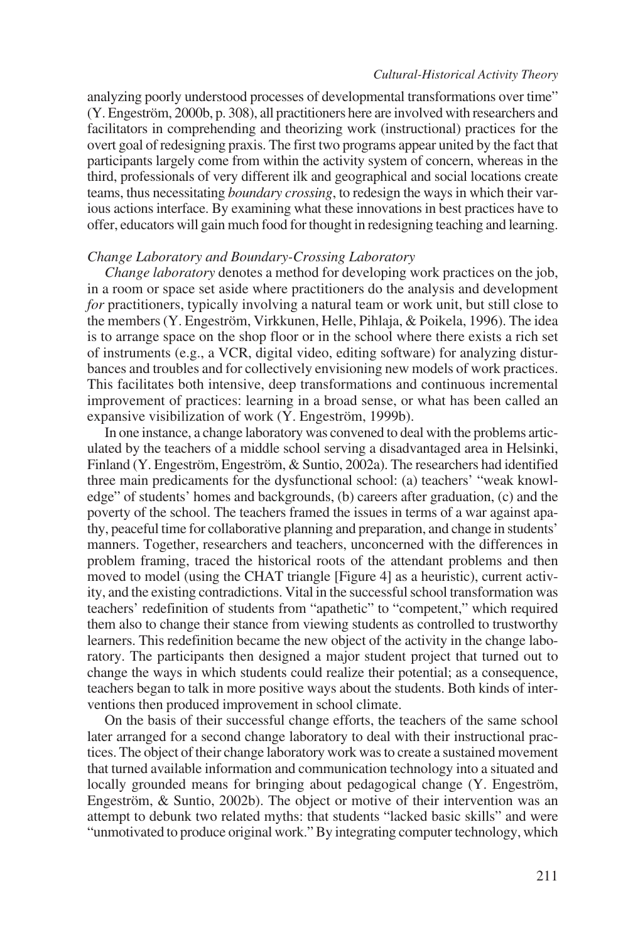#### *Cultural-Historical Activity Theory*

analyzing poorly understood processes of developmental transformations over time" (Y. Engeström, 2000b, p. 308), all practitioners here are involved with researchers and facilitators in comprehending and theorizing work (instructional) practices for the overt goal of redesigning praxis. The first two programs appear united by the fact that participants largely come from within the activity system of concern, whereas in the third, professionals of very different ilk and geographical and social locations create teams, thus necessitating *boundary crossing*, to redesign the ways in which their various actions interface. By examining what these innovations in best practices have to offer, educators will gain much food for thought in redesigning teaching and learning.

## *Change Laboratory and Boundary-Crossing Laboratory*

*Change laboratory* denotes a method for developing work practices on the job, in a room or space set aside where practitioners do the analysis and development *for* practitioners, typically involving a natural team or work unit, but still close to the members (Y. Engeström, Virkkunen, Helle, Pihlaja, & Poikela, 1996). The idea is to arrange space on the shop floor or in the school where there exists a rich set of instruments (e.g., a VCR, digital video, editing software) for analyzing disturbances and troubles and for collectively envisioning new models of work practices. This facilitates both intensive, deep transformations and continuous incremental improvement of practices: learning in a broad sense, or what has been called an expansive visibilization of work (Y. Engeström, 1999b).

In one instance, a change laboratory was convened to deal with the problems articulated by the teachers of a middle school serving a disadvantaged area in Helsinki, Finland (Y. Engeström, Engeström, & Suntio, 2002a). The researchers had identified three main predicaments for the dysfunctional school: (a) teachers' "weak knowledge" of students' homes and backgrounds, (b) careers after graduation, (c) and the poverty of the school. The teachers framed the issues in terms of a war against apathy, peaceful time for collaborative planning and preparation, and change in students' manners. Together, researchers and teachers, unconcerned with the differences in problem framing, traced the historical roots of the attendant problems and then moved to model (using the CHAT triangle [Figure 4] as a heuristic), current activity, and the existing contradictions. Vital in the successful school transformation was teachers' redefinition of students from "apathetic" to "competent," which required them also to change their stance from viewing students as controlled to trustworthy learners. This redefinition became the new object of the activity in the change laboratory. The participants then designed a major student project that turned out to change the ways in which students could realize their potential; as a consequence, teachers began to talk in more positive ways about the students. Both kinds of interventions then produced improvement in school climate.

On the basis of their successful change efforts, the teachers of the same school later arranged for a second change laboratory to deal with their instructional practices. The object of their change laboratory work was to create a sustained movement that turned available information and communication technology into a situated and locally grounded means for bringing about pedagogical change (Y. Engeström, Engeström, & Suntio, 2002b). The object or motive of their intervention was an attempt to debunk two related myths: that students "lacked basic skills" and were "unmotivated to produce original work." By integrating computer technology, which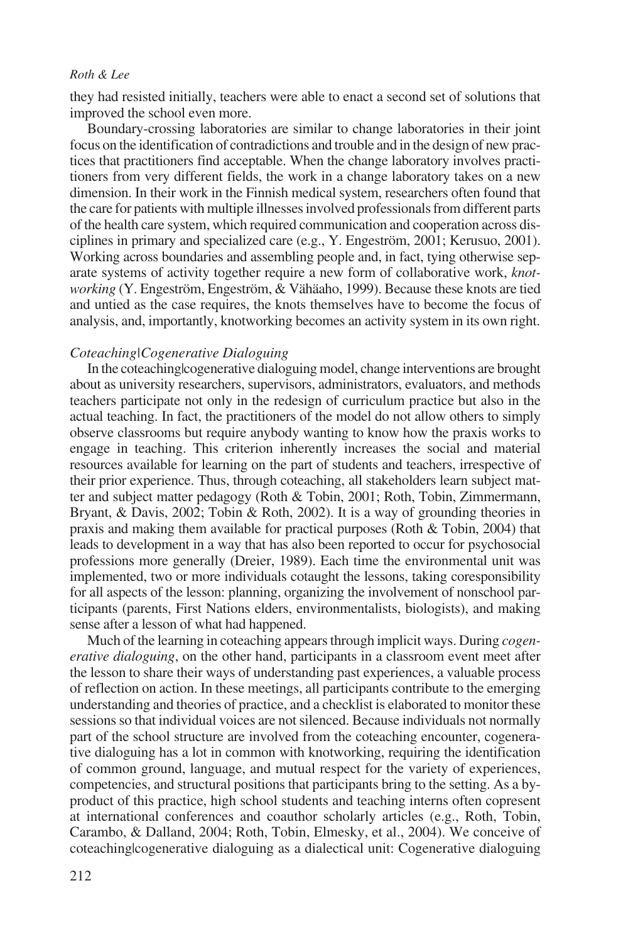they had resisted initially, teachers were able to enact a second set of solutions that improved the school even more.

Boundary-crossing laboratories are similar to change laboratories in their joint focus on the identification of contradictions and trouble and in the design of new practices that practitioners find acceptable. When the change laboratory involves practitioners from very different fields, the work in a change laboratory takes on a new dimension. In their work in the Finnish medical system, researchers often found that the care for patients with multiple illnesses involved professionals from different parts of the health care system, which required communication and cooperation across disciplines in primary and specialized care (e.g., Y. Engeström, 2001; Kerusuo, 2001). Working across boundaries and assembling people and, in fact, tying otherwise separate systems of activity together require a new form of collaborative work, *knotworking* (Y. Engeström, Engeström, & Vähäaho, 1999). Because these knots are tied and untied as the case requires, the knots themselves have to become the focus of analysis, and, importantly, knotworking becomes an activity system in its own right.

## *Coteaching|Cogenerative Dialoguing*

In the coteaching|cogenerative dialoguing model, change interventions are brought about as university researchers, supervisors, administrators, evaluators, and methods teachers participate not only in the redesign of curriculum practice but also in the actual teaching. In fact, the practitioners of the model do not allow others to simply observe classrooms but require anybody wanting to know how the praxis works to engage in teaching. This criterion inherently increases the social and material resources available for learning on the part of students and teachers, irrespective of their prior experience. Thus, through coteaching, all stakeholders learn subject matter and subject matter pedagogy (Roth & Tobin, 2001; Roth, Tobin, Zimmermann, Bryant, & Davis, 2002; Tobin & Roth, 2002). It is a way of grounding theories in praxis and making them available for practical purposes (Roth & Tobin, 2004) that leads to development in a way that has also been reported to occur for psychosocial professions more generally (Dreier, 1989). Each time the environmental unit was implemented, two or more individuals cotaught the lessons, taking coresponsibility for all aspects of the lesson: planning, organizing the involvement of nonschool participants (parents, First Nations elders, environmentalists, biologists), and making sense after a lesson of what had happened.

Much of the learning in coteaching appears through implicit ways. During *cogenerative dialoguing*, on the other hand, participants in a classroom event meet after the lesson to share their ways of understanding past experiences, a valuable process of reflection on action. In these meetings, all participants contribute to the emerging understanding and theories of practice, and a checklist is elaborated to monitor these sessions so that individual voices are not silenced. Because individuals not normally part of the school structure are involved from the coteaching encounter, cogenerative dialoguing has a lot in common with knotworking, requiring the identification of common ground, language, and mutual respect for the variety of experiences, competencies, and structural positions that participants bring to the setting. As a byproduct of this practice, high school students and teaching interns often copresent at international conferences and coauthor scholarly articles (e.g., Roth, Tobin, Carambo, & Dalland, 2004; Roth, Tobin, Elmesky, et al., 2004). We conceive of coteaching|cogenerative dialoguing as a dialectical unit: Cogenerative dialoguing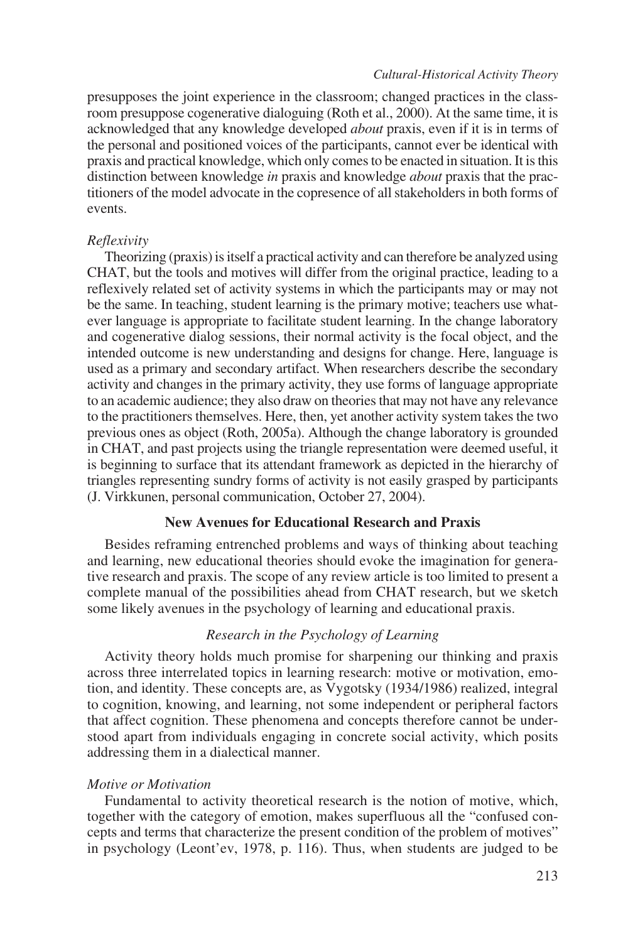presupposes the joint experience in the classroom; changed practices in the classroom presuppose cogenerative dialoguing (Roth et al., 2000). At the same time, it is acknowledged that any knowledge developed *about* praxis, even if it is in terms of the personal and positioned voices of the participants, cannot ever be identical with praxis and practical knowledge, which only comes to be enacted in situation. It is this distinction between knowledge *in* praxis and knowledge *about* praxis that the practitioners of the model advocate in the copresence of all stakeholders in both forms of events.

## *Reflexivity*

Theorizing (praxis) is itself a practical activity and can therefore be analyzed using CHAT, but the tools and motives will differ from the original practice, leading to a reflexively related set of activity systems in which the participants may or may not be the same. In teaching, student learning is the primary motive; teachers use whatever language is appropriate to facilitate student learning. In the change laboratory and cogenerative dialog sessions, their normal activity is the focal object, and the intended outcome is new understanding and designs for change. Here, language is used as a primary and secondary artifact. When researchers describe the secondary activity and changes in the primary activity, they use forms of language appropriate to an academic audience; they also draw on theories that may not have any relevance to the practitioners themselves. Here, then, yet another activity system takes the two previous ones as object (Roth, 2005a). Although the change laboratory is grounded in CHAT, and past projects using the triangle representation were deemed useful, it is beginning to surface that its attendant framework as depicted in the hierarchy of triangles representing sundry forms of activity is not easily grasped by participants (J. Virkkunen, personal communication, October 27, 2004).

# **New Avenues for Educational Research and Praxis**

Besides reframing entrenched problems and ways of thinking about teaching and learning, new educational theories should evoke the imagination for generative research and praxis. The scope of any review article is too limited to present a complete manual of the possibilities ahead from CHAT research, but we sketch some likely avenues in the psychology of learning and educational praxis.

## *Research in the Psychology of Learning*

Activity theory holds much promise for sharpening our thinking and praxis across three interrelated topics in learning research: motive or motivation, emotion, and identity. These concepts are, as Vygotsky (1934/1986) realized, integral to cognition, knowing, and learning, not some independent or peripheral factors that affect cognition. These phenomena and concepts therefore cannot be understood apart from individuals engaging in concrete social activity, which posits addressing them in a dialectical manner.

## *Motive or Motivation*

Fundamental to activity theoretical research is the notion of motive, which, together with the category of emotion, makes superfluous all the "confused concepts and terms that characterize the present condition of the problem of motives" in psychology (Leont'ev, 1978, p. 116). Thus, when students are judged to be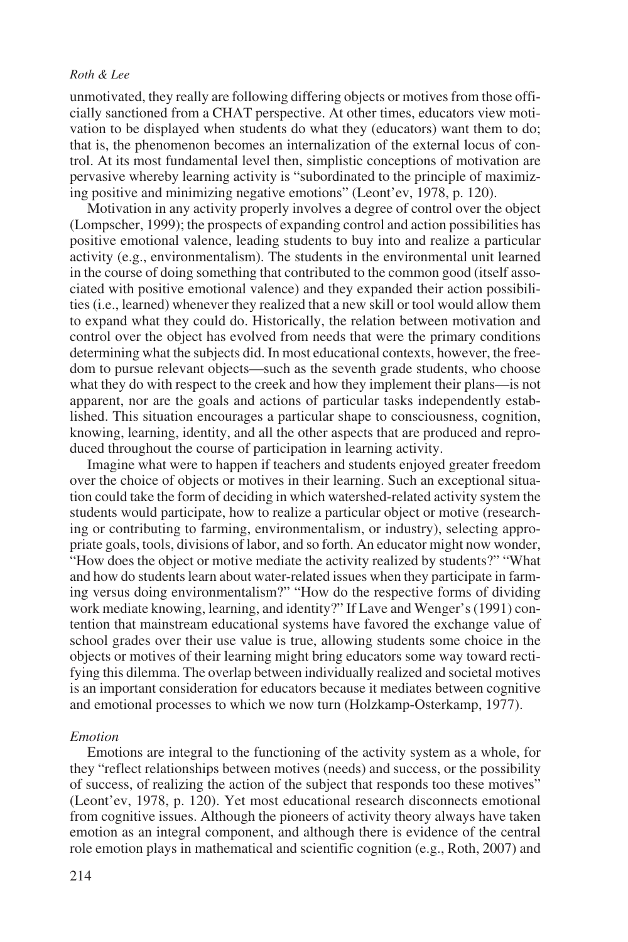unmotivated, they really are following differing objects or motives from those officially sanctioned from a CHAT perspective. At other times, educators view motivation to be displayed when students do what they (educators) want them to do; that is, the phenomenon becomes an internalization of the external locus of control. At its most fundamental level then, simplistic conceptions of motivation are pervasive whereby learning activity is "subordinated to the principle of maximizing positive and minimizing negative emotions" (Leont'ev, 1978, p. 120).

Motivation in any activity properly involves a degree of control over the object (Lompscher, 1999); the prospects of expanding control and action possibilities has positive emotional valence, leading students to buy into and realize a particular activity (e.g., environmentalism). The students in the environmental unit learned in the course of doing something that contributed to the common good (itself associated with positive emotional valence) and they expanded their action possibilities (i.e., learned) whenever they realized that a new skill or tool would allow them to expand what they could do. Historically, the relation between motivation and control over the object has evolved from needs that were the primary conditions determining what the subjects did. In most educational contexts, however, the freedom to pursue relevant objects—such as the seventh grade students, who choose what they do with respect to the creek and how they implement their plans—is not apparent, nor are the goals and actions of particular tasks independently established. This situation encourages a particular shape to consciousness, cognition, knowing, learning, identity, and all the other aspects that are produced and reproduced throughout the course of participation in learning activity.

Imagine what were to happen if teachers and students enjoyed greater freedom over the choice of objects or motives in their learning. Such an exceptional situation could take the form of deciding in which watershed-related activity system the students would participate, how to realize a particular object or motive (researching or contributing to farming, environmentalism, or industry), selecting appropriate goals, tools, divisions of labor, and so forth. An educator might now wonder, "How does the object or motive mediate the activity realized by students?" "What and how do students learn about water-related issues when they participate in farming versus doing environmentalism?" "How do the respective forms of dividing work mediate knowing, learning, and identity?" If Lave and Wenger's (1991) contention that mainstream educational systems have favored the exchange value of school grades over their use value is true, allowing students some choice in the objects or motives of their learning might bring educators some way toward rectifying this dilemma. The overlap between individually realized and societal motives is an important consideration for educators because it mediates between cognitive and emotional processes to which we now turn (Holzkamp-Osterkamp, 1977).

#### *Emotion*

Emotions are integral to the functioning of the activity system as a whole, for they "reflect relationships between motives (needs) and success, or the possibility of success, of realizing the action of the subject that responds too these motives" (Leont'ev, 1978, p. 120). Yet most educational research disconnects emotional from cognitive issues. Although the pioneers of activity theory always have taken emotion as an integral component, and although there is evidence of the central role emotion plays in mathematical and scientific cognition (e.g., Roth, 2007) and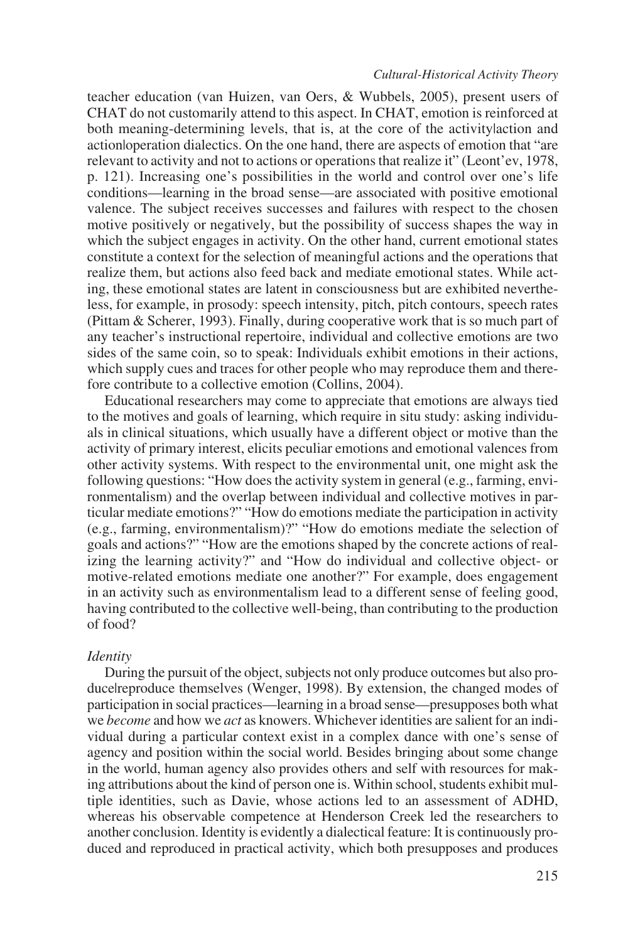## *Cultural-Historical Activity Theory*

teacher education (van Huizen, van Oers, & Wubbels, 2005), present users of CHAT do not customarily attend to this aspect. In CHAT, emotion is reinforced at both meaning-determining levels, that is, at the core of the activity|action and action|operation dialectics. On the one hand, there are aspects of emotion that "are relevant to activity and not to actions or operations that realize it" (Leont'ev, 1978, p. 121). Increasing one's possibilities in the world and control over one's life conditions—learning in the broad sense—are associated with positive emotional valence. The subject receives successes and failures with respect to the chosen motive positively or negatively, but the possibility of success shapes the way in which the subject engages in activity. On the other hand, current emotional states constitute a context for the selection of meaningful actions and the operations that realize them, but actions also feed back and mediate emotional states. While acting, these emotional states are latent in consciousness but are exhibited nevertheless, for example, in prosody: speech intensity, pitch, pitch contours, speech rates (Pittam & Scherer, 1993). Finally, during cooperative work that is so much part of any teacher's instructional repertoire, individual and collective emotions are two sides of the same coin, so to speak: Individuals exhibit emotions in their actions, which supply cues and traces for other people who may reproduce them and therefore contribute to a collective emotion (Collins, 2004).

Educational researchers may come to appreciate that emotions are always tied to the motives and goals of learning, which require in situ study: asking individuals in clinical situations, which usually have a different object or motive than the activity of primary interest, elicits peculiar emotions and emotional valences from other activity systems. With respect to the environmental unit, one might ask the following questions: "How does the activity system in general (e.g., farming, environmentalism) and the overlap between individual and collective motives in particular mediate emotions?" "How do emotions mediate the participation in activity (e.g., farming, environmentalism)?" "How do emotions mediate the selection of goals and actions?" "How are the emotions shaped by the concrete actions of realizing the learning activity?" and "How do individual and collective object- or motive-related emotions mediate one another?" For example, does engagement in an activity such as environmentalism lead to a different sense of feeling good, having contributed to the collective well-being, than contributing to the production of food?

## *Identity*

During the pursuit of the object, subjects not only produce outcomes but also produce|reproduce themselves (Wenger, 1998). By extension, the changed modes of participation in social practices—learning in a broad sense—presupposes both what we *become* and how we *act* as knowers. Whichever identities are salient for an individual during a particular context exist in a complex dance with one's sense of agency and position within the social world. Besides bringing about some change in the world, human agency also provides others and self with resources for making attributions about the kind of person one is. Within school, students exhibit multiple identities, such as Davie, whose actions led to an assessment of ADHD, whereas his observable competence at Henderson Creek led the researchers to another conclusion. Identity is evidently a dialectical feature: It is continuously produced and reproduced in practical activity, which both presupposes and produces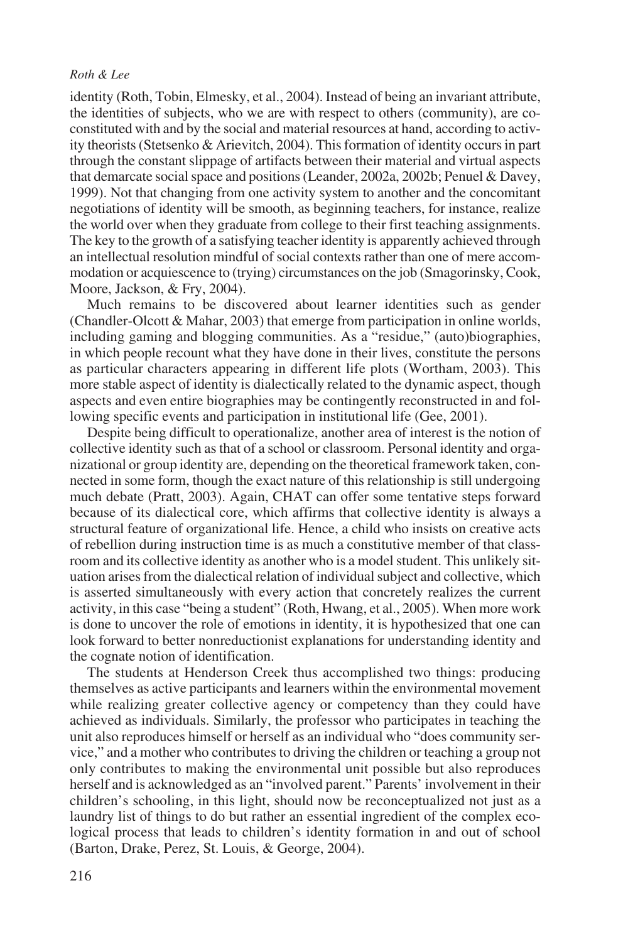identity (Roth, Tobin, Elmesky, et al., 2004). Instead of being an invariant attribute, the identities of subjects, who we are with respect to others (community), are coconstituted with and by the social and material resources at hand, according to activity theorists (Stetsenko & Arievitch, 2004). This formation of identity occurs in part through the constant slippage of artifacts between their material and virtual aspects that demarcate social space and positions (Leander, 2002a, 2002b; Penuel & Davey, 1999). Not that changing from one activity system to another and the concomitant negotiations of identity will be smooth, as beginning teachers, for instance, realize the world over when they graduate from college to their first teaching assignments. The key to the growth of a satisfying teacher identity is apparently achieved through an intellectual resolution mindful of social contexts rather than one of mere accommodation or acquiescence to (trying) circumstances on the job (Smagorinsky, Cook, Moore, Jackson, & Fry, 2004).

Much remains to be discovered about learner identities such as gender (Chandler-Olcott & Mahar, 2003) that emerge from participation in online worlds, including gaming and blogging communities. As a "residue," (auto)biographies, in which people recount what they have done in their lives, constitute the persons as particular characters appearing in different life plots (Wortham, 2003). This more stable aspect of identity is dialectically related to the dynamic aspect, though aspects and even entire biographies may be contingently reconstructed in and following specific events and participation in institutional life (Gee, 2001).

Despite being difficult to operationalize, another area of interest is the notion of collective identity such as that of a school or classroom. Personal identity and organizational or group identity are, depending on the theoretical framework taken, connected in some form, though the exact nature of this relationship is still undergoing much debate (Pratt, 2003). Again, CHAT can offer some tentative steps forward because of its dialectical core, which affirms that collective identity is always a structural feature of organizational life. Hence, a child who insists on creative acts of rebellion during instruction time is as much a constitutive member of that classroom and its collective identity as another who is a model student. This unlikely situation arises from the dialectical relation of individual subject and collective, which is asserted simultaneously with every action that concretely realizes the current activity, in this case "being a student" (Roth, Hwang, et al., 2005). When more work is done to uncover the role of emotions in identity, it is hypothesized that one can look forward to better nonreductionist explanations for understanding identity and the cognate notion of identification.

The students at Henderson Creek thus accomplished two things: producing themselves as active participants and learners within the environmental movement while realizing greater collective agency or competency than they could have achieved as individuals. Similarly, the professor who participates in teaching the unit also reproduces himself or herself as an individual who "does community service," and a mother who contributes to driving the children or teaching a group not only contributes to making the environmental unit possible but also reproduces herself and is acknowledged as an "involved parent." Parents' involvement in their children's schooling, in this light, should now be reconceptualized not just as a laundry list of things to do but rather an essential ingredient of the complex ecological process that leads to children's identity formation in and out of school (Barton, Drake, Perez, St. Louis, & George, 2004).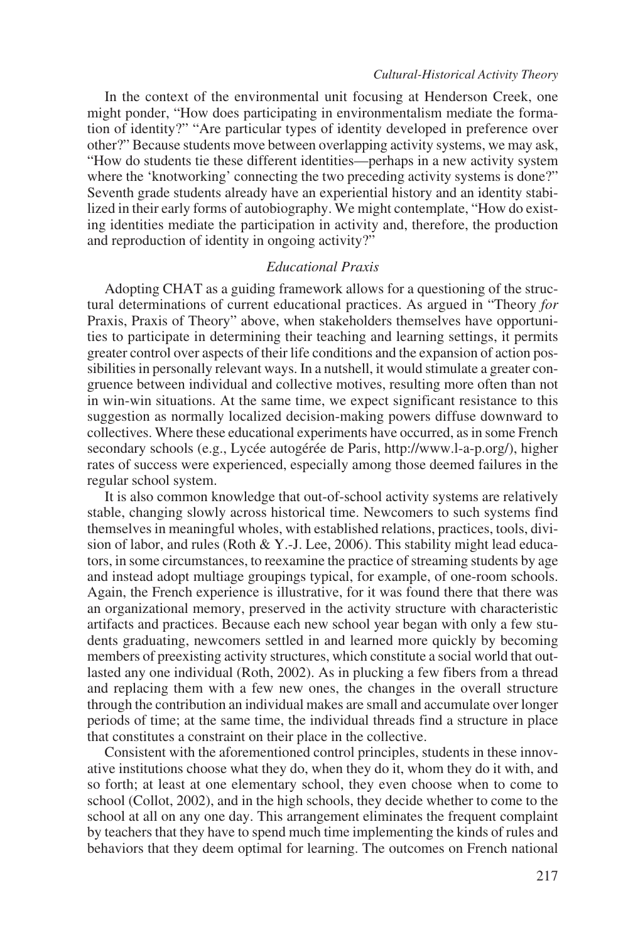## *Cultural-Historical Activity Theory*

In the context of the environmental unit focusing at Henderson Creek, one might ponder, "How does participating in environmentalism mediate the formation of identity?" "Are particular types of identity developed in preference over other?" Because students move between overlapping activity systems, we may ask, "How do students tie these different identities—perhaps in a new activity system where the 'knotworking' connecting the two preceding activity systems is done?" Seventh grade students already have an experiential history and an identity stabilized in their early forms of autobiography. We might contemplate, "How do existing identities mediate the participation in activity and, therefore, the production and reproduction of identity in ongoing activity?"

## *Educational Praxis*

Adopting CHAT as a guiding framework allows for a questioning of the structural determinations of current educational practices. As argued in "Theory *for* Praxis, Praxis of Theory" above, when stakeholders themselves have opportunities to participate in determining their teaching and learning settings, it permits greater control over aspects of their life conditions and the expansion of action possibilities in personally relevant ways. In a nutshell, it would stimulate a greater congruence between individual and collective motives, resulting more often than not in win-win situations. At the same time, we expect significant resistance to this suggestion as normally localized decision-making powers diffuse downward to collectives. Where these educational experiments have occurred, as in some French secondary schools (e.g., Lycée autogérée de Paris, http://www.l-a-p.org/), higher rates of success were experienced, especially among those deemed failures in the regular school system.

It is also common knowledge that out-of-school activity systems are relatively stable, changing slowly across historical time. Newcomers to such systems find themselves in meaningful wholes, with established relations, practices, tools, division of labor, and rules (Roth & Y.-J. Lee, 2006). This stability might lead educators, in some circumstances, to reexamine the practice of streaming students by age and instead adopt multiage groupings typical, for example, of one-room schools. Again, the French experience is illustrative, for it was found there that there was an organizational memory, preserved in the activity structure with characteristic artifacts and practices. Because each new school year began with only a few students graduating, newcomers settled in and learned more quickly by becoming members of preexisting activity structures, which constitute a social world that outlasted any one individual (Roth, 2002). As in plucking a few fibers from a thread and replacing them with a few new ones, the changes in the overall structure through the contribution an individual makes are small and accumulate over longer periods of time; at the same time, the individual threads find a structure in place that constitutes a constraint on their place in the collective.

Consistent with the aforementioned control principles, students in these innovative institutions choose what they do, when they do it, whom they do it with, and so forth; at least at one elementary school, they even choose when to come to school (Collot, 2002), and in the high schools, they decide whether to come to the school at all on any one day. This arrangement eliminates the frequent complaint by teachers that they have to spend much time implementing the kinds of rules and behaviors that they deem optimal for learning. The outcomes on French national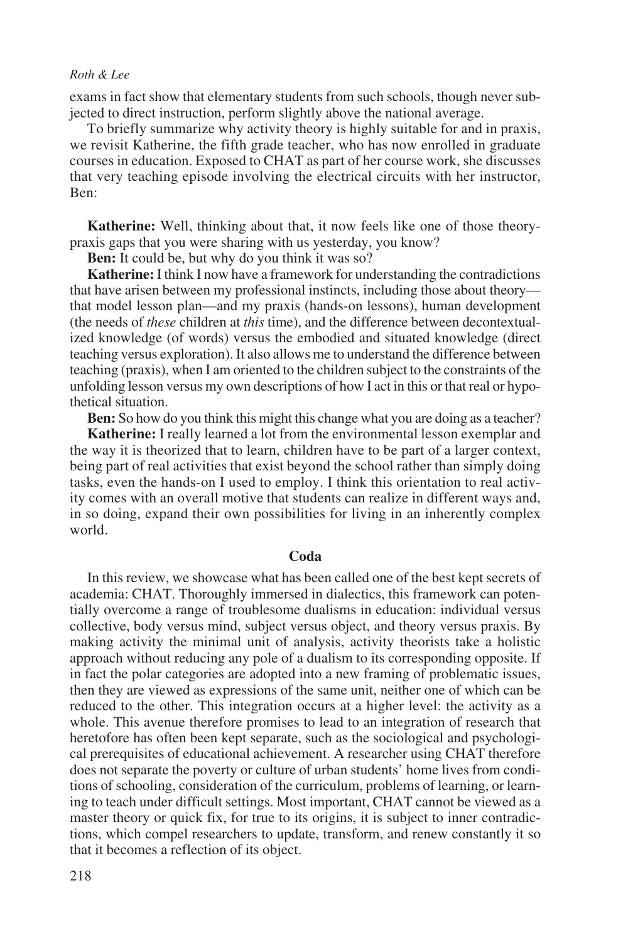exams in fact show that elementary students from such schools, though never subjected to direct instruction, perform slightly above the national average.

To briefly summarize why activity theory is highly suitable for and in praxis, we revisit Katherine, the fifth grade teacher, who has now enrolled in graduate courses in education. Exposed to CHAT as part of her course work, she discusses that very teaching episode involving the electrical circuits with her instructor, Ben:

**Katherine:** Well, thinking about that, it now feels like one of those theorypraxis gaps that you were sharing with us yesterday, you know?

**Ben:** It could be, but why do you think it was so?

**Katherine:** I think I now have a framework for understanding the contradictions that have arisen between my professional instincts, including those about theory that model lesson plan—and my praxis (hands-on lessons), human development (the needs of *these* children at *this* time), and the difference between decontextualized knowledge (of words) versus the embodied and situated knowledge (direct teaching versus exploration). It also allows me to understand the difference between teaching (praxis), when I am oriented to the children subject to the constraints of the unfolding lesson versus my own descriptions of how I act in this or that real or hypothetical situation.

**Ben:** So how do you think this might this change what you are doing as a teacher?

**Katherine:** I really learned a lot from the environmental lesson exemplar and the way it is theorized that to learn, children have to be part of a larger context, being part of real activities that exist beyond the school rather than simply doing tasks, even the hands-on I used to employ. I think this orientation to real activity comes with an overall motive that students can realize in different ways and, in so doing, expand their own possibilities for living in an inherently complex world.

#### **Coda**

In this review, we showcase what has been called one of the best kept secrets of academia: CHAT. Thoroughly immersed in dialectics, this framework can potentially overcome a range of troublesome dualisms in education: individual versus collective, body versus mind, subject versus object, and theory versus praxis. By making activity the minimal unit of analysis, activity theorists take a holistic approach without reducing any pole of a dualism to its corresponding opposite. If in fact the polar categories are adopted into a new framing of problematic issues, then they are viewed as expressions of the same unit, neither one of which can be reduced to the other. This integration occurs at a higher level: the activity as a whole. This avenue therefore promises to lead to an integration of research that heretofore has often been kept separate, such as the sociological and psychological prerequisites of educational achievement. A researcher using CHAT therefore does not separate the poverty or culture of urban students' home lives from conditions of schooling, consideration of the curriculum, problems of learning, or learning to teach under difficult settings. Most important, CHAT cannot be viewed as a master theory or quick fix, for true to its origins, it is subject to inner contradictions, which compel researchers to update, transform, and renew constantly it so that it becomes a reflection of its object.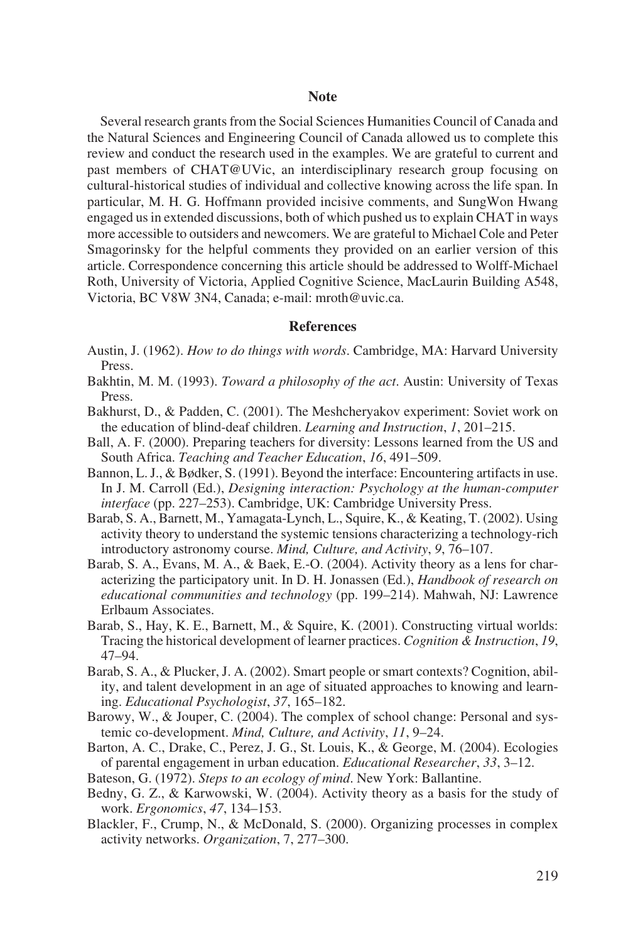Several research grants from the Social Sciences Humanities Council of Canada and the Natural Sciences and Engineering Council of Canada allowed us to complete this review and conduct the research used in the examples. We are grateful to current and past members of CHAT@UVic, an interdisciplinary research group focusing on cultural-historical studies of individual and collective knowing across the life span. In particular, M. H. G. Hoffmann provided incisive comments, and SungWon Hwang engaged us in extended discussions, both of which pushed us to explain CHAT in ways more accessible to outsiders and newcomers. We are grateful to Michael Cole and Peter Smagorinsky for the helpful comments they provided on an earlier version of this article. Correspondence concerning this article should be addressed to Wolff-Michael Roth, University of Victoria, Applied Cognitive Science, MacLaurin Building A548, Victoria, BC V8W 3N4, Canada; e-mail: mroth@uvic.ca.

#### **References**

- Austin, J. (1962). *How to do things with words*. Cambridge, MA: Harvard University Press.
- Bakhtin, M. M. (1993). *Toward a philosophy of the act*. Austin: University of Texas Press.
- Bakhurst, D., & Padden, C. (2001). The Meshcheryakov experiment: Soviet work on the education of blind-deaf children. *Learning and Instruction*, *1*, 201–215.
- Ball, A. F. (2000). Preparing teachers for diversity: Lessons learned from the US and South Africa. *Teaching and Teacher Education*, *16*, 491–509.
- Bannon, L. J., & Bødker, S. (1991). Beyond the interface: Encountering artifacts in use. In J. M. Carroll (Ed.), *Designing interaction: Psychology at the human-computer interface* (pp. 227–253). Cambridge, UK: Cambridge University Press.
- Barab, S. A., Barnett, M., Yamagata-Lynch, L., Squire, K., & Keating, T. (2002). Using activity theory to understand the systemic tensions characterizing a technology-rich introductory astronomy course. *Mind, Culture, and Activity*, *9*, 76–107.
- Barab, S. A., Evans, M. A., & Baek, E.-O. (2004). Activity theory as a lens for characterizing the participatory unit. In D. H. Jonassen (Ed.), *Handbook of research on educational communities and technology* (pp. 199–214). Mahwah, NJ: Lawrence Erlbaum Associates.
- Barab, S., Hay, K. E., Barnett, M., & Squire, K. (2001). Constructing virtual worlds: Tracing the historical development of learner practices. *Cognition & Instruction*, *19*, 47–94.
- Barab, S. A., & Plucker, J. A. (2002). Smart people or smart contexts? Cognition, ability, and talent development in an age of situated approaches to knowing and learning. *Educational Psychologist*, *37*, 165–182.
- Barowy, W., & Jouper, C. (2004). The complex of school change: Personal and systemic co-development. *Mind, Culture, and Activity*, *11*, 9–24.
- Barton, A. C., Drake, C., Perez, J. G., St. Louis, K., & George, M. (2004). Ecologies of parental engagement in urban education. *Educational Researcher*, *33*, 3–12.
- Bateson, G. (1972). *Steps to an ecology of mind*. New York: Ballantine.
- Bedny, G. Z., & Karwowski, W. (2004). Activity theory as a basis for the study of work. *Ergonomics*, *47*, 134–153.
- Blackler, F., Crump, N., & McDonald, S. (2000). Organizing processes in complex activity networks. *Organization*, 7, 277–300.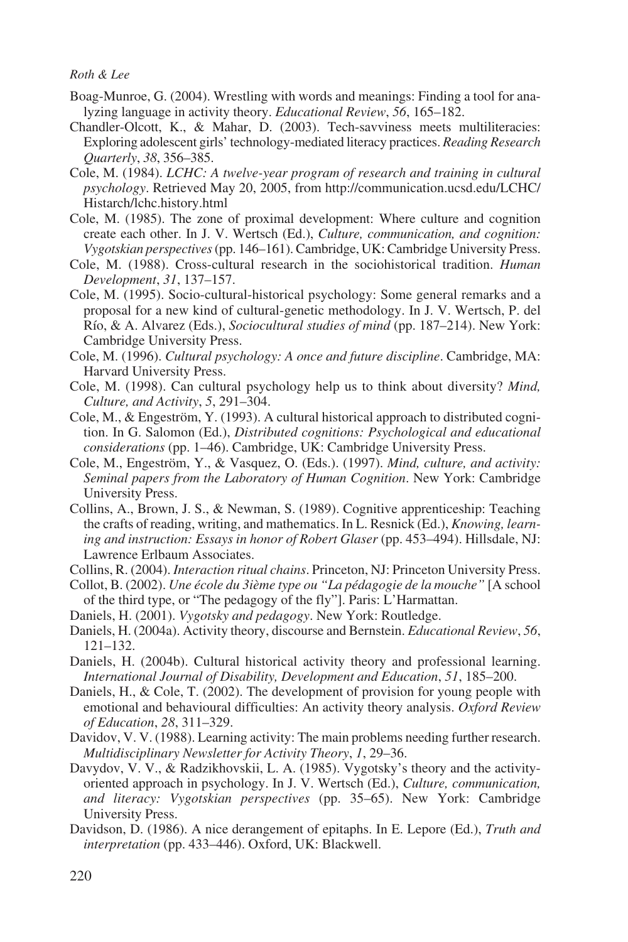- Boag-Munroe, G. (2004). Wrestling with words and meanings: Finding a tool for analyzing language in activity theory. *Educational Review*, *56*, 165–182.
- Chandler-Olcott, K., & Mahar, D. (2003). Tech-savviness meets multiliteracies: Exploring adolescent girls' technology-mediated literacy practices. *Reading Research Quarterly*, *38*, 356–385.
- Cole, M. (1984). *LCHC: A twelve-year program of research and training in cultural psychology*. Retrieved May 20, 2005, from http://communication.ucsd.edu/LCHC/ Histarch/lchc.history.html
- Cole, M. (1985). The zone of proximal development: Where culture and cognition create each other. In J. V. Wertsch (Ed.), *Culture, communication, and cognition: Vygotskian perspectives*(pp. 146–161). Cambridge, UK: Cambridge University Press.
- Cole, M. (1988). Cross-cultural research in the sociohistorical tradition. *Human Development*, *31*, 137–157.
- Cole, M. (1995). Socio-cultural-historical psychology: Some general remarks and a proposal for a new kind of cultural-genetic methodology. In J. V. Wertsch, P. del Río, & A. Alvarez (Eds.), *Sociocultural studies of mind* (pp. 187–214). New York: Cambridge University Press.
- Cole, M. (1996). *Cultural psychology: A once and future discipline*. Cambridge, MA: Harvard University Press.
- Cole, M. (1998). Can cultural psychology help us to think about diversity? *Mind, Culture, and Activity*, *5*, 291–304.
- Cole, M., & Engeström, Y. (1993). A cultural historical approach to distributed cognition. In G. Salomon (Ed.), *Distributed cognitions: Psychological and educational considerations* (pp. 1–46). Cambridge, UK: Cambridge University Press.
- Cole, M., Engeström, Y., & Vasquez, O. (Eds.). (1997). *Mind, culture, and activity: Seminal papers from the Laboratory of Human Cognition*. New York: Cambridge University Press.
- Collins, A., Brown, J. S., & Newman, S. (1989). Cognitive apprenticeship: Teaching the crafts of reading, writing, and mathematics. In L. Resnick (Ed.), *Knowing, learning and instruction: Essays in honor of Robert Glaser* (pp. 453–494). Hillsdale, NJ: Lawrence Erlbaum Associates.

Collins, R. (2004). *Interaction ritual chains*. Princeton, NJ: Princeton University Press.

- Collot, B. (2002). *Une école du 3ième type ou "La pédagogie de la mouche"* [A school of the third type, or "The pedagogy of the fly"]. Paris: L'Harmattan.
- Daniels, H. (2001). *Vygotsky and pedagogy*. New York: Routledge.
- Daniels, H. (2004a). Activity theory, discourse and Bernstein. *Educational Review*, *56*, 121–132.
- Daniels, H. (2004b). Cultural historical activity theory and professional learning. *International Journal of Disability, Development and Education*, *51*, 185–200.
- Daniels, H., & Cole, T. (2002). The development of provision for young people with emotional and behavioural difficulties: An activity theory analysis. *Oxford Review of Education*, *28*, 311–329.
- Davidov, V. V. (1988). Learning activity: The main problems needing further research. *Multidisciplinary Newsletter for Activity Theory*, *1*, 29–36.
- Davydov, V. V., & Radzikhovskii, L. A. (1985). Vygotsky's theory and the activityoriented approach in psychology. In J. V. Wertsch (Ed.), *Culture, communication, and literacy: Vygotskian perspectives* (pp. 35–65). New York: Cambridge University Press.
- Davidson, D. (1986). A nice derangement of epitaphs. In E. Lepore (Ed.), *Truth and interpretation* (pp. 433–446). Oxford, UK: Blackwell.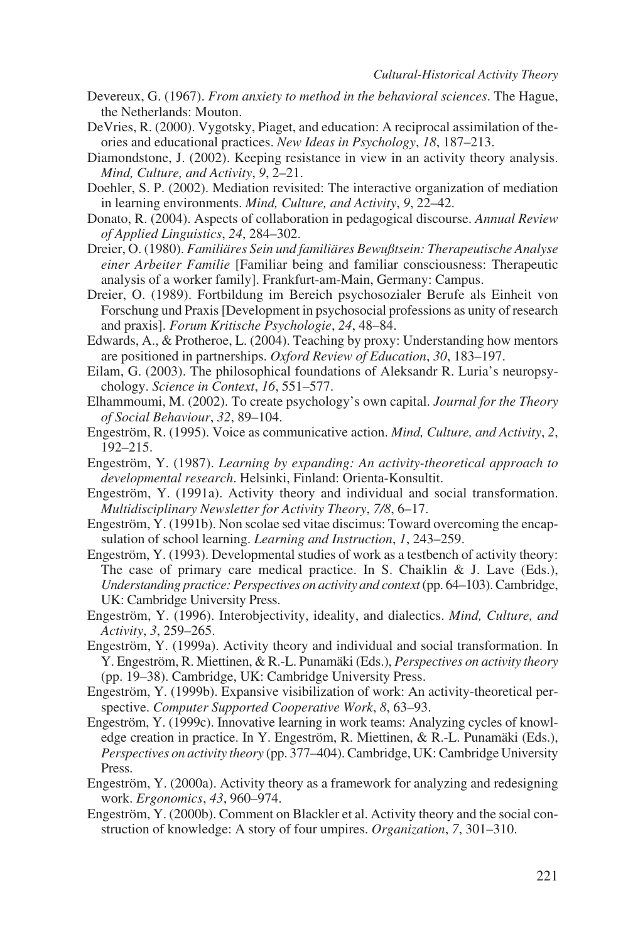- Devereux, G. (1967). *From anxiety to method in the behavioral sciences*. The Hague, the Netherlands: Mouton.
- DeVries, R. (2000). Vygotsky, Piaget, and education: A reciprocal assimilation of theories and educational practices. *New Ideas in Psychology*, *18*, 187–213.
- Diamondstone, J. (2002). Keeping resistance in view in an activity theory analysis. *Mind, Culture, and Activity*, *9*, 2–21.
- Doehler, S. P. (2002). Mediation revisited: The interactive organization of mediation in learning environments. *Mind, Culture, and Activity*, *9*, 22–42.
- Donato, R. (2004). Aspects of collaboration in pedagogical discourse. *Annual Review of Applied Linguistics*, *24*, 284–302.
- Dreier, O. (1980). *Familiäres Sein und familiäres Bewußtsein: Therapeutische Analyse einer Arbeiter Familie* [Familiar being and familiar consciousness: Therapeutic analysis of a worker family]. Frankfurt-am-Main, Germany: Campus.
- Dreier, O. (1989). Fortbildung im Bereich psychosozialer Berufe als Einheit von Forschung und Praxis [Development in psychosocial professions as unity of research and praxis]. *Forum Kritische Psychologie*, *24*, 48–84.
- Edwards, A., & Protheroe, L. (2004). Teaching by proxy: Understanding how mentors are positioned in partnerships. *Oxford Review of Education*, *30*, 183–197.
- Eilam, G. (2003). The philosophical foundations of Aleksandr R. Luria's neuropsychology. *Science in Context*, *16*, 551–577.
- Elhammoumi, M. (2002). To create psychology's own capital. *Journal for the Theory of Social Behaviour*, *32*, 89–104.
- Engeström, R. (1995). Voice as communicative action. *Mind, Culture, and Activity*, *2*, 192–215.
- Engeström, Y. (1987). *Learning by expanding: An activity-theoretical approach to developmental research*. Helsinki, Finland: Orienta-Konsultit.
- Engeström, Y. (1991a). Activity theory and individual and social transformation. *Multidisciplinary Newsletter for Activity Theory*, *7/8*, 6–17.
- Engeström, Y. (1991b). Non scolae sed vitae discimus: Toward overcoming the encapsulation of school learning. *Learning and Instruction*, *1*, 243–259.
- Engeström, Y. (1993). Developmental studies of work as a testbench of activity theory: The case of primary care medical practice. In S. Chaiklin & J. Lave (Eds.), *Understanding practice: Perspectives on activity and context*(pp. 64–103). Cambridge, UK: Cambridge University Press.
- Engeström, Y. (1996). Interobjectivity, ideality, and dialectics. *Mind, Culture, and Activity*, *3*, 259–265.
- Engeström, Y. (1999a). Activity theory and individual and social transformation. In Y. Engeström, R. Miettinen, & R.-L. Punamäki (Eds.), *Perspectives on activity theory* (pp. 19–38). Cambridge, UK: Cambridge University Press.
- Engeström, Y. (1999b). Expansive visibilization of work: An activity-theoretical perspective. *Computer Supported Cooperative Work*, *8*, 63–93.
- Engeström, Y. (1999c). Innovative learning in work teams: Analyzing cycles of knowledge creation in practice. In Y. Engeström, R. Miettinen, & R.-L. Punamäki (Eds.), *Perspectives on activity theory* (pp. 377–404). Cambridge, UK: Cambridge University Press.
- Engeström, Y. (2000a). Activity theory as a framework for analyzing and redesigning work. *Ergonomics*, *43*, 960–974.
- Engeström, Y. (2000b). Comment on Blackler et al. Activity theory and the social construction of knowledge: A story of four umpires. *Organization*, *7*, 301–310.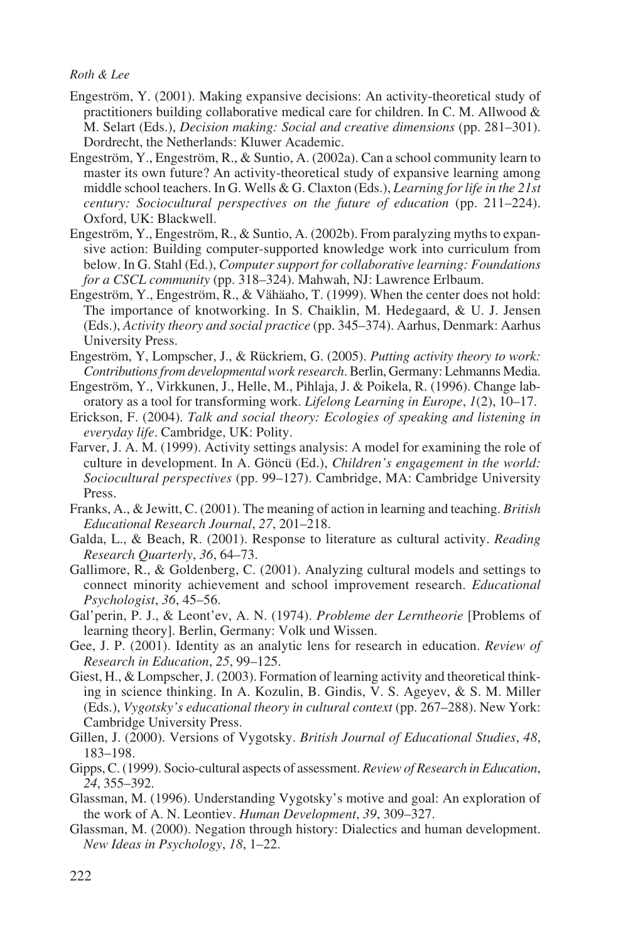- Engeström, Y. (2001). Making expansive decisions: An activity-theoretical study of practitioners building collaborative medical care for children. In C. M. Allwood & M. Selart (Eds.), *Decision making: Social and creative dimensions* (pp. 281–301). Dordrecht, the Netherlands: Kluwer Academic.
- Engeström, Y., Engeström, R., & Suntio, A. (2002a). Can a school community learn to master its own future? An activity-theoretical study of expansive learning among middle school teachers. In G. Wells & G. Claxton (Eds.), *Learning for life in the 21st century: Sociocultural perspectives on the future of education* (pp. 211–224). Oxford, UK: Blackwell.
- Engeström, Y., Engeström, R., & Suntio, A. (2002b). From paralyzing myths to expansive action: Building computer-supported knowledge work into curriculum from below. In G. Stahl (Ed.), *Computer support for collaborative learning: Foundations for a CSCL community* (pp. 318–324). Mahwah, NJ: Lawrence Erlbaum.
- Engeström, Y., Engeström, R., & Vähäaho, T. (1999). When the center does not hold: The importance of knotworking. In S. Chaiklin, M. Hedegaard, & U. J. Jensen (Eds.), *Activity theory and social practice* (pp. 345–374). Aarhus, Denmark: Aarhus University Press.
- Engeström, Y, Lompscher, J., & Rückriem, G. (2005). *Putting activity theory to work: Contributions from developmental work research*. Berlin, Germany: Lehmanns Media.
- Engeström, Y., Virkkunen, J., Helle, M., Pihlaja, J. & Poikela, R. (1996). Change laboratory as a tool for transforming work. *Lifelong Learning in Europe*, *1*(2), 10–17.
- Erickson, F. (2004). *Talk and social theory: Ecologies of speaking and listening in everyday life*. Cambridge, UK: Polity.
- Farver, J. A. M. (1999). Activity settings analysis: A model for examining the role of culture in development. In A. Göncü (Ed.), *Children's engagement in the world: Sociocultural perspectives* (pp. 99–127). Cambridge, MA: Cambridge University Press.
- Franks, A., & Jewitt, C. (2001). The meaning of action in learning and teaching. *British Educational Research Journal*, *27*, 201–218.
- Galda, L., & Beach, R. (2001). Response to literature as cultural activity. *Reading Research Quarterly*, *36*, 64–73.
- Gallimore, R., & Goldenberg, C. (2001). Analyzing cultural models and settings to connect minority achievement and school improvement research. *Educational Psychologist*, *36*, 45–56.
- Gal'perin, P. J., & Leont'ev, A. N. (1974). *Probleme der Lerntheorie* [Problems of learning theory]. Berlin, Germany: Volk und Wissen.
- Gee, J. P. (2001). Identity as an analytic lens for research in education. *Review of Research in Education*, *25*, 99–125.
- Giest, H., & Lompscher, J. (2003). Formation of learning activity and theoretical thinking in science thinking. In A. Kozulin, B. Gindis, V. S. Ageyev, & S. M. Miller (Eds.), *Vygotsky's educational theory in cultural context* (pp. 267–288). New York: Cambridge University Press.
- Gillen, J. (2000). Versions of Vygotsky. *British Journal of Educational Studies*, *48*, 183–198.
- Gipps, C. (1999). Socio-cultural aspects of assessment. *Review of Research in Education*, *24*, 355–392.
- Glassman, M. (1996). Understanding Vygotsky's motive and goal: An exploration of the work of A. N. Leontiev. *Human Development*, *39*, 309–327.
- Glassman, M. (2000). Negation through history: Dialectics and human development. *New Ideas in Psychology*, *18*, 1–22.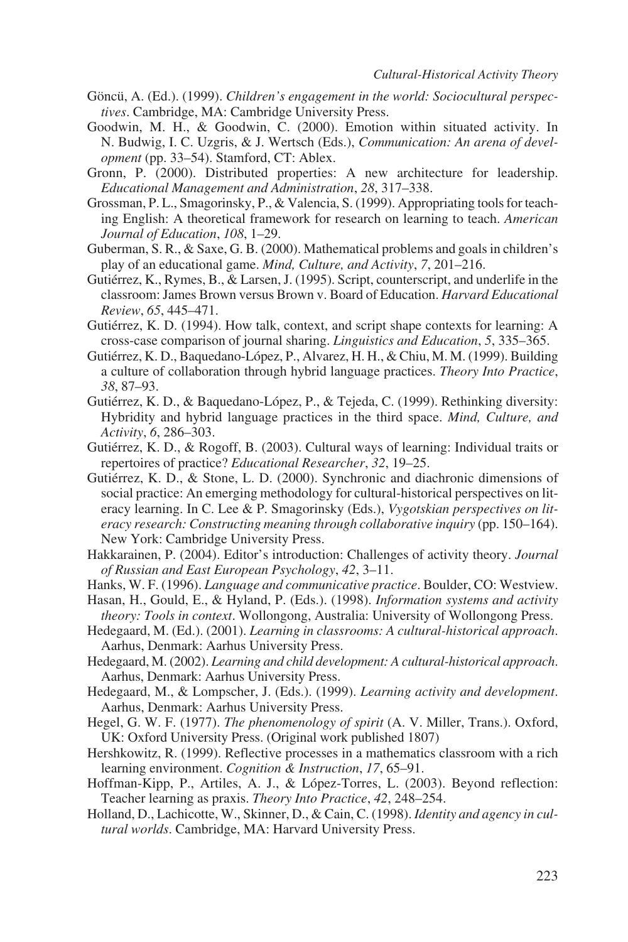- Göncü, A. (Ed.). (1999). *Children's engagement in the world: Sociocultural perspectives*. Cambridge, MA: Cambridge University Press.
- Goodwin, M. H., & Goodwin, C. (2000). Emotion within situated activity. In N. Budwig, I. C. Uzgris, & J. Wertsch (Eds.), *Communication: An arena of development* (pp. 33–54). Stamford, CT: Ablex.
- Gronn, P. (2000). Distributed properties: A new architecture for leadership. *Educational Management and Administration*, *28*, 317–338.
- Grossman, P. L., Smagorinsky, P., & Valencia, S. (1999). Appropriating tools for teaching English: A theoretical framework for research on learning to teach. *American Journal of Education*, *108*, 1–29.
- Guberman, S. R., & Saxe, G. B. (2000). Mathematical problems and goals in children's play of an educational game. *Mind, Culture, and Activity*, *7*, 201–216.
- Gutiérrez, K., Rymes, B., & Larsen, J. (1995). Script, counterscript, and underlife in the classroom: James Brown versus Brown v. Board of Education. *Harvard Educational Review*, *65*, 445–471.
- Gutiérrez, K. D. (1994). How talk, context, and script shape contexts for learning: A cross-case comparison of journal sharing. *Linguistics and Education*, *5*, 335–365.
- Gutiérrez, K. D., Baquedano-López, P., Alvarez, H. H., & Chiu, M. M. (1999). Building a culture of collaboration through hybrid language practices. *Theory Into Practice*, *38*, 87–93.
- Gutiérrez, K. D., & Baquedano-López, P., & Tejeda, C. (1999). Rethinking diversity: Hybridity and hybrid language practices in the third space. *Mind, Culture, and Activity*, *6*, 286–303.
- Gutiérrez, K. D., & Rogoff, B. (2003). Cultural ways of learning: Individual traits or repertoires of practice? *Educational Researcher*, *32*, 19–25.
- Gutiérrez, K. D., & Stone, L. D. (2000). Synchronic and diachronic dimensions of social practice: An emerging methodology for cultural-historical perspectives on literacy learning. In C. Lee & P. Smagorinsky (Eds.), *Vygotskian perspectives on literacy research: Constructing meaning through collaborative inquiry* (pp. 150–164). New York: Cambridge University Press.
- Hakkarainen, P. (2004). Editor's introduction: Challenges of activity theory. *Journal of Russian and East European Psychology*, *42*, 3–11.
- Hanks, W. F. (1996). *Language and communicative practice*. Boulder, CO: Westview.
- Hasan, H., Gould, E., & Hyland, P. (Eds.). (1998). *Information systems and activity theory: Tools in context*. Wollongong, Australia: University of Wollongong Press.
- Hedegaard, M. (Ed.). (2001). *Learning in classrooms: A cultural-historical approach*. Aarhus, Denmark: Aarhus University Press.
- Hedegaard, M. (2002). *Learning and child development: A cultural-historical approach*. Aarhus, Denmark: Aarhus University Press.
- Hedegaard, M., & Lompscher, J. (Eds.). (1999). *Learning activity and development*. Aarhus, Denmark: Aarhus University Press.
- Hegel, G. W. F. (1977). *The phenomenology of spirit* (A. V. Miller, Trans.). Oxford, UK: Oxford University Press. (Original work published 1807)
- Hershkowitz, R. (1999). Reflective processes in a mathematics classroom with a rich learning environment. *Cognition & Instruction*, *17*, 65–91.
- Hoffman-Kipp, P., Artiles, A. J., & López-Torres, L. (2003). Beyond reflection: Teacher learning as praxis. *Theory Into Practice*, *42*, 248–254.
- Holland, D., Lachicotte, W., Skinner, D., & Cain, C. (1998). *Identity and agency in cultural worlds*. Cambridge, MA: Harvard University Press.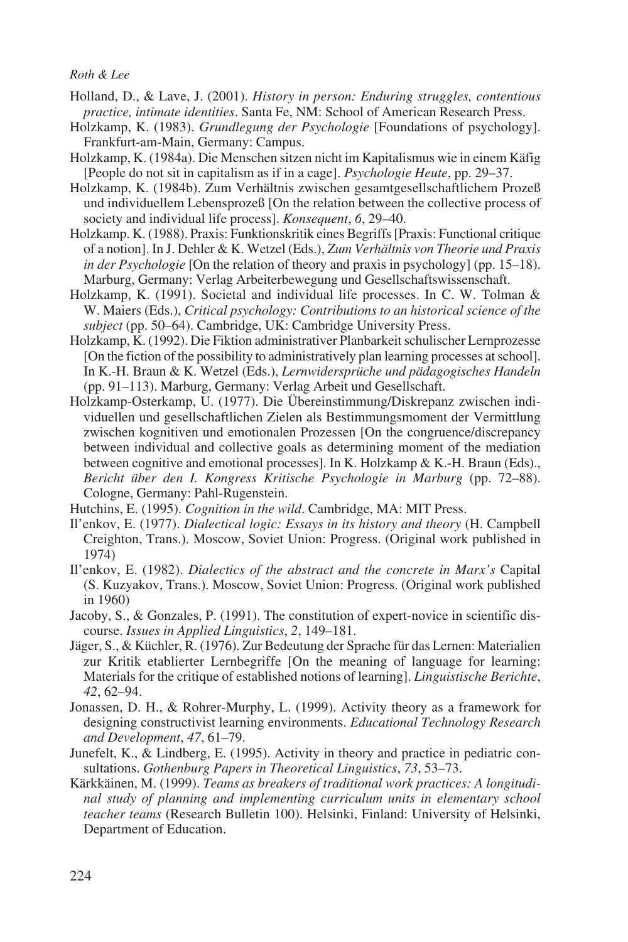- Holland, D., & Lave, J. (2001). *History in person: Enduring struggles, contentious practice, intimate identities*. Santa Fe, NM: School of American Research Press.
- Holzkamp, K. (1983). *Grundlegung der Psychologie* [Foundations of psychology]. Frankfurt-am-Main, Germany: Campus.
- Holzkamp, K. (1984a). Die Menschen sitzen nicht im Kapitalismus wie in einem Käfig [People do not sit in capitalism as if in a cage]. *Psychologie Heute*, pp. 29–37.
- Holzkamp, K. (1984b). Zum Verhältnis zwischen gesamtgesellschaftlichem Prozeß und individuellem Lebensprozeß [On the relation between the collective process of society and individual life process]. *Konsequent*, *6*, 29–40.
- Holzkamp. K. (1988). Praxis: Funktionskritik eines Begriffs [Praxis: Functional critique of a notion]. In J. Dehler & K. Wetzel (Eds.), *Zum Verhältnis von Theorie und Praxis in der Psychologie* [On the relation of theory and praxis in psychology] (pp. 15–18). Marburg, Germany: Verlag Arbeiterbewegung und Gesellschaftswissenschaft.
- Holzkamp, K. (1991). Societal and individual life processes. In C. W. Tolman & W. Maiers (Eds.), *Critical psychology: Contributions to an historical science of the subject* (pp. 50–64). Cambridge, UK: Cambridge University Press.
- Holzkamp, K. (1992). Die Fiktion administrativer Planbarkeit schulischer Lernprozesse [On the fiction of the possibility to administratively plan learning processes at school]. In K.-H. Braun & K. Wetzel (Eds.), *Lernwidersprüche und pädagogisches Handeln* (pp. 91–113). Marburg, Germany: Verlag Arbeit und Gesellschaft.
- Holzkamp-Osterkamp, U. (1977). Die Übereinstimmung/Diskrepanz zwischen individuellen und gesellschaftlichen Zielen als Bestimmungsmoment der Vermittlung zwischen kognitiven und emotionalen Prozessen [On the congruence/discrepancy between individual and collective goals as determining moment of the mediation between cognitive and emotional processes]. In K. Holzkamp & K.-H. Braun (Eds)., *Bericht über den I. Kongress Kritische Psychologie in Marburg* (pp. 72–88). Cologne, Germany: Pahl-Rugenstein.
- Hutchins, E. (1995). *Cognition in the wild*. Cambridge, MA: MIT Press.
- Il'enkov, E. (1977). *Dialectical logic: Essays in its history and theory* (H. Campbell Creighton, Trans.). Moscow, Soviet Union: Progress. (Original work published in 1974)
- Il'enkov, E. (1982). *Dialectics of the abstract and the concrete in Marx's* Capital (S. Kuzyakov, Trans.). Moscow, Soviet Union: Progress. (Original work published in 1960)
- Jacoby, S., & Gonzales, P. (1991). The constitution of expert-novice in scientific discourse. *Issues in Applied Linguistics*, *2*, 149–181.
- Jäger, S., & Küchler, R. (1976). Zur Bedeutung der Sprache für das Lernen: Materialien zur Kritik etablierter Lernbegriffe [On the meaning of language for learning: Materials for the critique of established notions of learning]. *Linguistische Berichte*, *42*, 62–94.
- Jonassen, D. H., & Rohrer-Murphy, L. (1999). Activity theory as a framework for designing constructivist learning environments. *Educational Technology Research and Development*, *47*, 61–79.
- Junefelt, K., & Lindberg, E. (1995). Activity in theory and practice in pediatric consultations. *Gothenburg Papers in Theoretical Linguistics*, *73*, 53–73.
- Kärkkäinen, M. (1999). *Teams as breakers of traditional work practices: A longitudinal study of planning and implementing curriculum units in elementary school teacher teams* (Research Bulletin 100). Helsinki, Finland: University of Helsinki, Department of Education.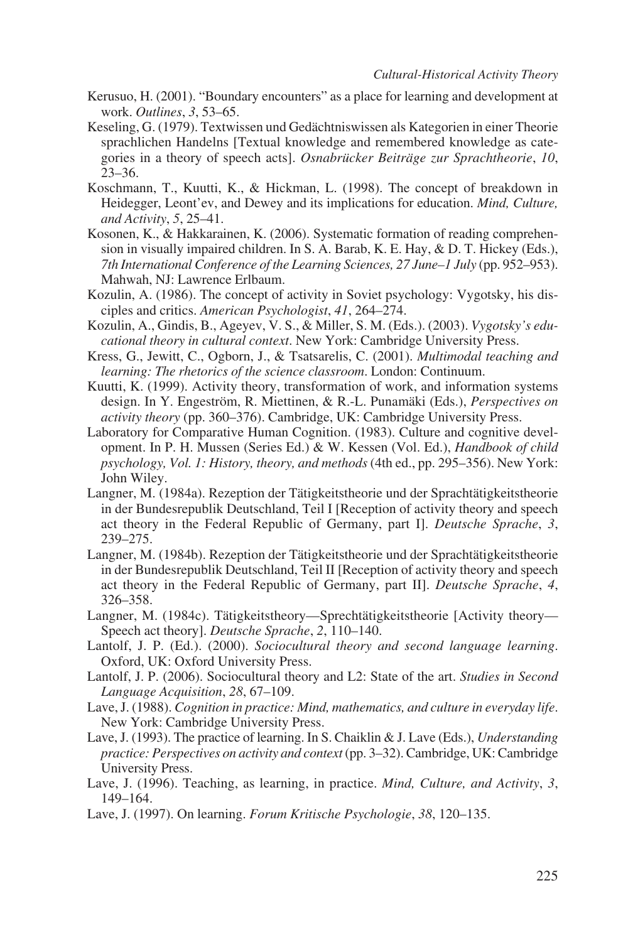- Kerusuo, H. (2001). "Boundary encounters" as a place for learning and development at work. *Outlines*, *3*, 53–65.
- Keseling, G. (1979). Textwissen und Gedächtniswissen als Kategorien in einer Theorie sprachlichen Handelns [Textual knowledge and remembered knowledge as categories in a theory of speech acts]. *Osnabrücker Beiträge zur Sprachtheorie*, *10*, 23–36.
- Koschmann, T., Kuutti, K., & Hickman, L. (1998). The concept of breakdown in Heidegger, Leont'ev, and Dewey and its implications for education. *Mind, Culture, and Activity*, *5*, 25–41.
- Kosonen, K., & Hakkarainen, K. (2006). Systematic formation of reading comprehension in visually impaired children. In S. A. Barab, K. E. Hay, & D. T. Hickey (Eds.), *7th International Conference of the Learning Sciences, 27 June–1 July* (pp. 952–953). Mahwah, NJ: Lawrence Erlbaum.
- Kozulin, A. (1986). The concept of activity in Soviet psychology: Vygotsky, his disciples and critics. *American Psychologist*, *41*, 264–274.
- Kozulin, A., Gindis, B., Ageyev, V. S., & Miller, S. M. (Eds.). (2003). *Vygotsky's educational theory in cultural context*. New York: Cambridge University Press.
- Kress, G., Jewitt, C., Ogborn, J., & Tsatsarelis, C. (2001). *Multimodal teaching and learning: The rhetorics of the science classroom*. London: Continuum.
- Kuutti, K. (1999). Activity theory, transformation of work, and information systems design. In Y. Engeström, R. Miettinen, & R.-L. Punamäki (Eds.), *Perspectives on activity theory* (pp. 360–376). Cambridge, UK: Cambridge University Press.
- Laboratory for Comparative Human Cognition. (1983). Culture and cognitive development. In P. H. Mussen (Series Ed.) & W. Kessen (Vol. Ed.), *Handbook of child psychology, Vol. 1: History, theory, and methods* (4th ed., pp. 295–356). New York: John Wiley.
- Langner, M. (1984a). Rezeption der Tätigkeitstheorie und der Sprachtätigkeitstheorie in der Bundesrepublik Deutschland, Teil I [Reception of activity theory and speech act theory in the Federal Republic of Germany, part I]. *Deutsche Sprache*, *3*, 239–275.
- Langner, M. (1984b). Rezeption der Tätigkeitstheorie und der Sprachtätigkeitstheorie in der Bundesrepublik Deutschland, Teil II [Reception of activity theory and speech act theory in the Federal Republic of Germany, part II]. *Deutsche Sprache*, *4*, 326–358.
- Langner, M. (1984c). Tätigkeitstheory—Sprechtätigkeitstheorie [Activity theory— Speech act theory]. *Deutsche Sprache*, *2*, 110–140.
- Lantolf, J. P. (Ed.). (2000). *Sociocultural theory and second language learning*. Oxford, UK: Oxford University Press.
- Lantolf, J. P. (2006). Sociocultural theory and L2: State of the art. *Studies in Second Language Acquisition*, *28*, 67–109.
- Lave, J. (1988). *Cognition in practice: Mind, mathematics, and culture in everyday life*. New York: Cambridge University Press.
- Lave, J. (1993). The practice of learning. In S. Chaiklin & J. Lave (Eds.), *Understanding practice: Perspectives on activity and context* (pp. 3–32). Cambridge, UK: Cambridge University Press.
- Lave, J. (1996). Teaching, as learning, in practice. *Mind, Culture, and Activity*, *3*, 149–164.
- Lave, J. (1997). On learning. *Forum Kritische Psychologie*, *38*, 120–135.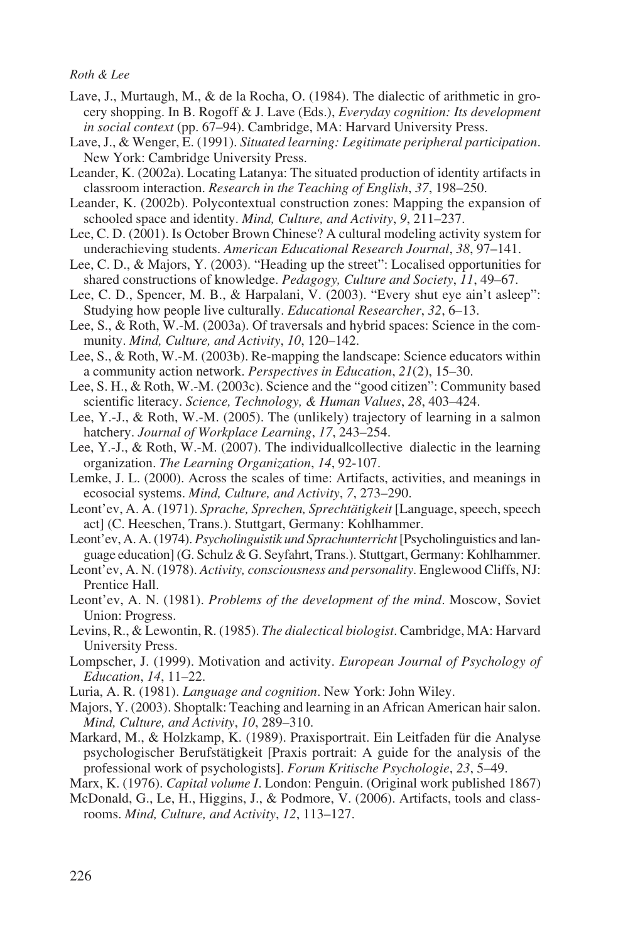- Lave, J., Murtaugh, M., & de la Rocha, O. (1984). The dialectic of arithmetic in grocery shopping. In B. Rogoff & J. Lave (Eds.), *Everyday cognition: Its development in social context* (pp. 67–94). Cambridge, MA: Harvard University Press.
- Lave, J., & Wenger, E. (1991). *Situated learning: Legitimate peripheral participation*. New York: Cambridge University Press.
- Leander, K. (2002a). Locating Latanya: The situated production of identity artifacts in classroom interaction. *Research in the Teaching of English*, *37*, 198–250.
- Leander, K. (2002b). Polycontextual construction zones: Mapping the expansion of schooled space and identity. *Mind, Culture, and Activity*, *9*, 211–237.
- Lee, C. D. (2001). Is October Brown Chinese? A cultural modeling activity system for underachieving students. *American Educational Research Journal*, *38*, 97–141.
- Lee, C. D., & Majors, Y. (2003). "Heading up the street": Localised opportunities for shared constructions of knowledge. *Pedagogy, Culture and Society*, *11*, 49–67.
- Lee, C. D., Spencer, M. B., & Harpalani, V. (2003). "Every shut eye ain't asleep": Studying how people live culturally. *Educational Researcher*, *32*, 6–13.
- Lee, S., & Roth, W.-M. (2003a). Of traversals and hybrid spaces: Science in the community. *Mind, Culture, and Activity*, *10*, 120–142.
- Lee, S., & Roth, W.-M. (2003b). Re-mapping the landscape: Science educators within a community action network. *Perspectives in Education*, *21*(2), 15–30.
- Lee, S. H., & Roth, W.-M. (2003c). Science and the "good citizen": Community based scientific literacy. *Science, Technology, & Human Values*, *28*, 403–424.
- Lee, Y.-J., & Roth, W.-M. (2005). The (unlikely) trajectory of learning in a salmon hatchery. *Journal of Workplace Learning*, *17*, 243–254.
- Lee, Y.-J., & Roth, W.-M. (2007). The individual collective dialectic in the learning organization. *The Learning Organization*, *14*, 92-107.
- Lemke, J. L. (2000). Across the scales of time: Artifacts, activities, and meanings in ecosocial systems. *Mind, Culture, and Activity*, *7*, 273–290.
- Leont'ev, A. A. (1971). *Sprache, Sprechen, Sprechtätigkeit* [Language, speech, speech act] (C. Heeschen, Trans.). Stuttgart, Germany: Kohlhammer.
- Leont'ev, A. A. (1974). *Psycholinguistik und Sprachunterricht*[Psycholinguistics and language education] (G. Schulz & G. Seyfahrt, Trans.). Stuttgart, Germany: Kohlhammer.
- Leont'ev, A. N. (1978). *Activity, consciousness and personality*. Englewood Cliffs, NJ: Prentice Hall.
- Leont'ev, A. N. (1981). *Problems of the development of the mind*. Moscow, Soviet Union: Progress.
- Levins, R., & Lewontin, R. (1985). *The dialectical biologist*. Cambridge, MA: Harvard University Press.
- Lompscher, J. (1999). Motivation and activity. *European Journal of Psychology of Education*, *14*, 11–22.
- Luria, A. R. (1981). *Language and cognition*. New York: John Wiley.
- Majors, Y. (2003). Shoptalk: Teaching and learning in an African American hair salon. *Mind, Culture, and Activity*, *10*, 289–310.
- Markard, M., & Holzkamp, K. (1989). Praxisportrait. Ein Leitfaden für die Analyse psychologischer Berufstätigkeit [Praxis portrait: A guide for the analysis of the professional work of psychologists]. *Forum Kritische Psychologie*, *23*, 5–49.
- Marx, K. (1976). *Capital volume I*. London: Penguin. (Original work published 1867)
- McDonald, G., Le, H., Higgins, J., & Podmore, V. (2006). Artifacts, tools and classrooms. *Mind, Culture, and Activity*, *12*, 113–127.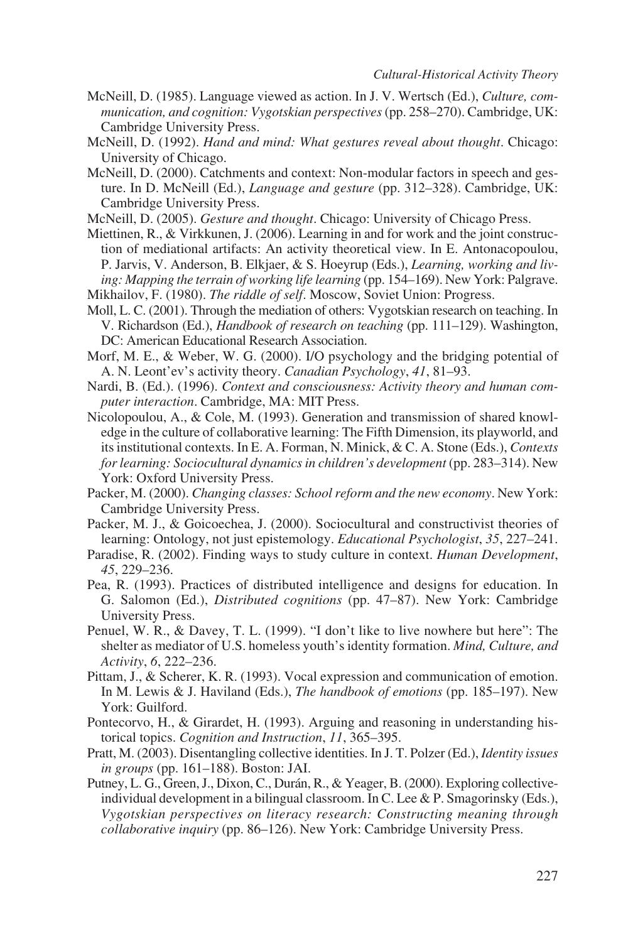- McNeill, D. (1985). Language viewed as action. In J. V. Wertsch (Ed.), *Culture, communication, and cognition: Vygotskian perspectives*(pp. 258–270). Cambridge, UK: Cambridge University Press.
- McNeill, D. (1992). *Hand and mind: What gestures reveal about thought*. Chicago: University of Chicago.
- McNeill, D. (2000). Catchments and context: Non-modular factors in speech and gesture. In D. McNeill (Ed.), *Language and gesture* (pp. 312–328). Cambridge, UK: Cambridge University Press.
- McNeill, D. (2005). *Gesture and thought*. Chicago: University of Chicago Press.
- Miettinen, R., & Virkkunen, J. (2006). Learning in and for work and the joint construction of mediational artifacts: An activity theoretical view. In E. Antonacopoulou, P. Jarvis, V. Anderson, B. Elkjaer, & S. Hoeyrup (Eds.), *Learning, working and living: Mapping the terrain of working life learning* (pp. 154–169). New York: Palgrave.
- Mikhailov, F. (1980). *The riddle of self*. Moscow, Soviet Union: Progress.
- Moll, L. C. (2001). Through the mediation of others: Vygotskian research on teaching. In V. Richardson (Ed.), *Handbook of research on teaching* (pp. 111–129). Washington, DC: American Educational Research Association.
- Morf, M. E., & Weber, W. G. (2000). I/O psychology and the bridging potential of A. N. Leont'ev's activity theory. *Canadian Psychology*, *41*, 81–93.
- Nardi, B. (Ed.). (1996). *Context and consciousness: Activity theory and human computer interaction*. Cambridge, MA: MIT Press.
- Nicolopoulou, A., & Cole, M. (1993). Generation and transmission of shared knowledge in the culture of collaborative learning: The Fifth Dimension, its playworld, and its institutional contexts. In E. A. Forman, N. Minick, & C. A. Stone (Eds.), *Contexts for learning: Sociocultural dynamics in children's development* (pp. 283–314). New York: Oxford University Press.
- Packer, M. (2000). *Changing classes: School reform and the new economy*. New York: Cambridge University Press.
- Packer, M. J., & Goicoechea, J. (2000). Sociocultural and constructivist theories of learning: Ontology, not just epistemology. *Educational Psychologist*, *35*, 227–241.
- Paradise, R. (2002). Finding ways to study culture in context. *Human Development*, *45*, 229–236.
- Pea, R. (1993). Practices of distributed intelligence and designs for education. In G. Salomon (Ed.), *Distributed cognitions* (pp. 47–87). New York: Cambridge University Press.
- Penuel, W. R., & Davey, T. L. (1999). "I don't like to live nowhere but here": The shelter as mediator of U.S. homeless youth's identity formation. *Mind, Culture, and Activity*, *6*, 222–236.
- Pittam, J., & Scherer, K. R. (1993). Vocal expression and communication of emotion. In M. Lewis & J. Haviland (Eds.), *The handbook of emotions* (pp. 185–197). New York: Guilford.
- Pontecorvo, H., & Girardet, H. (1993). Arguing and reasoning in understanding historical topics. *Cognition and Instruction*, *11*, 365–395.
- Pratt, M. (2003). Disentangling collective identities. In J. T. Polzer (Ed.), *Identity issues in groups* (pp. 161–188). Boston: JAI.
- Putney, L. G., Green, J., Dixon, C., Durán, R., & Yeager, B. (2000). Exploring collectiveindividual development in a bilingual classroom. In C. Lee & P. Smagorinsky (Eds.), *Vygotskian perspectives on literacy research: Constructing meaning through collaborative inquiry* (pp. 86–126). New York: Cambridge University Press.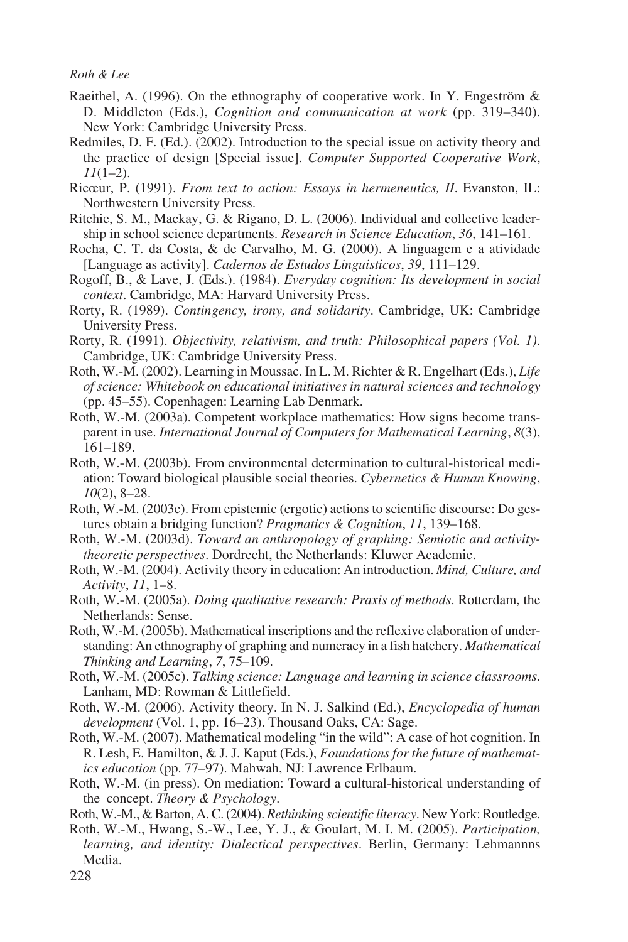- Raeithel, A. (1996). On the ethnography of cooperative work. In Y. Engeström & D. Middleton (Eds.), *Cognition and communication at work* (pp. 319–340). New York: Cambridge University Press.
- Redmiles, D. F. (Ed.). (2002). Introduction to the special issue on activity theory and the practice of design [Special issue]. *Computer Supported Cooperative Work*, *11*(1–2).
- Ricœur, P. (1991). *From text to action: Essays in hermeneutics, II*. Evanston, IL: Northwestern University Press.
- Ritchie, S. M., Mackay, G. & Rigano, D. L. (2006). Individual and collective leadership in school science departments. *Research in Science Education*, *36*, 141–161.
- Rocha, C. T. da Costa, & de Carvalho, M. G. (2000). A linguagem e a atividade [Language as activity]. *Cadernos de Estudos Linguisticos*, *39*, 111–129.
- Rogoff, B., & Lave, J. (Eds.). (1984). *Everyday cognition: Its development in social context*. Cambridge, MA: Harvard University Press.
- Rorty, R. (1989). *Contingency, irony, and solidarity*. Cambridge, UK: Cambridge University Press.
- Rorty, R. (1991). *Objectivity, relativism, and truth: Philosophical papers (Vol. 1)*. Cambridge, UK: Cambridge University Press.
- Roth, W.-M. (2002). Learning in Moussac. In L. M. Richter & R. Engelhart (Eds.), *Life of science: Whitebook on educational initiatives in natural sciences and technology* (pp. 45–55). Copenhagen: Learning Lab Denmark.
- Roth, W.-M. (2003a). Competent workplace mathematics: How signs become transparent in use. *International Journal of Computers for Mathematical Learning*, *8*(3), 161–189.
- Roth, W.-M. (2003b). From environmental determination to cultural-historical mediation: Toward biological plausible social theories. *Cybernetics & Human Knowing*, *10*(2), 8–28.
- Roth, W.-M. (2003c). From epistemic (ergotic) actions to scientific discourse: Do gestures obtain a bridging function? *Pragmatics & Cognition*, *11*, 139–168.
- Roth, W.-M. (2003d). *Toward an anthropology of graphing: Semiotic and activitytheoretic perspectives*. Dordrecht, the Netherlands: Kluwer Academic.
- Roth, W.-M. (2004). Activity theory in education: An introduction. *Mind, Culture, and Activity*, *11*, 1–8.
- Roth, W.-M. (2005a). *Doing qualitative research: Praxis of methods*. Rotterdam, the Netherlands: Sense.
- Roth, W.-M. (2005b). Mathematical inscriptions and the reflexive elaboration of understanding: An ethnography of graphing and numeracy in a fish hatchery. *Mathematical Thinking and Learning*, *7*, 75–109.
- Roth, W.-M. (2005c). *Talking science: Language and learning in science classrooms*. Lanham, MD: Rowman & Littlefield.
- Roth, W.-M. (2006). Activity theory. In N. J. Salkind (Ed.), *Encyclopedia of human development* (Vol. 1, pp. 16–23). Thousand Oaks, CA: Sage.
- Roth, W.-M. (2007). Mathematical modeling "in the wild": A case of hot cognition. In R. Lesh, E. Hamilton, & J. J. Kaput (Eds.), *Foundations for the future of mathematics education* (pp. 77–97). Mahwah, NJ: Lawrence Erlbaum.
- Roth, W.-M. (in press). On mediation: Toward a cultural-historical understanding of the concept. *Theory & Psychology*.
- Roth, W.-M., & Barton, A. C. (2004). *Rethinking scientific literacy*. New York: Routledge.
- Roth, W.-M., Hwang, S.-W., Lee, Y. J., & Goulart, M. I. M. (2005). *Participation, learning, and identity: Dialectical perspectives*. Berlin, Germany: Lehmannns Media.

<sup>228</sup>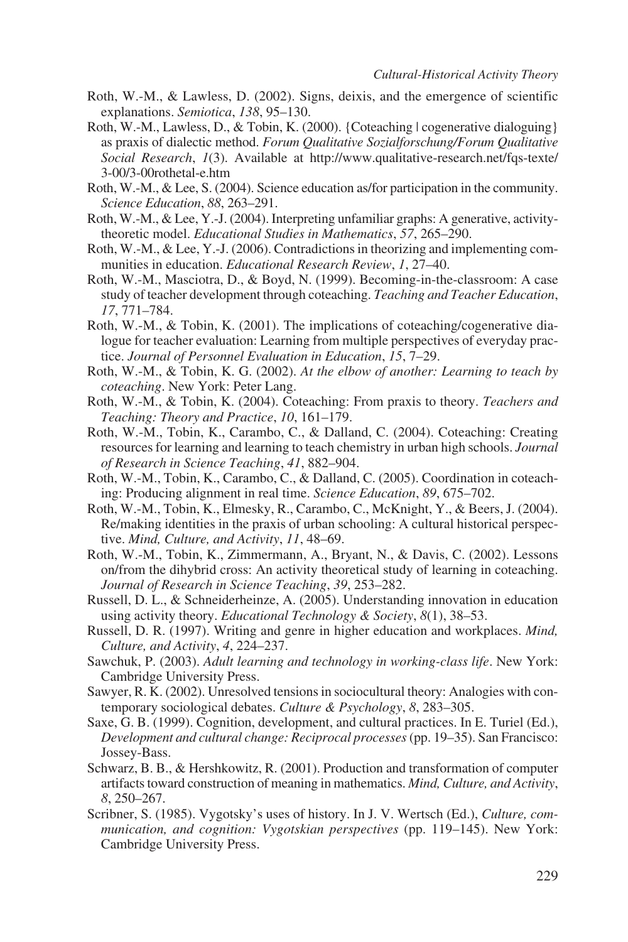- Roth, W.-M., & Lawless, D. (2002). Signs, deixis, and the emergence of scientific explanations. *Semiotica*, *138*, 95–130.
- Roth, W.-M., Lawless, D., & Tobin, K. (2000). {Coteaching | cogenerative dialoguing} as praxis of dialectic method. *Forum Qualitative Sozialforschung/Forum Qualitative Social Research*, *1*(3). Available at http://www.qualitative-research.net/fqs-texte/ 3-00/3-00rothetal-e.htm
- Roth, W.-M., & Lee, S. (2004). Science education as/for participation in the community. *Science Education*, *88*, 263–291.
- Roth, W.-M., & Lee, Y.-J. (2004). Interpreting unfamiliar graphs: A generative, activitytheoretic model. *Educational Studies in Mathematics*, *57*, 265–290.
- Roth, W.-M., & Lee, Y.-J. (2006). Contradictions in theorizing and implementing communities in education. *Educational Research Review*, *1*, 27–40.
- Roth, W.-M., Masciotra, D., & Boyd, N. (1999). Becoming-in-the-classroom: A case study of teacher development through coteaching. *Teaching and Teacher Education*, *17*, 771–784.
- Roth, W.-M., & Tobin, K. (2001). The implications of coteaching/cogenerative dialogue for teacher evaluation: Learning from multiple perspectives of everyday practice. *Journal of Personnel Evaluation in Education*, *15*, 7–29.
- Roth, W.-M., & Tobin, K. G. (2002). *At the elbow of another: Learning to teach by coteaching*. New York: Peter Lang.
- Roth, W.-M., & Tobin, K. (2004). Coteaching: From praxis to theory. *Teachers and Teaching: Theory and Practice*, *10*, 161–179.
- Roth, W.-M., Tobin, K., Carambo, C., & Dalland, C. (2004). Coteaching: Creating resources for learning and learning to teach chemistry in urban high schools. *Journal of Research in Science Teaching*, *41*, 882–904.
- Roth, W.-M., Tobin, K., Carambo, C., & Dalland, C. (2005). Coordination in coteaching: Producing alignment in real time. *Science Education*, *89*, 675–702.
- Roth, W.-M., Tobin, K., Elmesky, R., Carambo, C., McKnight, Y., & Beers, J. (2004). Re/making identities in the praxis of urban schooling: A cultural historical perspective. *Mind, Culture, and Activity*, *11*, 48–69.
- Roth, W.-M., Tobin, K., Zimmermann, A., Bryant, N., & Davis, C. (2002). Lessons on/from the dihybrid cross: An activity theoretical study of learning in coteaching. *Journal of Research in Science Teaching*, *39*, 253–282.
- Russell, D. L., & Schneiderheinze, A. (2005). Understanding innovation in education using activity theory. *Educational Technology & Society*, *8*(1), 38–53.
- Russell, D. R. (1997). Writing and genre in higher education and workplaces. *Mind, Culture, and Activity*, *4*, 224–237.
- Sawchuk, P. (2003). *Adult learning and technology in working-class life*. New York: Cambridge University Press.
- Sawyer, R. K. (2002). Unresolved tensions in sociocultural theory: Analogies with contemporary sociological debates. *Culture & Psychology*, *8*, 283–305.
- Saxe, G. B. (1999). Cognition, development, and cultural practices. In E. Turiel (Ed.), *Development and cultural change: Reciprocal processes* (pp. 19–35). San Francisco: Jossey-Bass.
- Schwarz, B. B., & Hershkowitz, R. (2001). Production and transformation of computer artifacts toward construction of meaning in mathematics. *Mind, Culture, and Activity*, *8*, 250–267.
- Scribner, S. (1985). Vygotsky's uses of history. In J. V. Wertsch (Ed.), *Culture, communication, and cognition: Vygotskian perspectives* (pp. 119–145). New York: Cambridge University Press.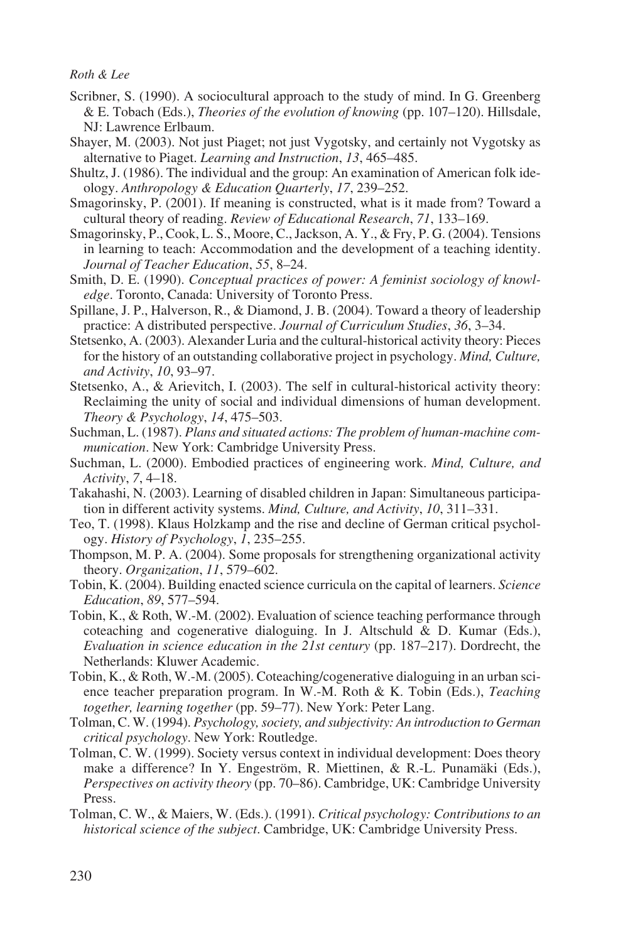- Scribner, S. (1990). A sociocultural approach to the study of mind. In G. Greenberg & E. Tobach (Eds.), *Theories of the evolution of knowing* (pp. 107–120). Hillsdale, NJ: Lawrence Erlbaum.
- Shayer, M. (2003). Not just Piaget; not just Vygotsky, and certainly not Vygotsky as alternative to Piaget. *Learning and Instruction*, *13*, 465–485.
- Shultz, J. (1986). The individual and the group: An examination of American folk ideology. *Anthropology & Education Quarterly*, *17*, 239–252.
- Smagorinsky, P. (2001). If meaning is constructed, what is it made from? Toward a cultural theory of reading. *Review of Educational Research*, *71*, 133–169.
- Smagorinsky, P., Cook, L. S., Moore, C., Jackson, A. Y., & Fry, P. G. (2004). Tensions in learning to teach: Accommodation and the development of a teaching identity. *Journal of Teacher Education*, *55*, 8–24.
- Smith, D. E. (1990). *Conceptual practices of power: A feminist sociology of knowledge*. Toronto, Canada: University of Toronto Press.
- Spillane, J. P., Halverson, R., & Diamond, J. B. (2004). Toward a theory of leadership practice: A distributed perspective. *Journal of Curriculum Studies*, *36*, 3–34.
- Stetsenko, A. (2003). Alexander Luria and the cultural-historical activity theory: Pieces for the history of an outstanding collaborative project in psychology. *Mind, Culture, and Activity*, *10*, 93–97.
- Stetsenko, A., & Arievitch, I. (2003). The self in cultural-historical activity theory: Reclaiming the unity of social and individual dimensions of human development. *Theory & Psychology*, *14*, 475–503.
- Suchman, L. (1987). *Plans and situated actions: The problem of human-machine communication*. New York: Cambridge University Press.
- Suchman, L. (2000). Embodied practices of engineering work. *Mind, Culture, and Activity*, *7*, 4–18.
- Takahashi, N. (2003). Learning of disabled children in Japan: Simultaneous participation in different activity systems. *Mind, Culture, and Activity*, *10*, 311–331.
- Teo, T. (1998). Klaus Holzkamp and the rise and decline of German critical psychology. *History of Psychology*, *1*, 235–255.
- Thompson, M. P. A. (2004). Some proposals for strengthening organizational activity theory. *Organization*, *11*, 579–602.
- Tobin, K. (2004). Building enacted science curricula on the capital of learners. *Science Education*, *89*, 577–594.
- Tobin, K., & Roth, W.-M. (2002). Evaluation of science teaching performance through coteaching and cogenerative dialoguing. In J. Altschuld & D. Kumar (Eds.), *Evaluation in science education in the 21st century* (pp. 187–217). Dordrecht, the Netherlands: Kluwer Academic.
- Tobin, K., & Roth, W.-M. (2005). Coteaching/cogenerative dialoguing in an urban science teacher preparation program. In W.-M. Roth & K. Tobin (Eds.), *Teaching together, learning together* (pp. 59–77). New York: Peter Lang.
- Tolman, C. W. (1994). *Psychology, society, and subjectivity: An introduction to German critical psychology*. New York: Routledge.
- Tolman, C. W. (1999). Society versus context in individual development: Does theory make a difference? In Y. Engeström, R. Miettinen, & R.-L. Punamäki (Eds.), *Perspectives on activity theory* (pp. 70–86). Cambridge, UK: Cambridge University Press.
- Tolman, C. W., & Maiers, W. (Eds.). (1991). *Critical psychology: Contributions to an historical science of the subject*. Cambridge, UK: Cambridge University Press.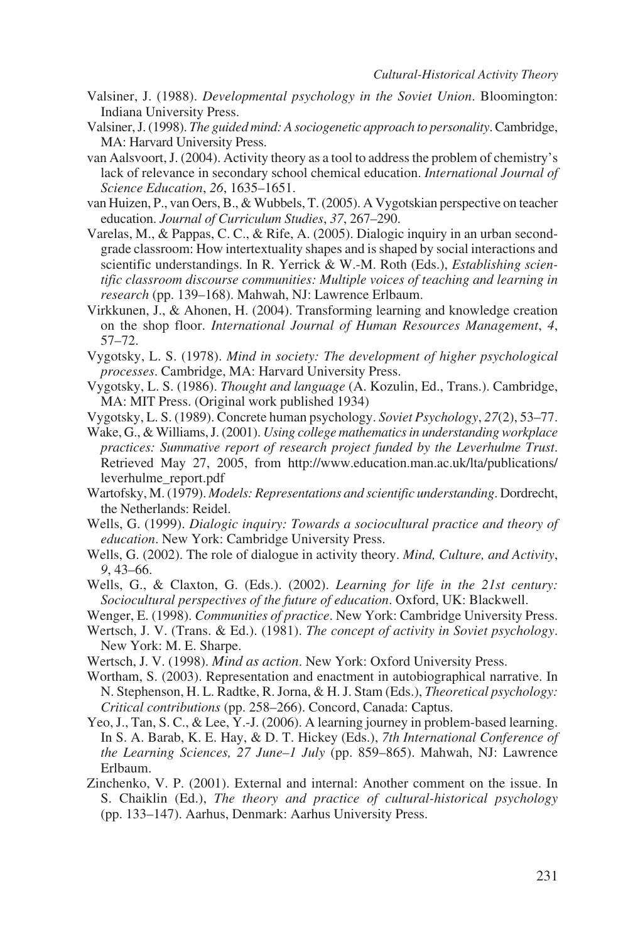- Valsiner, J. (1988). *Developmental psychology in the Soviet Union*. Bloomington: Indiana University Press.
- Valsiner, J. (1998). *The guided mind: A sociogenetic approach to personality*. Cambridge, MA: Harvard University Press.
- van Aalsvoort, J. (2004). Activity theory as a tool to address the problem of chemistry's lack of relevance in secondary school chemical education. *International Journal of Science Education*, *26*, 1635–1651.
- van Huizen, P., van Oers, B., & Wubbels, T. (2005). A Vygotskian perspective on teacher education. *Journal of Curriculum Studies*, *37*, 267–290.
- Varelas, M., & Pappas, C. C., & Rife, A. (2005). Dialogic inquiry in an urban secondgrade classroom: How intertextuality shapes and is shaped by social interactions and scientific understandings. In R. Yerrick & W.-M. Roth (Eds.), *Establishing scientific classroom discourse communities: Multiple voices of teaching and learning in research* (pp. 139–168). Mahwah, NJ: Lawrence Erlbaum.
- Virkkunen, J., & Ahonen, H. (2004). Transforming learning and knowledge creation on the shop floor. *International Journal of Human Resources Management*, *4*, 57–72.
- Vygotsky, L. S. (1978). *Mind in society: The development of higher psychological processes*. Cambridge, MA: Harvard University Press.
- Vygotsky, L. S. (1986). *Thought and language* (A. Kozulin, Ed., Trans.). Cambridge, MA: MIT Press. (Original work published 1934)
- Vygotsky, L. S. (1989). Concrete human psychology. *Soviet Psychology*, *27*(2), 53–77.
- Wake, G., & Williams, J. (2001). *Using college mathematics in understanding workplace practices: Summative report of research project funded by the Leverhulme Trust*. Retrieved May 27, 2005, from http://www.education.man.ac.uk/lta/publications/ leverhulme\_report.pdf
- Wartofsky, M. (1979). *Models: Representations and scientific understanding*. Dordrecht, the Netherlands: Reidel.
- Wells, G. (1999). *Dialogic inquiry: Towards a sociocultural practice and theory of education*. New York: Cambridge University Press.
- Wells, G. (2002). The role of dialogue in activity theory. *Mind, Culture, and Activity*, *9*, 43–66.
- Wells, G., & Claxton, G. (Eds.). (2002). *Learning for life in the 21st century: Sociocultural perspectives of the future of education*. Oxford, UK: Blackwell.
- Wenger, E. (1998). *Communities of practice*. New York: Cambridge University Press.
- Wertsch, J. V. (Trans. & Ed.). (1981). *The concept of activity in Soviet psychology*. New York: M. E. Sharpe.
- Wertsch, J. V. (1998). *Mind as action*. New York: Oxford University Press.
- Wortham, S. (2003). Representation and enactment in autobiographical narrative. In N. Stephenson, H. L. Radtke, R. Jorna, & H. J. Stam (Eds.), *Theoretical psychology: Critical contributions* (pp. 258–266). Concord, Canada: Captus.
- Yeo, J., Tan, S. C., & Lee, Y.-J. (2006). A learning journey in problem-based learning. In S. A. Barab, K. E. Hay, & D. T. Hickey (Eds.), *7th International Conference of the Learning Sciences, 27 June–1 July* (pp. 859–865). Mahwah, NJ: Lawrence Erlbaum.
- Zinchenko, V. P. (2001). External and internal: Another comment on the issue. In S. Chaiklin (Ed.), *The theory and practice of cultural-historical psychology* (pp. 133–147). Aarhus, Denmark: Aarhus University Press.